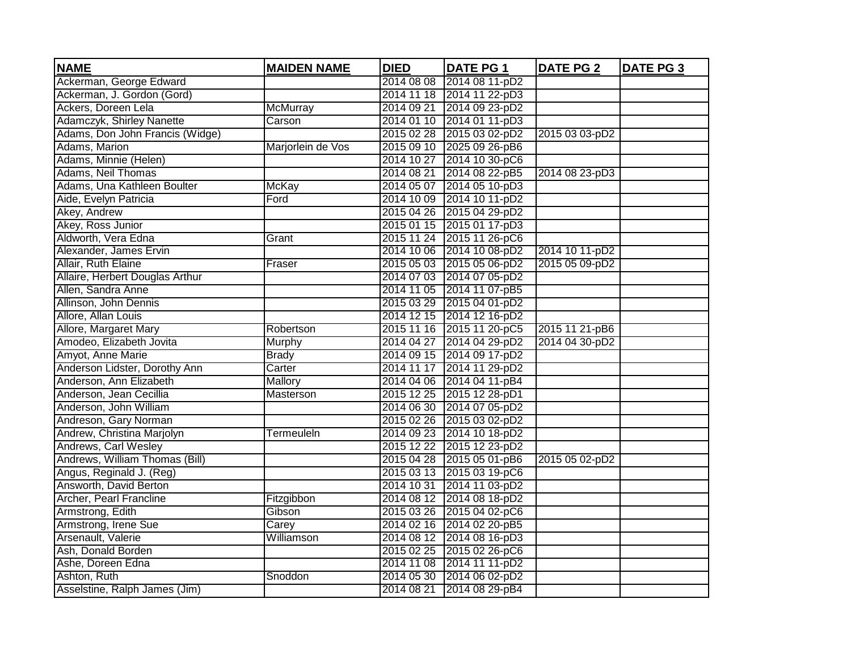| <b>NAME</b>                     | <b>MAIDEN NAME</b> | <b>DIED</b> | <b>DATE PG 1</b>          | <b>DATE PG 2</b> | <b>DATE PG 3</b> |
|---------------------------------|--------------------|-------------|---------------------------|------------------|------------------|
| Ackerman, George Edward         |                    | 2014 08 08  | 2014 08 11-pD2            |                  |                  |
| Ackerman, J. Gordon (Gord)      |                    |             | 2014 11 18 2014 11 22-pD3 |                  |                  |
| Ackers, Doreen Lela             | <b>McMurray</b>    | 2014 09 21  | 2014 09 23-pD2            |                  |                  |
| Adamczyk, Shirley Nanette       | Carson             |             | 2014 01 10 2014 01 11-pD3 |                  |                  |
| Adams, Don John Francis (Widge) |                    |             | 2015 02 28 2015 03 02-pD2 | 2015 03 03-pD2   |                  |
| Adams, Marion                   | Marjorlein de Vos  |             | 2015 09 10 2025 09 26-pB6 |                  |                  |
| Adams, Minnie (Helen)           |                    |             | 2014 10 27 2014 10 30-pC6 |                  |                  |
| <b>Adams, Neil Thomas</b>       |                    |             | 2014 08 21 2014 08 22-pB5 | 2014 08 23-pD3   |                  |
| Adams, Una Kathleen Boulter     | <b>McKay</b>       |             | 2014 05 07 2014 05 10-pD3 |                  |                  |
| Aide, Evelyn Patricia           | Ford               |             | 2014 10 09 2014 10 11-pD2 |                  |                  |
| Akey, Andrew                    |                    |             | 2015 04 26 2015 04 29-pD2 |                  |                  |
| Akey, Ross Junior               |                    |             | 2015 01 15 2015 01 17-pD3 |                  |                  |
| Aldworth, Vera Edna             | Grant              |             | 2015 11 24 2015 11 26-pC6 |                  |                  |
| Alexander, James Ervin          |                    |             | 2014 10 06 2014 10 08-pD2 | 2014 10 11-pD2   |                  |
| Allair, Ruth Elaine             | Fraser             |             | 2015 05 03 2015 05 06-pD2 | 2015 05 09-pD2   |                  |
| Allaire, Herbert Douglas Arthur |                    |             | 2014 07 03 2014 07 05-pD2 |                  |                  |
| Allen, Sandra Anne              |                    |             | 2014 11 05 2014 11 07-pB5 |                  |                  |
| Allinson, John Dennis           |                    |             | 2015 03 29 2015 04 01-pD2 |                  |                  |
| Allore, Allan Louis             |                    |             | 2014 12 15 2014 12 16-pD2 |                  |                  |
| Allore, Margaret Mary           | Robertson          |             | 2015 11 16 2015 11 20-pC5 | 2015 11 21-pB6   |                  |
| Amodeo, Elizabeth Jovita        | Murphy             |             | 2014 04 27 2014 04 29-pD2 | 2014 04 30-pD2   |                  |
| Amyot, Anne Marie               | <b>Brady</b>       |             | 2014 09 15 2014 09 17-pD2 |                  |                  |
| Anderson Lidster, Dorothy Ann   | Carter             |             | 2014 11 17 2014 11 29-pD2 |                  |                  |
| Anderson, Ann Elizabeth         | Mallory            |             | 2014 04 06 2014 04 11-pB4 |                  |                  |
| Anderson, Jean Cecillia         | Masterson          |             | 2015 12 25 2015 12 28-pD1 |                  |                  |
| Anderson, John William          |                    |             | 2014 06 30 2014 07 05-pD2 |                  |                  |
| Andreson, Gary Norman           |                    |             | 2015 02 26 2015 03 02-pD2 |                  |                  |
| Andrew, Christina Marjolyn      | Termeuleln         |             | 2014 09 23 2014 10 18-pD2 |                  |                  |
| Andrews, Carl Wesley            |                    |             | 2015 12 22 2015 12 23-pD2 |                  |                  |
| Andrews, William Thomas (Bill)  |                    |             | 2015 04 28 2015 05 01-pB6 | 2015 05 02-pD2   |                  |
| Angus, Reginald J. (Reg)        |                    |             | 2015 03 13 2015 03 19-pC6 |                  |                  |
| Answorth, David Berton          |                    |             | 2014 10 31 2014 11 03-pD2 |                  |                  |
| Archer, Pearl Francline         | Fitzgibbon         |             | 2014 08 12 2014 08 18-pD2 |                  |                  |
| Armstrong, Edith                | Gibson             |             | 2015 03 26 2015 04 02-pC6 |                  |                  |
| Armstrong, Irene Sue            | Carey              |             | 2014 02 16 2014 02 20-pB5 |                  |                  |
| Arsenault, Valerie              | Williamson         |             | 2014 08 12 2014 08 16-pD3 |                  |                  |
| Ash, Donald Borden              |                    |             | 2015 02 25 2015 02 26-pC6 |                  |                  |
| Ashe, Doreen Edna               |                    |             | 2014 11 08 2014 11 11-pD2 |                  |                  |
| Ashton, Ruth                    | Snoddon            |             | 2014 05 30 2014 06 02-pD2 |                  |                  |
| Asselstine, Ralph James (Jim)   |                    | 2014 08 21  | 2014 08 29-pB4            |                  |                  |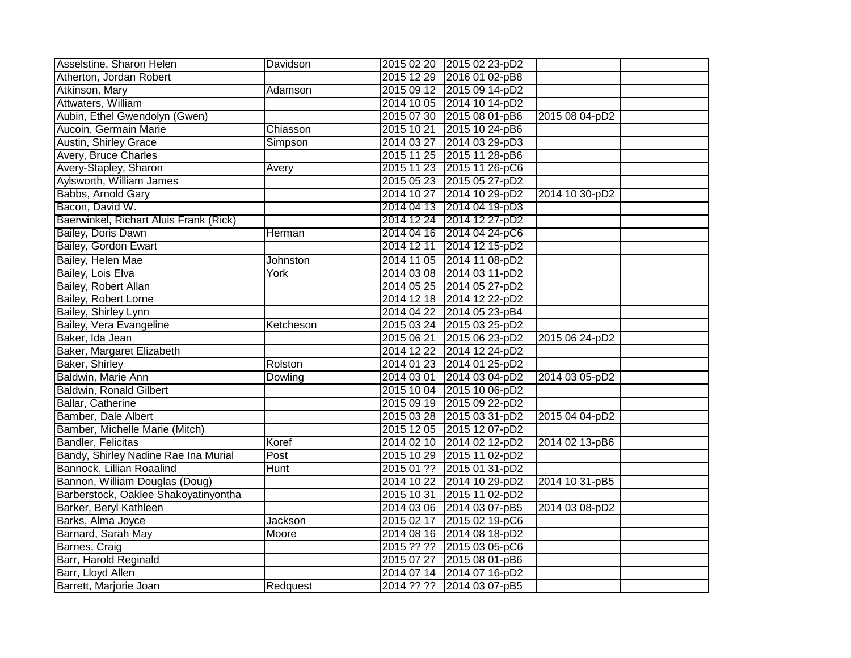| Asselstine, Sharon Helen               | Davidson  |            | 2015 02 20 2015 02 23-pD2 |                |  |
|----------------------------------------|-----------|------------|---------------------------|----------------|--|
| Atherton, Jordan Robert                |           |            | 2015 12 29 2016 01 02-pB8 |                |  |
| Atkinson, Mary                         | Adamson   |            | 2015 09 12 2015 09 14-pD2 |                |  |
| Attwaters, William                     |           |            | 2014 10 05 2014 10 14-pD2 |                |  |
| Aubin, Ethel Gwendolyn (Gwen)          |           |            | 2015 07 30 2015 08 01-pB6 | 2015 08 04-pD2 |  |
| Aucoin, Germain Marie                  | Chiasson  | 2015 10 21 | 2015 10 24-pB6            |                |  |
| <b>Austin, Shirley Grace</b>           | Simpson   | 2014 03 27 | 2014 03 29-pD3            |                |  |
| Avery, Bruce Charles                   |           | 2015 11 25 | 2015 11 28-pB6            |                |  |
| Avery-Stapley, Sharon                  | Avery     | 2015 11 23 | 2015 11 26-pC6            |                |  |
| Aylsworth, William James               |           | 2015 05 23 | 2015 05 27-pD2            |                |  |
| Babbs, Arnold Gary                     |           |            | 2014 10 27 2014 10 29-pD2 | 2014 10 30-pD2 |  |
| Bacon, David W.                        |           |            | 2014 04 13 2014 04 19-pD3 |                |  |
| Baerwinkel, Richart Aluis Frank (Rick) |           |            | 2014 12 24 2014 12 27-pD2 |                |  |
| Bailey, Doris Dawn                     | Herman    |            | 2014 04 16 2014 04 24-pC6 |                |  |
| Bailey, Gordon Ewart                   |           | 2014 12 11 | 2014 12 15-pD2            |                |  |
| Bailey, Helen Mae                      | Johnston  |            | 2014 11 05 2014 11 08-pD2 |                |  |
| Bailey, Lois Elva                      | York      |            | 2014 03 08 2014 03 11-pD2 |                |  |
| Bailey, Robert Allan                   |           |            | 2014 05 25 2014 05 27-pD2 |                |  |
| Bailey, Robert Lorne                   |           |            | 2014 12 18 2014 12 22-pD2 |                |  |
| Bailey, Shirley Lynn                   |           |            | 2014 04 22 2014 05 23-pB4 |                |  |
| Bailey, Vera Evangeline                | Ketcheson |            | 2015 03 24 2015 03 25-pD2 |                |  |
| Baker, Ida Jean                        |           | 2015 06 21 | 2015 06 23-pD2            | 2015 06 24-pD2 |  |
| Baker, Margaret Elizabeth              |           |            | 2014 12 22 2014 12 24-pD2 |                |  |
| Baker, Shirley                         | Rolston   |            | 2014 01 23 2014 01 25-pD2 |                |  |
| Baldwin, Marie Ann                     | Dowling   |            | 2014 03 01 2014 03 04-pD2 | 2014 03 05-pD2 |  |
| <b>Baldwin, Ronald Gilbert</b>         |           |            | 2015 10 04 2015 10 06-pD2 |                |  |
| Ballar, Catherine                      |           |            | 2015 09 19 2015 09 22-pD2 |                |  |
| Bamber, Dale Albert                    |           |            | 2015 03 28 2015 03 31-pD2 | 2015 04 04-pD2 |  |
| Bamber, Michelle Marie (Mitch)         |           |            | 2015 12 05 2015 12 07-pD2 |                |  |
| <b>Bandler, Felicitas</b>              | Koref     |            | 2014 02 10 2014 02 12-pD2 | 2014 02 13-pB6 |  |
| Bandy, Shirley Nadine Rae Ina Murial   | Post      |            | 2015 10 29 2015 11 02-pD2 |                |  |
| Bannock, Lillian Roaalind              | Hunt      |            | 2015 01 ?? 2015 01 31-pD2 |                |  |
| Bannon, William Douglas (Doug)         |           |            | 2014 10 22 2014 10 29-pD2 | 2014 10 31-pB5 |  |
| Barberstock, Oaklee Shakoyatinyontha   |           |            | 2015 10 31 2015 11 02-pD2 |                |  |
| Barker, Beryl Kathleen                 |           |            | 2014 03 06 2014 03 07-pB5 | 2014 03 08-pD2 |  |
| Barks, Alma Joyce                      | Jackson   | 2015 02 17 | 2015 02 19-pC6            |                |  |
| Barnard, Sarah May                     | Moore     |            | 2014 08 16 2014 08 18-pD2 |                |  |
| Barnes, Craig                          |           | 2015 ?? ?? | 2015 03 05-pC6            |                |  |
| Barr, Harold Reginald                  |           | 2015 07 27 | 2015 08 01-pB6            |                |  |
| Barr, Lloyd Allen                      |           |            | 2014 07 14 2014 07 16-pD2 |                |  |
| Barrett, Marjorie Joan                 | Redquest  | 2014 ?? ?? | 2014 03 07-pB5            |                |  |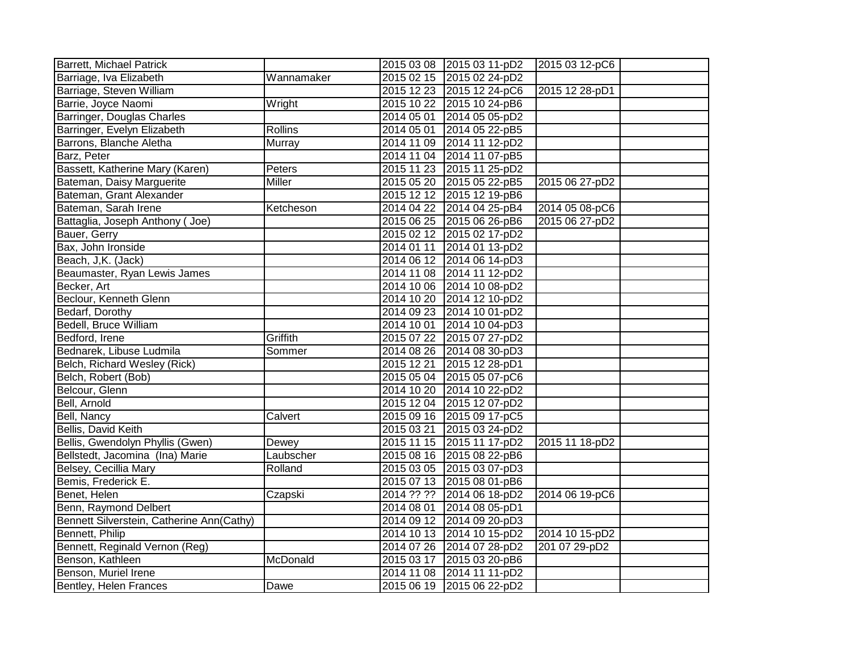| <b>Barrett, Michael Patrick</b>           |                | 2015 03 08 2015 03 11-pD2 | 2015 03 12-pC6 |  |
|-------------------------------------------|----------------|---------------------------|----------------|--|
| Barriage, Iva Elizabeth                   | Wannamaker     | 2015 02 15 2015 02 24-pD2 |                |  |
| Barriage, Steven William                  |                | 2015 12 23 2015 12 24-pC6 | 2015 12 28-pD1 |  |
| Barrie, Joyce Naomi                       | Wright         | 2015 10 22 2015 10 24-pB6 |                |  |
| Barringer, Douglas Charles                |                | 2014 05 01 2014 05 05-pD2 |                |  |
| Barringer, Evelyn Elizabeth               | <b>Rollins</b> | 2014 05 01 2014 05 22-pB5 |                |  |
| Barrons, Blanche Aletha                   | <b>Murray</b>  | 2014 11 09 2014 11 12-pD2 |                |  |
| Barz, Peter                               |                | 2014 11 04 2014 11 07-pB5 |                |  |
| Bassett, Katherine Mary (Karen)           | Peters         | 2015 11 23 2015 11 25-pD2 |                |  |
| Bateman, Daisy Marguerite                 | <b>Miller</b>  | 2015 05 20 2015 05 22-pB5 | 2015 06 27-pD2 |  |
| Bateman, Grant Alexander                  |                | 2015 12 12 2015 12 19-pB6 |                |  |
| Bateman, Sarah Irene                      | Ketcheson      | 2014 04 22 2014 04 25-pB4 | 2014 05 08-pC6 |  |
| Battaglia, Joseph Anthony (Joe)           |                | 2015 06 25 2015 06 26-pB6 | 2015 06 27-pD2 |  |
| Bauer, Gerry                              |                | 2015 02 12 2015 02 17-pD2 |                |  |
| Bax, John Ironside                        |                | 2014 01 11 2014 01 13-pD2 |                |  |
| Beach, J,K. (Jack)                        |                | 2014 06 12 2014 06 14-pD3 |                |  |
| Beaumaster, Ryan Lewis James              |                | 2014 11 08 2014 11 12-pD2 |                |  |
| Becker, Art                               |                | 2014 10 06 2014 10 08-pD2 |                |  |
| Beclour, Kenneth Glenn                    |                | 2014 10 20 2014 12 10-pD2 |                |  |
| Bedarf, Dorothy                           |                | 2014 09 23 2014 10 01-pD2 |                |  |
| <b>Bedell, Bruce William</b>              |                | 2014 10 01 2014 10 04-pD3 |                |  |
| Bedford, Irene                            | Griffith       | 2015 07 22 2015 07 27-pD2 |                |  |
| Bednarek, Libuse Ludmila                  | Sommer         | 2014 08 26 2014 08 30-pD3 |                |  |
| Belch, Richard Wesley (Rick)              |                | 2015 12 21 2015 12 28-pD1 |                |  |
| Belch, Robert (Bob)                       |                | 2015 05 04 2015 05 07-pC6 |                |  |
| Belcour, Glenn                            |                | 2014 10 20 2014 10 22-pD2 |                |  |
| Bell, Arnold                              |                | 2015 12 04 2015 12 07-pD2 |                |  |
| Bell, Nancy                               | Calvert        | 2015 09 16 2015 09 17-pC5 |                |  |
| Bellis, David Keith                       |                | 2015 03 21 2015 03 24-pD2 |                |  |
| Bellis, Gwendolyn Phyllis (Gwen)          | Dewey          | 2015 11 15 2015 11 17-pD2 | 2015 11 18-pD2 |  |
| Bellstedt, Jacomina (Ina) Marie           | Laubscher      | 2015 08 16 2015 08 22-pB6 |                |  |
| Belsey, Cecillia Mary                     | Rolland        | 2015 03 05 2015 03 07-pD3 |                |  |
| Bemis, Frederick E.                       |                | 2015 07 13 2015 08 01-pB6 |                |  |
| Benet, Helen                              | Czapski        | 2014 ?? ?? 2014 06 18-pD2 | 2014 06 19-pC6 |  |
| Benn, Raymond Delbert                     |                | 2014 08 01 2014 08 05-pD1 |                |  |
| Bennett Silverstein, Catherine Ann(Cathy) |                | 2014 09 12 2014 09 20-pD3 |                |  |
| Bennett, Philip                           |                | 2014 10 13 2014 10 15-pD2 | 2014 10 15-pD2 |  |
| Bennett, Reginald Vernon (Reg)            |                | 2014 07 26 2014 07 28-pD2 | 201 07 29-pD2  |  |
| Benson, Kathleen                          | McDonald       | 2015 03 17 2015 03 20-pB6 |                |  |
| Benson, Muriel Irene                      |                | 2014 11 08 2014 11 11-pD2 |                |  |
| Bentley, Helen Frances                    | Dawe           | 2015 06 19 2015 06 22-pD2 |                |  |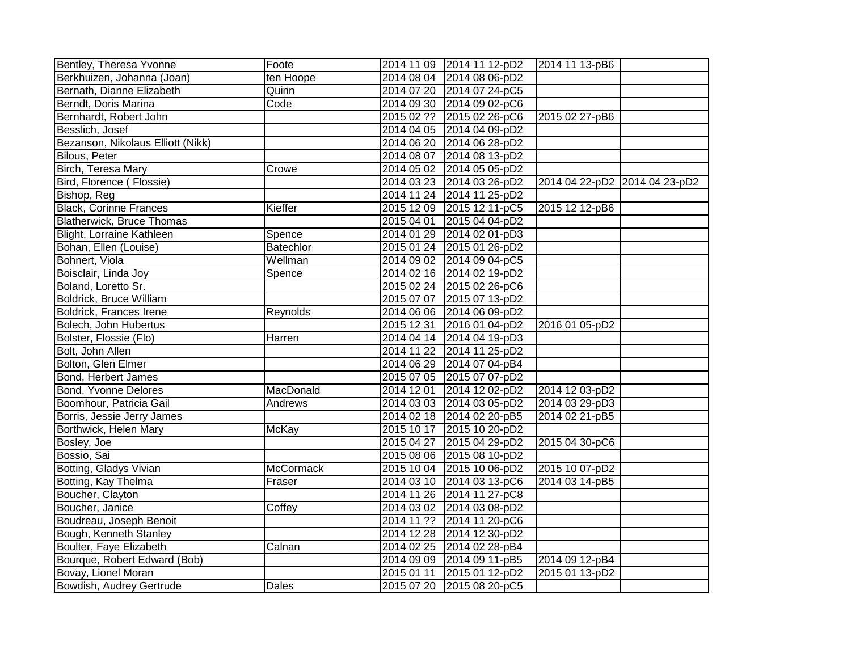| Bentley, Theresa Yvonne           | Foote            |            | 2014 11 09 2014 11 12-pD2 | 2014 11 13-pB6                |  |
|-----------------------------------|------------------|------------|---------------------------|-------------------------------|--|
| Berkhuizen, Johanna (Joan)        | ten Hoope        |            | 2014 08 04 2014 08 06-pD2 |                               |  |
| Bernath, Dianne Elizabeth         | Quinn            |            | 2014 07 20 2014 07 24-pC5 |                               |  |
| Berndt, Doris Marina              | Code             |            | 2014 09 30 2014 09 02-pC6 |                               |  |
| Bernhardt, Robert John            |                  |            | 2015 02 ?? 2015 02 26-pC6 | 2015 02 27-pB6                |  |
| Besslich, Josef                   |                  |            | 2014 04 05 2014 04 09-pD2 |                               |  |
| Bezanson, Nikolaus Elliott (Nikk) |                  |            | 2014 06 20 2014 06 28-pD2 |                               |  |
| <b>Bilous, Peter</b>              |                  |            | 2014 08 07 2014 08 13-pD2 |                               |  |
| Birch, Teresa Mary                | Crowe            |            | 2014 05 02 2014 05 05-pD2 |                               |  |
| Bird, Florence (Flossie)          |                  |            | 2014 03 23 2014 03 26-pD2 | 2014 04 22-pD2 2014 04 23-pD2 |  |
| Bishop, Reg                       |                  |            | 2014 11 24 2014 11 25-pD2 |                               |  |
| <b>Black, Corinne Frances</b>     | Kieffer          |            | 2015 12 09 2015 12 11-pC5 | 2015 12 12-pB6                |  |
| <b>Blatherwick, Bruce Thomas</b>  |                  |            | 2015 04 01 2015 04 04-pD2 |                               |  |
| Blight, Lorraine Kathleen         | Spence           |            | 2014 01 29 2014 02 01-pD3 |                               |  |
| Bohan, Ellen (Louise)             | Batechlor        |            | 2015 01 24 2015 01 26-pD2 |                               |  |
| Bohnert, Viola                    | Wellman          |            | 2014 09 02 2014 09 04-pC5 |                               |  |
| Boisclair, Linda Joy              | Spence           |            | 2014 02 16 2014 02 19-pD2 |                               |  |
| Boland, Loretto Sr.               |                  |            | 2015 02 24 2015 02 26-pC6 |                               |  |
| <b>Boldrick, Bruce William</b>    |                  |            | 2015 07 07 2015 07 13-pD2 |                               |  |
| <b>Boldrick, Frances Irene</b>    | Reynolds         |            | 2014 06 06 2014 06 09-pD2 |                               |  |
| Bolech, John Hubertus             |                  |            | 2015 12 31 2016 01 04-pD2 | 2016 01 05-pD2                |  |
| Bolster, Flossie (Flo)            | Harren           |            | 2014 04 14 2014 04 19-pD3 |                               |  |
| Bolt, John Allen                  |                  |            | 2014 11 22 2014 11 25-pD2 |                               |  |
| Bolton, Glen Elmer                |                  |            | 2014 06 29 2014 07 04-pB4 |                               |  |
| Bond, Herbert James               |                  |            | 2015 07 05 2015 07 07-pD2 |                               |  |
| Bond, Yvonne Delores              | MacDonald        |            | 2014 12 01 2014 12 02-pD2 | 2014 12 03-pD2                |  |
| Boomhour, Patricia Gail           | Andrews          |            | 2014 03 03 2014 03 05-pD2 | 2014 03 29-pD3                |  |
| Borris, Jessie Jerry James        |                  |            | 2014 02 18 2014 02 20-pB5 | 2014 02 21-pB5                |  |
| Borthwick, Helen Mary             | <b>McKay</b>     |            | 2015 10 17 2015 10 20-pD2 |                               |  |
| Bosley, Joe                       |                  |            | 2015 04 27 2015 04 29-pD2 | 2015 04 30-pC6                |  |
| Bossio, Sai                       |                  |            | 2015 08 06 2015 08 10-pD2 |                               |  |
| Botting, Gladys Vivian            | <b>McCormack</b> |            | 2015 10 04 2015 10 06-pD2 | 2015 10 07-pD2                |  |
| Botting, Kay Thelma               | Fraser           |            | 2014 03 10 2014 03 13-pC6 | 2014 03 14-pB5                |  |
| Boucher, Clayton                  |                  |            | 2014 11 26 2014 11 27-pC8 |                               |  |
| Boucher, Janice                   | Coffey           |            | 2014 03 02 2014 03 08-pD2 |                               |  |
| Boudreau, Joseph Benoit           |                  |            | 2014 11 ?? 2014 11 20-pC6 |                               |  |
| Bough, Kenneth Stanley            |                  |            | 2014 12 28 2014 12 30-pD2 |                               |  |
| Boulter, Faye Elizabeth           | Calnan           |            | 2014 02 25 2014 02 28-pB4 |                               |  |
| Bourque, Robert Edward (Bob)      |                  |            | 2014 09 09 2014 09 11-pB5 | 2014 09 12-pB4                |  |
| Bovay, Lionel Moran               |                  | 2015 01 11 | 2015 01 12-pD2            | 2015 01 13-pD2                |  |
| Bowdish, Audrey Gertrude          | <b>Dales</b>     |            | 2015 07 20 2015 08 20-pC5 |                               |  |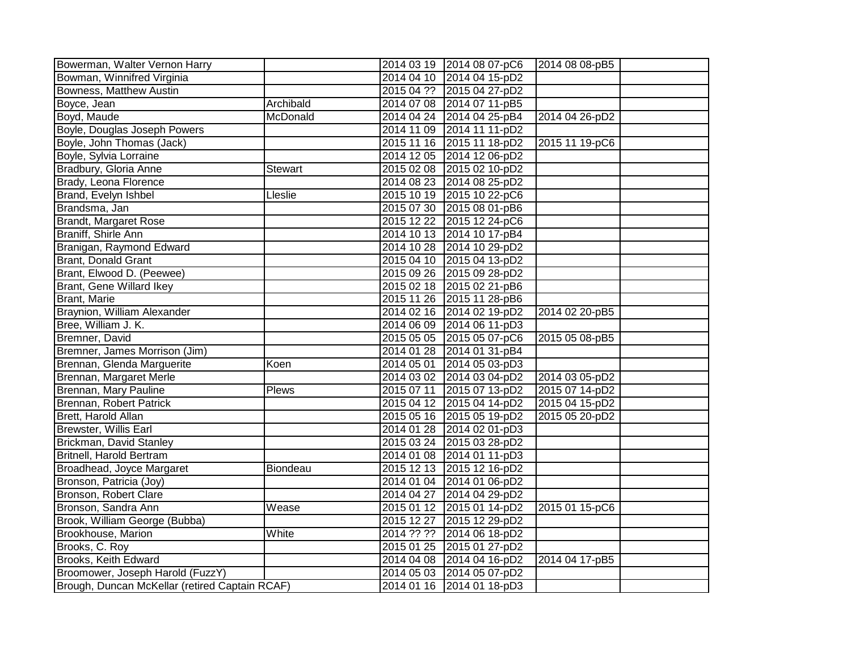| Bowerman, Walter Vernon Harry                  |                | 2014 03 19 2014 08 07-pC6 | 2014 08 08-pB5 |
|------------------------------------------------|----------------|---------------------------|----------------|
| Bowman, Winnifred Virginia                     |                | 2014 04 10 2014 04 15-pD2 |                |
| Bowness, Matthew Austin                        |                | 2015 04 ?? 2015 04 27-pD2 |                |
| Boyce, Jean                                    | Archibald      | 2014 07 08 2014 07 11-pB5 |                |
| Boyd, Maude                                    | McDonald       | 2014 04 24 2014 04 25-pB4 | 2014 04 26-pD2 |
| Boyle, Douglas Joseph Powers                   |                | 2014 11 09 2014 11 11-pD2 |                |
| Boyle, John Thomas (Jack)                      |                | 2015 11 16 2015 11 18-pD2 | 2015 11 19-pC6 |
| Boyle, Sylvia Lorraine                         |                | 2014 12 05 2014 12 06-pD2 |                |
| Bradbury, Gloria Anne                          | <b>Stewart</b> | 2015 02 08 2015 02 10-pD2 |                |
| Brady, Leona Florence                          |                | 2014 08 23 2014 08 25-pD2 |                |
| Brand, Evelyn Ishbel                           | Lleslie        | 2015 10 19 2015 10 22-pC6 |                |
| Brandsma, Jan                                  |                | 2015 07 30 2015 08 01-pB6 |                |
| <b>Brandt, Margaret Rose</b>                   |                | 2015 12 22 2015 12 24-pC6 |                |
| Braniff, Shirle Ann                            |                | 2014 10 13 2014 10 17-pB4 |                |
| Branigan, Raymond Edward                       |                | 2014 10 28 2014 10 29-pD2 |                |
| <b>Brant, Donald Grant</b>                     |                | 2015 04 10 2015 04 13-pD2 |                |
| Brant, Elwood D. (Peewee)                      |                | 2015 09 26 2015 09 28-pD2 |                |
| <b>Brant, Gene Willard Ikey</b>                |                | 2015 02 18 2015 02 21-pB6 |                |
| Brant, Marie                                   |                | 2015 11 26 2015 11 28-pB6 |                |
| Braynion, William Alexander                    |                | 2014 02 16 2014 02 19-pD2 | 2014 02 20-pB5 |
| Bree, William J. K.                            |                | 2014 06 09 2014 06 11-pD3 |                |
| Bremner, David                                 |                | 2015 05 05 2015 05 07-pC6 | 2015 05 08-pB5 |
| Bremner, James Morrison (Jim)                  |                | 2014 01 28 2014 01 31-pB4 |                |
| Brennan, Glenda Marguerite                     | Koen           | 2014 05 01 2014 05 03-pD3 |                |
| Brennan, Margaret Merle                        |                | 2014 03 02 2014 03 04-pD2 | 2014 03 05-pD2 |
| Brennan, Mary Pauline                          | <b>Plews</b>   | 2015 07 11 2015 07 13-pD2 | 2015 07 14-pD2 |
| Brennan, Robert Patrick                        |                | 2015 04 12 2015 04 14-pD2 | 2015 04 15-pD2 |
| Brett, Harold Allan                            |                | 2015 05 16 2015 05 19-pD2 | 2015 05 20-pD2 |
| <b>Brewster, Willis Earl</b>                   |                | 2014 01 28 2014 02 01-pD3 |                |
| Brickman, David Stanley                        |                | 2015 03 24 2015 03 28-pD2 |                |
| <b>Britnell, Harold Bertram</b>                |                | 2014 01 08 2014 01 11-pD3 |                |
| Broadhead, Joyce Margaret                      | Biondeau       | 2015 12 13 2015 12 16-pD2 |                |
| Bronson, Patricia (Joy)                        |                | 2014 01 04 2014 01 06-pD2 |                |
| Bronson, Robert Clare                          |                | 2014 04 27 2014 04 29-pD2 |                |
| Bronson, Sandra Ann                            | Wease          | 2015 01 12 2015 01 14-pD2 | 2015 01 15-pC6 |
| Brook, William George (Bubba)                  |                | 2015 12 27 2015 12 29-pD2 |                |
| Brookhouse, Marion                             | White          | 2014 ?? ?? 2014 06 18-pD2 |                |
| Brooks, C. Roy                                 |                | 2015 01 25 2015 01 27-pD2 |                |
| Brooks, Keith Edward                           |                | 2014 04 08 2014 04 16-pD2 | 2014 04 17-pB5 |
| Broomower, Joseph Harold (FuzzY)               |                | 2014 05 03 2014 05 07-pD2 |                |
| Brough, Duncan McKellar (retired Captain RCAF) |                | 2014 01 16 2014 01 18-pD3 |                |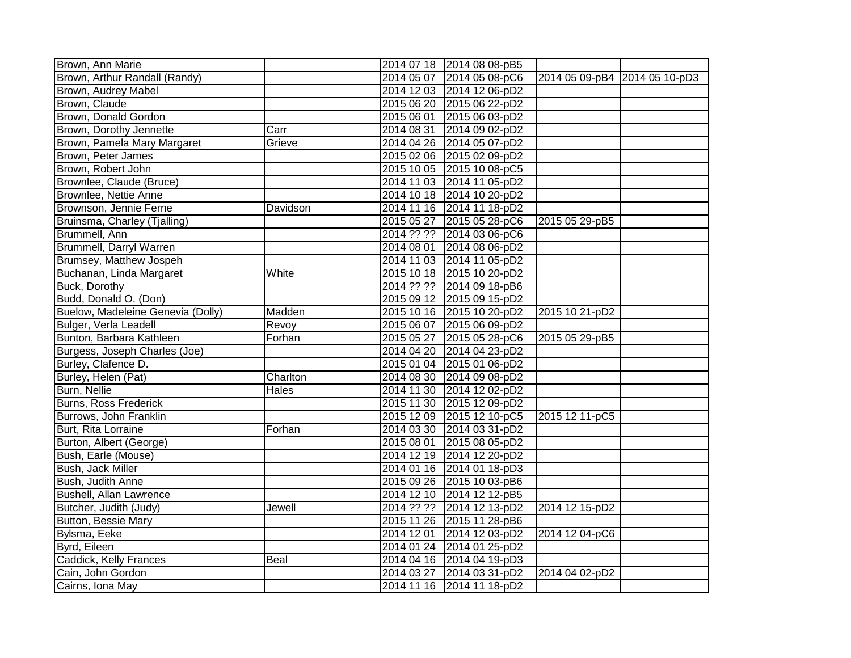| Brown, Ann Marie                  |          |            | 2014 07 18 2014 08 08-pB5 |                               |  |
|-----------------------------------|----------|------------|---------------------------|-------------------------------|--|
| Brown, Arthur Randall (Randy)     |          |            | 2014 05 07 2014 05 08-pC6 | 2014 05 09-pB4 2014 05 10-pD3 |  |
| Brown, Audrey Mabel               |          |            | 2014 12 03 2014 12 06-pD2 |                               |  |
| Brown, Claude                     |          |            | 2015 06 20 2015 06 22-pD2 |                               |  |
| Brown, Donald Gordon              |          |            | 2015 06 01 2015 06 03-pD2 |                               |  |
| Brown, Dorothy Jennette           | Carr     | 2014 08 31 | 2014 09 02-pD2            |                               |  |
| Brown, Pamela Mary Margaret       | Grieve   |            | 2014 04 26 2014 05 07-pD2 |                               |  |
| Brown, Peter James                |          |            | 2015 02 06 2015 02 09-pD2 |                               |  |
| Brown, Robert John                |          |            | 2015 10 05 2015 10 08-pC5 |                               |  |
| Brownlee, Claude (Bruce)          |          |            | 2014 11 03 2014 11 05-pD2 |                               |  |
| Brownlee, Nettie Anne             |          |            | 2014 10 18 2014 10 20-pD2 |                               |  |
| Brownson, Jennie Ferne            | Davidson |            | 2014 11 16 2014 11 18-pD2 |                               |  |
| Bruinsma, Charley (Tjalling)      |          |            | 2015 05 27 2015 05 28-pC6 | 2015 05 29-pB5                |  |
| Brummell, Ann                     |          |            | 2014 ?? ?? 2014 03 06-pC6 |                               |  |
| Brummell, Darryl Warren           |          | 2014 08 01 | 2014 08 06-pD2            |                               |  |
| Brumsey, Matthew Jospeh           |          |            | 2014 11 03 2014 11 05-pD2 |                               |  |
| Buchanan, Linda Margaret          | White    |            | 2015 10 18 2015 10 20-pD2 |                               |  |
| Buck, Dorothy                     |          |            | 2014 ?? ?? 2014 09 18-pB6 |                               |  |
| Budd, Donald O. (Don)             |          |            | 2015 09 12 2015 09 15-pD2 |                               |  |
| Buelow, Madeleine Genevia (Dolly) | Madden   |            | 2015 10 16 2015 10 20-pD2 | 2015 10 21-pD2                |  |
| Bulger, Verla Leadell             | Revoy    |            | 2015 06 07 2015 06 09-pD2 |                               |  |
| Bunton, Barbara Kathleen          | Forhan   |            | 2015 05 27 2015 05 28-pC6 | 2015 05 29-pB5                |  |
| Burgess, Joseph Charles (Joe)     |          |            | 2014 04 20 2014 04 23-pD2 |                               |  |
| Burley, Clafence D.               |          |            | 2015 01 04 2015 01 06-pD2 |                               |  |
| Burley, Helen (Pat)               | Charlton |            | 2014 08 30 2014 09 08-pD2 |                               |  |
| Burn, Nellie                      | Hales    |            | 2014 11 30 2014 12 02-pD2 |                               |  |
| <b>Burns, Ross Frederick</b>      |          |            | 2015 11 30 2015 12 09-pD2 |                               |  |
| Burrows, John Franklin            |          |            | 2015 12 09 2015 12 10-pC5 | 2015 12 11-pC5                |  |
| Burt, Rita Lorraine               | Forhan   |            | 2014 03 30 2014 03 31-pD2 |                               |  |
| Burton, Albert (George)           |          | 2015 08 01 | 2015 08 05-pD2            |                               |  |
| Bush, Earle (Mouse)               |          |            | 2014 12 19 2014 12 20-pD2 |                               |  |
| Bush, Jack Miller                 |          |            | 2014 01 16 2014 01 18-pD3 |                               |  |
| Bush, Judith Anne                 |          |            | 2015 09 26 2015 10 03-pB6 |                               |  |
| <b>Bushell, Allan Lawrence</b>    |          |            | 2014 12 10 2014 12 12-pB5 |                               |  |
| Butcher, Judith (Judy)            | Jewell   | 2014 ?? ?? | 2014 12 13-pD2            | 2014 12 15-pD2                |  |
| Button, Bessie Mary               |          |            | 2015 11 26 2015 11 28-pB6 |                               |  |
| Bylsma, Eeke                      |          | 2014 12 01 | 2014 12 03-pD2            | 2014 12 04-pC6                |  |
| Byrd, Eileen                      |          |            | 2014 01 24 2014 01 25-pD2 |                               |  |
| Caddick, Kelly Frances            | Beal     |            | 2014 04 16 2014 04 19-pD3 |                               |  |
| Cain, John Gordon                 |          | 2014 03 27 | 2014 03 31-pD2            | 2014 04 02-pD2                |  |
| Cairns, Iona May                  |          | 2014 11 16 | 2014 11 18-pD2            |                               |  |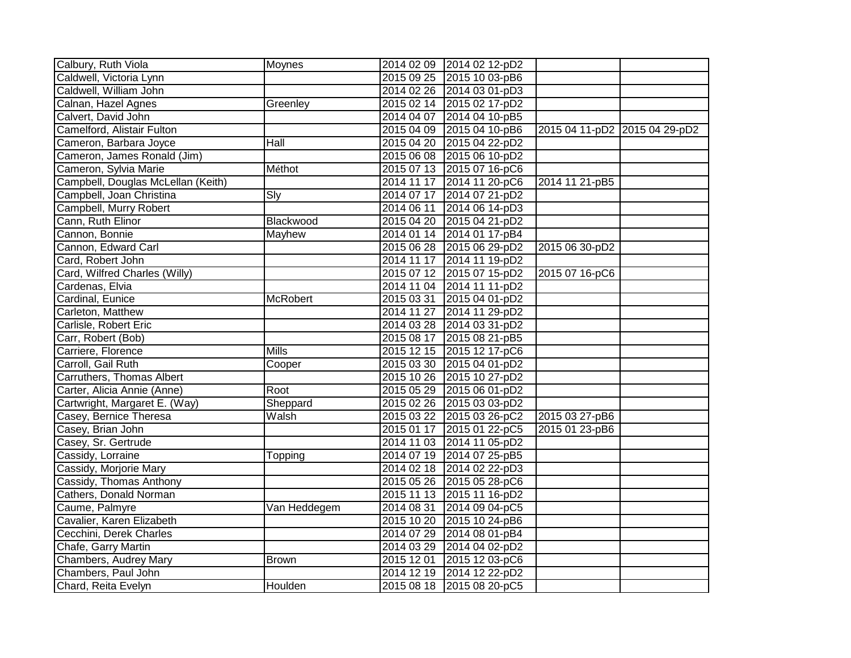| Calbury, Ruth Viola                | Moynes          |            | 2014 02 09 2014 02 12-pD2 |                |                               |
|------------------------------------|-----------------|------------|---------------------------|----------------|-------------------------------|
| Caldwell, Victoria Lynn            |                 |            | 2015 09 25 2015 10 03-pB6 |                |                               |
| Caldwell, William John             |                 |            | 2014 02 26 2014 03 01-pD3 |                |                               |
| Calnan, Hazel Agnes                | Greenley        |            | 2015 02 14 2015 02 17-pD2 |                |                               |
| Calvert, David John                |                 |            | 2014 04 07 2014 04 10-pB5 |                |                               |
| Camelford, Alistair Fulton         |                 |            | 2015 04 09 2015 04 10-pB6 |                | 2015 04 11-pD2 2015 04 29-pD2 |
| Cameron, Barbara Joyce             | Hall            |            | 2015 04 20 2015 04 22-pD2 |                |                               |
| Cameron, James Ronald (Jim)        |                 |            | 2015 06 08 2015 06 10-pD2 |                |                               |
| Cameron, Sylvia Marie              | Méthot          |            | 2015 07 13 2015 07 16-pC6 |                |                               |
| Campbell, Douglas McLellan (Keith) |                 |            | 2014 11 17 2014 11 20-pC6 | 2014 11 21-pB5 |                               |
| Campbell, Joan Christina           | <b>Sly</b>      |            | 2014 07 17 2014 07 21-pD2 |                |                               |
| Campbell, Murry Robert             |                 |            | 2014 06 11 2014 06 14-pD3 |                |                               |
| Cann, Ruth Elinor                  | Blackwood       |            | 2015 04 20 2015 04 21-pD2 |                |                               |
| Cannon, Bonnie                     | Mayhew          |            | 2014 01 14 2014 01 17-pB4 |                |                               |
| Cannon, Edward Carl                |                 |            | 2015 06 28 2015 06 29-pD2 | 2015 06 30-pD2 |                               |
| Card, Robert John                  |                 |            | 2014 11 17 2014 11 19-pD2 |                |                               |
| Card, Wilfred Charles (Willy)      |                 |            | 2015 07 12 2015 07 15-pD2 | 2015 07 16-pC6 |                               |
| Cardenas, Elvia                    |                 |            | 2014 11 04 2014 11 11-pD2 |                |                               |
| Cardinal, Eunice                   | <b>McRobert</b> | 2015 03 31 | 2015 04 01-pD2            |                |                               |
| Carleton, Matthew                  |                 |            | 2014 11 27 2014 11 29-pD2 |                |                               |
| Carlisle, Robert Eric              |                 |            | 2014 03 28 2014 03 31-pD2 |                |                               |
| Carr, Robert (Bob)                 |                 |            | 2015 08 17 2015 08 21-pB5 |                |                               |
| Carriere, Florence                 | <b>Mills</b>    |            | 2015 12 15 2015 12 17-pC6 |                |                               |
| Carroll, Gail Ruth                 | Cooper          |            | 2015 03 30 2015 04 01-pD2 |                |                               |
| Carruthers, Thomas Albert          |                 |            | 2015 10 26 2015 10 27-pD2 |                |                               |
| Carter, Alicia Annie (Anne)        | Root            |            | 2015 05 29 2015 06 01-pD2 |                |                               |
| Cartwright, Margaret E. (Way)      | Sheppard        |            | 2015 02 26 2015 03 03-pD2 |                |                               |
| Casey, Bernice Theresa             | Walsh           |            | 2015 03 22 2015 03 26-pC2 | 2015 03 27-pB6 |                               |
| Casey, Brian John                  |                 |            | 2015 01 17 2015 01 22-pC5 | 2015 01 23-pB6 |                               |
| Casey, Sr. Gertrude                |                 |            | 2014 11 03 2014 11 05-pD2 |                |                               |
| Cassidy, Lorraine                  | Topping         |            | 2014 07 19 2014 07 25-pB5 |                |                               |
| Cassidy, Morjorie Mary             |                 |            | 2014 02 18 2014 02 22-pD3 |                |                               |
| Cassidy, Thomas Anthony            |                 |            | 2015 05 26 2015 05 28-pC6 |                |                               |
| Cathers, Donald Norman             |                 |            | 2015 11 13 2015 11 16-pD2 |                |                               |
| Caume, Palmyre                     | Van Heddegem    |            | 2014 08 31 2014 09 04-pC5 |                |                               |
| Cavalier, Karen Elizabeth          |                 |            | 2015 10 20 2015 10 24-pB6 |                |                               |
| Cecchini, Derek Charles            |                 | 2014 07 29 | 2014 08 01-pB4            |                |                               |
| Chafe, Garry Martin                |                 | 2014 03 29 | 2014 04 02-pD2            |                |                               |
| Chambers, Audrey Mary              | <b>Brown</b>    | 2015 12 01 | 2015 12 03-pC6            |                |                               |
| Chambers, Paul John                |                 |            | 2014 12 19 2014 12 22-pD2 |                |                               |
| Chard, Reita Evelyn                | Houlden         |            | 2015 08 18 2015 08 20-pC5 |                |                               |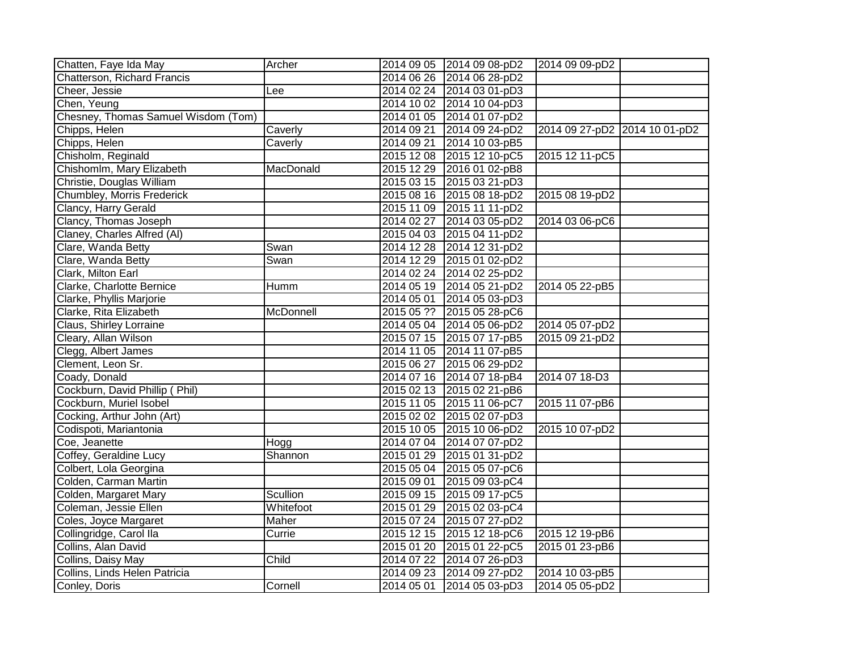| Chatten, Faye Ida May               | Archer    | 2014 09 05 2014 09 08-pD2<br>2014 09 09-pD2                   |  |
|-------------------------------------|-----------|---------------------------------------------------------------|--|
| Chatterson, Richard Francis         |           | 2014 06 26 2014 06 28-pD2                                     |  |
| Cheer, Jessie                       | Lee       | 2014 02 24 2014 03 01-pD3                                     |  |
| Chen, Yeung                         |           | 2014 10 02 2014 10 04-pD3                                     |  |
| Chesney, Thomas Samuel Wisdom (Tom) |           | 2014 01 05 2014 01 07-pD2                                     |  |
| Chipps, Helen                       | Caverly   | 2014 09 21<br>2014 09 24-pD2<br>2014 09 27-pD2 2014 10 01-pD2 |  |
| Chipps, Helen                       | Caverly   | 2014 10 03-pB5<br>2014 09 21                                  |  |
| Chisholm, Reginald                  |           | 2015 12 08 2015 12 10-pC5<br>2015 12 11-pC5                   |  |
| Chishomlm, Mary Elizabeth           | MacDonald | 2015 12 29 2016 01 02-pB8                                     |  |
| Christie, Douglas William           |           | 2015 03 15 2015 03 21-pD3                                     |  |
| Chumbley, Morris Frederick          |           | 2015 08 16 2015 08 18-pD2<br>2015 08 19-pD2                   |  |
| Clancy, Harry Gerald                |           | 2015 11 09 2015 11 11-pD2                                     |  |
| Clancy, Thomas Joseph               |           | 2014 02 27 2014 03 05-pD2<br>2014 03 06-pC6                   |  |
| Claney, Charles Alfred (Al)         |           | 2015 04 03 2015 04 11-pD2                                     |  |
| Clare, Wanda Betty                  | Swan      | 2014 12 28 2014 12 31-pD2                                     |  |
| Clare, Wanda Betty                  | Swan      | 2014 12 29 2015 01 02-pD2                                     |  |
| Clark, Milton Earl                  |           | 2014 02 24 2014 02 25-pD2                                     |  |
| Clarke, Charlotte Bernice           | Humm      | 2014 05 19 2014 05 21-pD2<br>2014 05 22-pB5                   |  |
| Clarke, Phyllis Marjorie            |           | 2014 05 01 2014 05 03-pD3                                     |  |
| Clarke, Rita Elizabeth              | McDonnell | 2015 05 ?? 2015 05 28-pC6                                     |  |
| Claus, Shirley Lorraine             |           | 2014 05 04 2014 05 06-pD2<br>2014 05 07-pD2                   |  |
| Cleary, Allan Wilson                |           | 2015 07 15 2015 07 17-pB5<br>2015 09 21-pD2                   |  |
| Clegg, Albert James                 |           | 2014 11 05 2014 11 07-pB5                                     |  |
| Clement, Leon Sr.                   |           | 2015 06 27 2015 06 29-pD2                                     |  |
| Coady, Donald                       |           | 2014 07 16 2014 07 18-pB4<br>2014 07 18-D3                    |  |
| Cockburn, David Phillip (Phil)      |           | 2015 02 13 2015 02 21-pB6                                     |  |
| Cockburn, Muriel Isobel             |           | 2015 11 05 2015 11 06-pC7<br>2015 11 07-pB6                   |  |
| Cocking, Arthur John (Art)          |           | 2015 02 02 2015 02 07-pD3                                     |  |
| Codispoti, Mariantonia              |           | 2015 10 05 2015 10 06-pD2<br>2015 10 07-pD2                   |  |
| Coe, Jeanette                       | Hogg      | 2014 07 04 2014 07 07-pD2                                     |  |
| Coffey, Geraldine Lucy              | Shannon   | 2015 01 29 2015 01 31-pD2                                     |  |
| Colbert, Lola Georgina              |           | 2015 05 04 2015 05 07-pC6                                     |  |
| Colden, Carman Martin               |           | 2015 09 01 2015 09 03-pC4                                     |  |
| Colden, Margaret Mary               | Scullion  | 2015 09 15 2015 09 17-pC5                                     |  |
| Coleman, Jessie Ellen               | Whitefoot | 2015 01 29 2015 02 03-pC4                                     |  |
| Coles, Joyce Margaret               | Maher     | 2015 07 24 2015 07 27-pD2                                     |  |
| Collingridge, Carol Ila             | Currie    | 2015 12 15 2015 12 18-pC6<br>2015 12 19-pB6                   |  |
| Collins, Alan David                 |           | 2015 01 20 2015 01 22-pC5<br>2015 01 23-pB6                   |  |
| Collins, Daisy May                  | Child     | 2014 07 22 2014 07 26-pD3                                     |  |
| Collins, Linds Helen Patricia       |           | 2014 09 23 2014 09 27-pD2<br>2014 10 03-pB5                   |  |
| Conley, Doris                       | Cornell   | 2014 05 05-pD2<br>2014 05 01<br>2014 05 03-pD3                |  |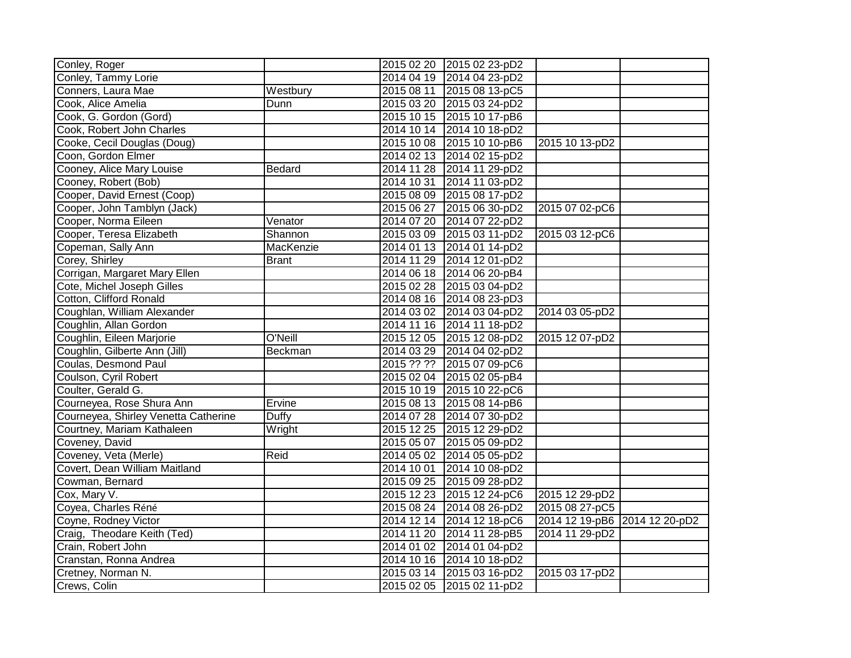| Conley, Roger                        |               | 2015 02 20 2015 02 23-pD2 |                |                               |
|--------------------------------------|---------------|---------------------------|----------------|-------------------------------|
| Conley, Tammy Lorie                  |               | 2014 04 19 2014 04 23-pD2 |                |                               |
| Conners, Laura Mae                   | Westbury      | 2015 08 11 2015 08 13-pC5 |                |                               |
| Cook, Alice Amelia                   | Dunn          | 2015 03 20 2015 03 24-pD2 |                |                               |
| Cook, G. Gordon (Gord)               |               | 2015 10 15 2015 10 17-pB6 |                |                               |
| Cook, Robert John Charles            |               | 2014 10 14 2014 10 18-pD2 |                |                               |
| Cooke, Cecil Douglas (Doug)          |               | 2015 10 08 2015 10 10-pB6 | 2015 10 13-pD2 |                               |
| Coon, Gordon Elmer                   |               | 2014 02 13 2014 02 15-pD2 |                |                               |
| Cooney, Alice Mary Louise            | <b>Bedard</b> | 2014 11 28 2014 11 29-pD2 |                |                               |
| Cooney, Robert (Bob)                 |               | 2014 10 31 2014 11 03-pD2 |                |                               |
| Cooper, David Ernest (Coop)          |               | 2015 08 09 2015 08 17-pD2 |                |                               |
| Cooper, John Tamblyn (Jack)          |               | 2015 06 27 2015 06 30-pD2 | 2015 07 02-pC6 |                               |
| Cooper, Norma Eileen                 | Venator       | 2014 07 20 2014 07 22-pD2 |                |                               |
| Cooper, Teresa Elizabeth             | Shannon       | 2015 03 09 2015 03 11-pD2 | 2015 03 12-pC6 |                               |
| Copeman, Sally Ann                   | MacKenzie     | 2014 01 13 2014 01 14-pD2 |                |                               |
| Corey, Shirley                       | <b>Brant</b>  | 2014 11 29 2014 12 01-pD2 |                |                               |
| Corrigan, Margaret Mary Ellen        |               | 2014 06 18 2014 06 20-pB4 |                |                               |
| Cote, Michel Joseph Gilles           |               | 2015 02 28 2015 03 04-pD2 |                |                               |
| Cotton, Clifford Ronald              |               | 2014 08 16 2014 08 23-pD3 |                |                               |
| Coughlan, William Alexander          |               | 2014 03 02 2014 03 04-pD2 | 2014 03 05-pD2 |                               |
| Coughlin, Allan Gordon               |               | 2014 11 16 2014 11 18-pD2 |                |                               |
| Coughlin, Eileen Marjorie            | O'Neill       | 2015 12 05 2015 12 08-pD2 | 2015 12 07-pD2 |                               |
| Coughlin, Gilberte Ann (Jill)        | Beckman       | 2014 03 29 2014 04 02-pD2 |                |                               |
| Coulas, Desmond Paul                 |               | 2015 ?? ?? 2015 07 09-pC6 |                |                               |
| Coulson, Cyril Robert                |               | 2015 02 04 2015 02 05-pB4 |                |                               |
| Coulter, Gerald G.                   |               | 2015 10 19 2015 10 22-pC6 |                |                               |
| Courneyea, Rose Shura Ann            | Ervine        | 2015 08 13 2015 08 14-pB6 |                |                               |
| Courneyea, Shirley Venetta Catherine | Duffy         | 2014 07 28 2014 07 30-pD2 |                |                               |
| Courtney, Mariam Kathaleen           | Wright        | 2015 12 25 2015 12 29-pD2 |                |                               |
| Coveney, David                       |               | 2015 05 07 2015 05 09-pD2 |                |                               |
| Coveney, Veta (Merle)                | Reid          | 2014 05 02 2014 05 05-pD2 |                |                               |
| Covert, Dean William Maitland        |               | 2014 10 01 2014 10 08-pD2 |                |                               |
| Cowman, Bernard                      |               | 2015 09 25 2015 09 28-pD2 |                |                               |
| Cox, Mary V.                         |               | 2015 12 23 2015 12 24-pC6 | 2015 12 29-pD2 |                               |
| Coyea, Charles Réné                  |               | 2015 08 24 2014 08 26-pD2 | 2015 08 27-pC5 |                               |
| Coyne, Rodney Victor                 |               | 2014 12 14 2014 12 18-pC6 |                | 2014 12 19-pB6 2014 12 20-pD2 |
| Craig, Theodare Keith (Ted)          |               | 2014 11 20 2014 11 28-pB5 | 2014 11 29-pD2 |                               |
| Crain, Robert John                   |               | 2014 01 02 2014 01 04-pD2 |                |                               |
| Cranstan, Ronna Andrea               |               | 2014 10 16 2014 10 18-pD2 |                |                               |
| Cretney, Norman N.                   |               | 2015 03 14 2015 03 16-pD2 | 2015 03 17-pD2 |                               |
| Crews, Colin                         |               | 2015 02 05 2015 02 11-pD2 |                |                               |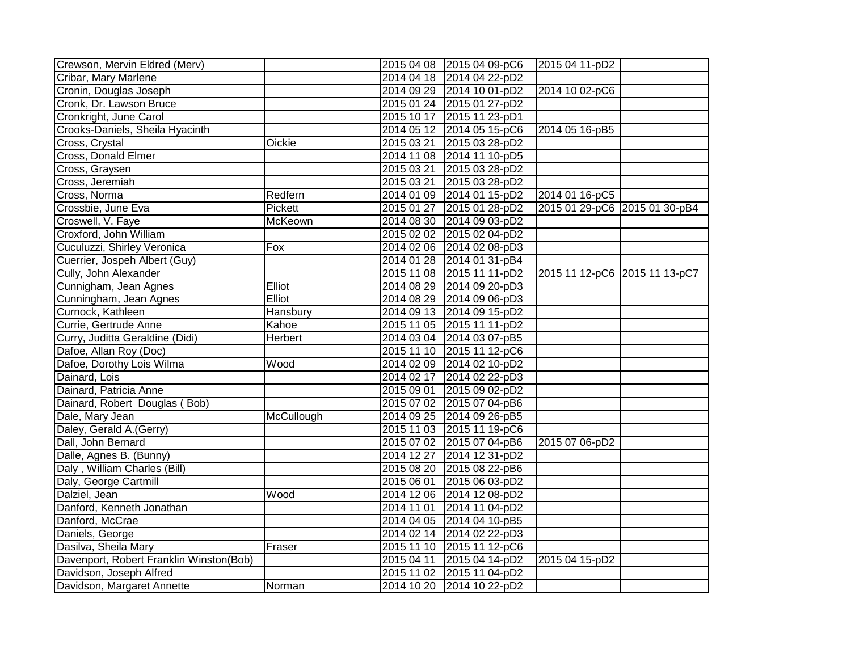| Crewson, Mervin Eldred (Merv)           |                |            | 2015 04 08 2015 04 09-pC6 | 2015 04 11-pD2                |  |
|-----------------------------------------|----------------|------------|---------------------------|-------------------------------|--|
| Cribar, Mary Marlene                    |                |            | 2014 04 18 2014 04 22-pD2 |                               |  |
| Cronin, Douglas Joseph                  |                |            | 2014 09 29 2014 10 01-pD2 | 2014 10 02-pC6                |  |
| Cronk, Dr. Lawson Bruce                 |                |            | 2015 01 24 2015 01 27-pD2 |                               |  |
| Cronkright, June Carol                  |                |            | 2015 10 17 2015 11 23-pD1 |                               |  |
| Crooks-Daniels, Sheila Hyacinth         |                |            | 2014 05 12 2014 05 15-pC6 | 2014 05 16-pB5                |  |
| Cross, Crystal                          | Oickie         |            | 2015 03 21 2015 03 28-pD2 |                               |  |
| Cross, Donald Elmer                     |                |            | 2014 11 08 2014 11 10-pD5 |                               |  |
| Cross, Graysen                          |                |            | 2015 03 21 2015 03 28-pD2 |                               |  |
| Cross, Jeremiah                         |                |            | 2015 03 21 2015 03 28-pD2 |                               |  |
| Cross, Norma                            | Redfern        |            | 2014 01 09 2014 01 15-pD2 | 2014 01 16-pC5                |  |
| Crossbie, June Eva                      | Pickett        |            | 2015 01 27 2015 01 28-pD2 | 2015 01 29-pC6 2015 01 30-pB4 |  |
| Croswell, V. Faye                       | McKeown        |            | 2014 08 30 2014 09 03-pD2 |                               |  |
| Croxford, John William                  |                |            | 2015 02 02 2015 02 04-pD2 |                               |  |
| Cuculuzzi, Shirley Veronica             | Fox            |            | 2014 02 06 2014 02 08-pD3 |                               |  |
| Cuerrier, Jospeh Albert (Guy)           |                |            | 2014 01 28 2014 01 31-pB4 |                               |  |
| Cully, John Alexander                   |                |            | 2015 11 08 2015 11 11-pD2 | 2015 11 12-pC6 2015 11 13-pC7 |  |
| Cunnigham, Jean Agnes                   | Elliot         |            | 2014 08 29 2014 09 20-pD3 |                               |  |
| Cunningham, Jean Agnes                  | <b>Elliot</b>  |            | 2014 08 29 2014 09 06-pD3 |                               |  |
| Curnock, Kathleen                       | Hansbury       |            | 2014 09 13 2014 09 15-pD2 |                               |  |
| Currie, Gertrude Anne                   | Kahoe          |            | 2015 11 05 2015 11 11-pD2 |                               |  |
| Curry, Juditta Geraldine (Didi)         | <b>Herbert</b> |            | 2014 03 04 2014 03 07-pB5 |                               |  |
| Dafoe, Allan Roy (Doc)                  |                |            | 2015 11 10 2015 11 12-pC6 |                               |  |
| Dafoe, Dorothy Lois Wilma               | Wood           |            | 2014 02 09 2014 02 10-pD2 |                               |  |
| Dainard, Lois                           |                |            | 2014 02 17 2014 02 22-pD3 |                               |  |
| Dainard, Patricia Anne                  |                |            | 2015 09 01 2015 09 02-pD2 |                               |  |
| Dainard, Robert Douglas (Bob)           |                |            | 2015 07 02 2015 07 04-pB6 |                               |  |
| Dale, Mary Jean                         | McCullough     |            | 2014 09 25 2014 09 26-pB5 |                               |  |
| Daley, Gerald A.(Gerry)                 |                |            | 2015 11 03 2015 11 19-pC6 |                               |  |
| Dall, John Bernard                      |                |            | 2015 07 02 2015 07 04-pB6 | 2015 07 06-pD2                |  |
| Dalle, Agnes B. (Bunny)                 |                |            | 2014 12 27 2014 12 31-pD2 |                               |  |
| Daly, William Charles (Bill)            |                |            | 2015 08 20 2015 08 22-pB6 |                               |  |
| Daly, George Cartmill                   |                |            | 2015 06 01 2015 06 03-pD2 |                               |  |
| Dalziel, Jean                           | Wood           |            | 2014 12 06 2014 12 08-pD2 |                               |  |
| Danford, Kenneth Jonathan               |                |            | 2014 11 01 2014 11 04-pD2 |                               |  |
| Danford, McCrae                         |                |            | 2014 04 05 2014 04 10-pB5 |                               |  |
| Daniels, George                         |                |            | 2014 02 14 2014 02 22-pD3 |                               |  |
| Dasilva, Sheila Mary                    | Fraser         |            | 2015 11 10 2015 11 12-pC6 |                               |  |
| Davenport, Robert Franklin Winston(Bob) |                | 2015 04 11 | 2015 04 14-pD2            | 2015 04 15-pD2                |  |
| Davidson, Joseph Alfred                 |                |            | 2015 11 02 2015 11 04-pD2 |                               |  |
| Davidson, Margaret Annette              | Norman         |            | 2014 10 20 2014 10 22-pD2 |                               |  |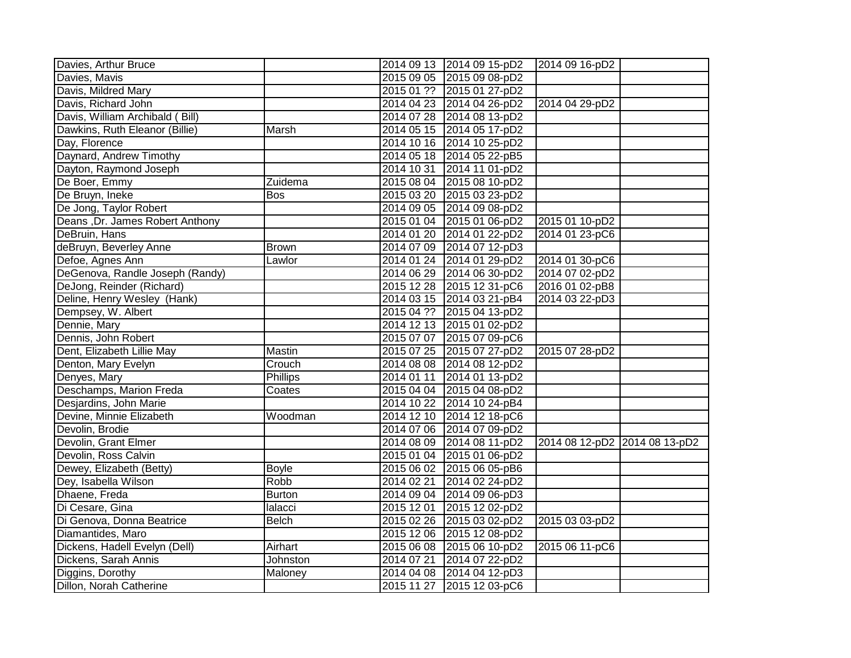| Davies, Arthur Bruce            |                 |            | 2014 09 13 2014 09 15-pD2 | 2014 09 16-pD2                |  |
|---------------------------------|-----------------|------------|---------------------------|-------------------------------|--|
| Davies, Mavis                   |                 |            | 2015 09 05 2015 09 08-pD2 |                               |  |
| Davis, Mildred Mary             |                 |            | 2015 01 ?? 2015 01 27-pD2 |                               |  |
| Davis, Richard John             |                 |            | 2014 04 23 2014 04 26-pD2 | 2014 04 29-pD2                |  |
| Davis, William Archibald (Bill) |                 |            | 2014 07 28 2014 08 13-pD2 |                               |  |
| Dawkins, Ruth Eleanor (Billie)  | Marsh           |            | 2014 05 15 2014 05 17-pD2 |                               |  |
| Day, Florence                   |                 |            | 2014 10 16 2014 10 25-pD2 |                               |  |
| Daynard, Andrew Timothy         |                 |            | 2014 05 18 2014 05 22-pB5 |                               |  |
| Dayton, Raymond Joseph          |                 | 2014 10 31 | 2014 11 01-pD2            |                               |  |
| De Boer, Emmy                   | Zuidema         |            | 2015 08 04 2015 08 10-pD2 |                               |  |
| De Bruyn, Ineke                 | <b>Bos</b>      | 2015 03 20 | 2015 03 23-pD2            |                               |  |
| De Jong, Taylor Robert          |                 | 2014 09 05 | 2014 09 08-pD2            |                               |  |
| Deans, Dr. James Robert Anthony |                 |            | 2015 01 04 2015 01 06-pD2 | 2015 01 10-pD2                |  |
| DeBruin, Hans                   |                 |            | 2014 01 20 2014 01 22-pD2 | 2014 01 23-pC6                |  |
| deBruyn, Beverley Anne          | <b>Brown</b>    |            | 2014 07 09 2014 07 12-pD3 |                               |  |
| Defoe, Agnes Ann                | Lawlor          |            | 2014 01 24 2014 01 29-pD2 | 2014 01 30-pC6                |  |
| DeGenova, Randle Joseph (Randy) |                 |            | 2014 06 29 2014 06 30-pD2 | 2014 07 02-pD2                |  |
| DeJong, Reinder (Richard)       |                 |            | 2015 12 28 2015 12 31-pC6 | 2016 01 02-pB8                |  |
| Deline, Henry Wesley (Hank)     |                 |            | 2014 03 15 2014 03 21-pB4 | 2014 03 22-pD3                |  |
| Dempsey, W. Albert              |                 |            | 2015 04 ?? 2015 04 13-pD2 |                               |  |
| Dennie, Mary                    |                 |            | 2014 12 13 2015 01 02-pD2 |                               |  |
| Dennis, John Robert             |                 |            | 2015 07 07 2015 07 09-pC6 |                               |  |
| Dent, Elizabeth Lillie May      | Mastin          |            | 2015 07 25 2015 07 27-pD2 | 2015 07 28-pD2                |  |
| Denton, Mary Evelyn             | Crouch          |            | 2014 08 08 2014 08 12-pD2 |                               |  |
| Denyes, Mary                    | <b>Phillips</b> | 2014 01 11 | 2014 01 13-pD2            |                               |  |
| Deschamps, Marion Freda         | Coates          |            | 2015 04 04 2015 04 08-pD2 |                               |  |
| Desjardins, John Marie          |                 |            | 2014 10 22 2014 10 24-pB4 |                               |  |
| Devine, Minnie Elizabeth        | Woodman         |            | 2014 12 10 2014 12 18-pC6 |                               |  |
| Devolin, Brodie                 |                 |            | 2014 07 06 2014 07 09-pD2 |                               |  |
| Devolin, Grant Elmer            |                 |            | 2014 08 09 2014 08 11-pD2 | 2014 08 12-pD2 2014 08 13-pD2 |  |
| Devolin, Ross Calvin            |                 |            | 2015 01 04 2015 01 06-pD2 |                               |  |
| Dewey, Elizabeth (Betty)        | <b>Boyle</b>    |            | 2015 06 02 2015 06 05-pB6 |                               |  |
| Dey, Isabella Wilson            | Robb            | 2014 02 21 | 2014 02 24-pD2            |                               |  |
| Dhaene, Freda                   | <b>Burton</b>   | 2014 09 04 | 2014 09 06-pD3            |                               |  |
| Di Cesare, Gina                 | lalacci         | 2015 12 01 | 2015 12 02-pD2            |                               |  |
| Di Genova, Donna Beatrice       | <b>Belch</b>    |            | 2015 02 26 2015 03 02-pD2 | 2015 03 03-pD2                |  |
| Diamantides, Maro               |                 | 2015 12 06 | 2015 12 08-pD2            |                               |  |
| Dickens, Hadell Evelyn (Dell)   | Airhart         | 2015 06 08 | 2015 06 10-pD2            | 2015 06 11-pC6                |  |
| Dickens, Sarah Annis            | <b>Johnston</b> | 2014 07 21 | 2014 07 22-pD2            |                               |  |
| Diggins, Dorothy                | Maloney         | 2014 04 08 | 2014 04 12-pD3            |                               |  |
| Dillon, Norah Catherine         |                 |            | 2015 11 27 2015 12 03-pC6 |                               |  |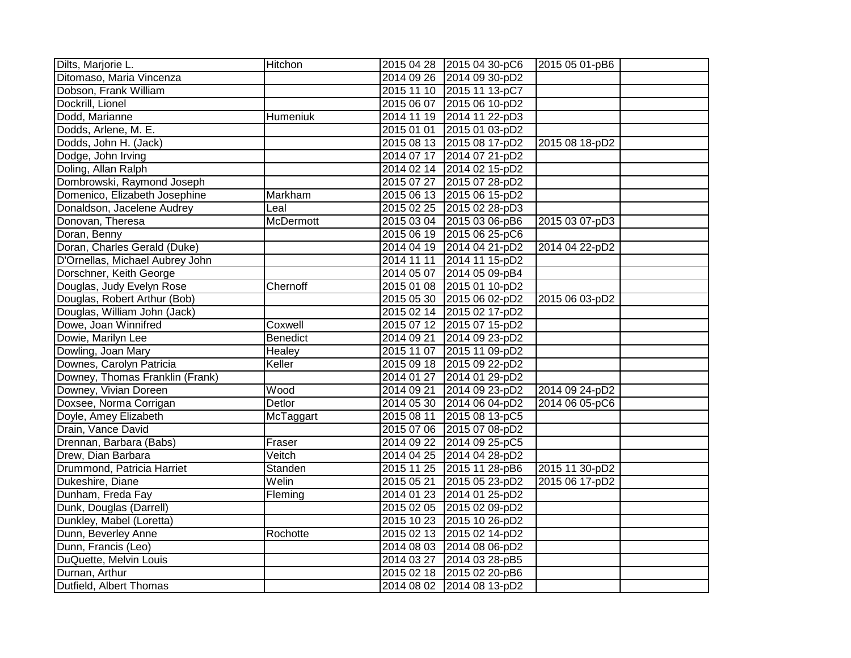| Dilts, Marjorie L.              | Hitchon          | 2015 04 28 2015 04 30-pC6<br>2015 05 01-pB6    |
|---------------------------------|------------------|------------------------------------------------|
| Ditomaso, Maria Vincenza        |                  | 2014 09 26 2014 09 30-pD2                      |
| Dobson, Frank William           |                  | 2015 11 10 2015 11 13-pC7                      |
| Dockrill, Lionel                |                  | 2015 06 07 2015 06 10-pD2                      |
| Dodd, Marianne                  | Humeniuk         | 2014 11 19 2014 11 22-pD3                      |
| Dodds, Arlene, M. E.            |                  | 2015 01 01<br>2015 01 03-pD2                   |
| Dodds, John H. (Jack)           |                  | 2015 08 13 2015 08 17-pD2<br>2015 08 18-pD2    |
| Dodge, John Irving              |                  | 2014 07 17 2014 07 21-pD2                      |
| Doling, Allan Ralph             |                  | 2014 02 14 2014 02 15-pD2                      |
| Dombrowski, Raymond Joseph      |                  | 2015 07 27 2015 07 28-pD2                      |
| Domenico, Elizabeth Josephine   | <b>Markham</b>   | 2015 06 13 2015 06 15-pD2                      |
| Donaldson, Jacelene Audrey      | Leal             | 2015 02 25 2015 02 28-pD3                      |
| Donovan, Theresa                | <b>McDermott</b> | 2015 03 04 2015 03 06-pB6<br>2015 03 07-pD3    |
| Doran, Benny                    |                  | 2015 06 19 2015 06 25-pC6                      |
| Doran, Charles Gerald (Duke)    |                  | 2014 04 19 2014 04 21-pD2<br>2014 04 22-pD2    |
| D'Ornellas, Michael Aubrey John |                  | 2014 11 11 2014 11 15-pD2                      |
| Dorschner, Keith George         |                  | 2014 05 07 2014 05 09-pB4                      |
| Douglas, Judy Evelyn Rose       | Chernoff         | 2015 01 08 2015 01 10-pD2                      |
| Douglas, Robert Arthur (Bob)    |                  | 2015 06 03-pD2<br>2015 05 30 2015 06 02-pD2    |
| Douglas, William John (Jack)    |                  | 2015 02 14 2015 02 17-pD2                      |
| Dowe, Joan Winnifred            | Coxwell          | 2015 07 12 2015 07 15-pD2                      |
| Dowie, Marilyn Lee              | Benedict         | 2014 09 21<br>2014 09 23-pD2                   |
| Dowling, Joan Mary              | Healey           | 2015 11 07 2015 11 09-pD2                      |
| Downes, Carolyn Patricia        | Keller           | 2015 09 18 2015 09 22-pD2                      |
| Downey, Thomas Franklin (Frank) |                  | 2014 01 27 2014 01 29-pD2                      |
| Downey, Vivian Doreen           | Wood             | 2014 09 21 2014 09 23-pD2<br>2014 09 24-pD2    |
| Doxsee, Norma Corrigan          | Detlor           | 2014 05 30 2014 06 04-pD2<br>2014 06 05-pC6    |
| Doyle, Amey Elizabeth           | McTaggart        | 2015 08 11<br>2015 08 13-pC5                   |
| Drain, Vance David              |                  | 2015 07 06 2015 07 08-pD2                      |
| Drennan, Barbara (Babs)         | Fraser           | 2014 09 22 2014 09 25-pC5                      |
| Drew, Dian Barbara              | Veitch           | 2014 04 25 2014 04 28-pD2                      |
| Drummond, Patricia Harriet      | Standen          | 2015 11 30-pD2<br>2015 11 25 2015 11 28-pB6    |
| Dukeshire, Diane                | Welin            | 2015 06 17-pD2<br>2015 05 21<br>2015 05 23-pD2 |
| Dunham, Freda Fay               | Fleming          | 2014 01 23 2014 01 25-pD2                      |
| Dunk, Douglas (Darrell)         |                  | 2015 02 05 2015 02 09-pD2                      |
| Dunkley, Mabel (Loretta)        |                  | 2015 10 23 2015 10 26-pD2                      |
| Dunn, Beverley Anne             | Rochotte         | 2015 02 13 2015 02 14-pD2                      |
| Dunn, Francis (Leo)             |                  | 2014 08 03 2014 08 06-pD2                      |
| DuQuette, Melvin Louis          |                  | 2014 03 27 2014 03 28-pB5                      |
| Durnan, Arthur                  |                  | 2015 02 18 2015 02 20-pB6                      |
| Dutfield, Albert Thomas         |                  | 2014 08 02 2014 08 13-pD2                      |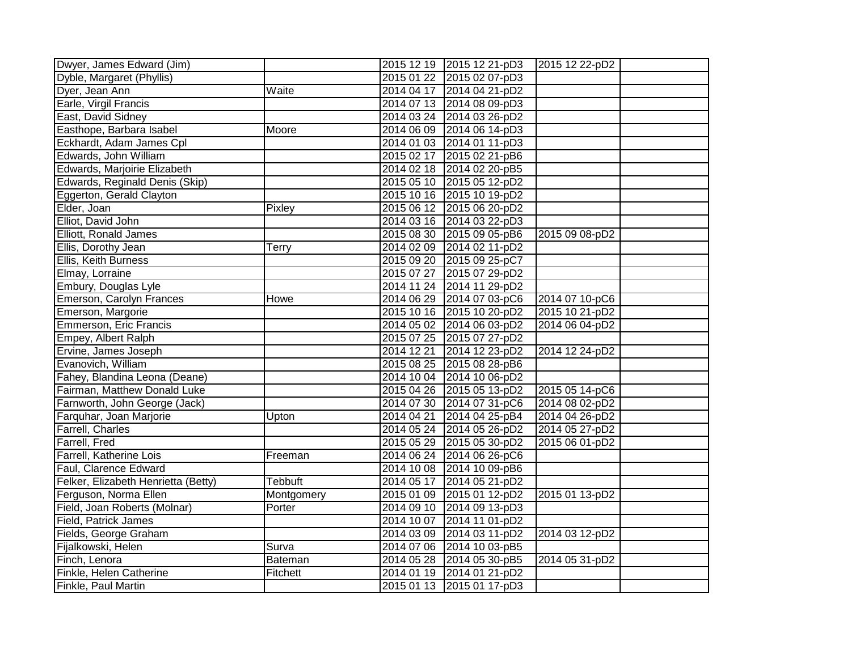| Dwyer, James Edward (Jim)           |            |            | 2015 12 19 2015 12 21-pD3 | 2015 12 22-pD2 |
|-------------------------------------|------------|------------|---------------------------|----------------|
| Dyble, Margaret (Phyllis)           |            |            | 2015 01 22 2015 02 07-pD3 |                |
| Dyer, Jean Ann                      | Waite      |            | 2014 04 17 2014 04 21-pD2 |                |
| Earle, Virgil Francis               |            |            | 2014 07 13 2014 08 09-pD3 |                |
| East, David Sidney                  |            |            | 2014 03 24 2014 03 26-pD2 |                |
| Easthope, Barbara Isabel            | Moore      | 2014 06 09 | 2014 06 14-pD3            |                |
| Eckhardt, Adam James Cpl            |            | 2014 01 03 | 2014 01 11-pD3            |                |
| Edwards, John William               |            | 2015 02 17 | 2015 02 21-pB6            |                |
| Edwards, Marjoirie Elizabeth        |            |            | 2014 02 18 2014 02 20-pB5 |                |
| Edwards, Reginald Denis (Skip)      |            | 2015 05 10 | 2015 05 12-pD2            |                |
| Eggerton, Gerald Clayton            |            | 2015 10 16 | 2015 10 19-pD2            |                |
| Elder, Joan                         | Pixley     | 2015 06 12 | 2015 06 20-pD2            |                |
| Elliot, David John                  |            |            | 2014 03 16 2014 03 22-pD3 |                |
| Elliott, Ronald James               |            |            | 2015 08 30 2015 09 05-pB6 | 2015 09 08-pD2 |
| Ellis, Dorothy Jean                 | Terry      | 2014 02 09 | 2014 02 11-pD2            |                |
| Ellis, Keith Burness                |            | 2015 09 20 | 2015 09 25-pC7            |                |
| Elmay, Lorraine                     |            | 2015 07 27 | 2015 07 29-pD2            |                |
| Embury, Douglas Lyle                |            |            | 2014 11 24 2014 11 29-pD2 |                |
| Emerson, Carolyn Frances            | Howe       |            | 2014 06 29 2014 07 03-pC6 | 2014 07 10-pC6 |
| Emerson, Margorie                   |            | 2015 10 16 | 2015 10 20-pD2            | 2015 10 21-pD2 |
| Emmerson, Eric Francis              |            | 2014 05 02 | 2014 06 03-pD2            | 2014 06 04-pD2 |
| Empey, Albert Ralph                 |            |            | 2015 07 25 2015 07 27-pD2 |                |
| Ervine, James Joseph                |            | 2014 12 21 | 2014 12 23-pD2            | 2014 12 24-pD2 |
| Evanovich, William                  |            | 2015 08 25 | 2015 08 28-pB6            |                |
| Fahey, Blandina Leona (Deane)       |            | 2014 10 04 | 2014 10 06-pD2            |                |
| Fairman, Matthew Donald Luke        |            |            | 2015 04 26 2015 05 13-pD2 | 2015 05 14-pC6 |
| Farnworth, John George (Jack)       |            | 2014 07 30 | 2014 07 31-pC6            | 2014 08 02-pD2 |
| Farquhar, Joan Marjorie             | Upton      | 2014 04 21 | 2014 04 25-pB4            | 2014 04 26-pD2 |
| Farrell, Charles                    |            | 2014 05 24 | 2014 05 26-pD2            | 2014 05 27-pD2 |
| Farrell, Fred                       |            | 2015 05 29 | 2015 05 30-pD2            | 2015 06 01-pD2 |
| Farrell, Katherine Lois             | Freeman    | 2014 06 24 | 2014 06 26-pC6            |                |
| Faul, Clarence Edward               |            | 2014 10 08 | 2014 10 09-pB6            |                |
| Felker, Elizabeth Henrietta (Betty) | Tebbuft    | 2014 05 17 | 2014 05 21-pD2            |                |
| Ferguson, Norma Ellen               | Montgomery | 2015 01 09 | 2015 01 12-pD2            | 2015 01 13-pD2 |
| Field, Joan Roberts (Molnar)        | Porter     | 2014 09 10 | 2014 09 13-pD3            |                |
| Field, Patrick James                |            | 2014 10 07 | 2014 11 01-pD2            |                |
| Fields, George Graham               |            | 2014 03 09 | 2014 03 11-pD2            | 2014 03 12-pD2 |
| Fijalkowski, Helen                  | Surva      | 2014 07 06 | 2014 10 03-pB5            |                |
| Finch, Lenora                       | Bateman    | 2014 05 28 | 2014 05 30-pB5            | 2014 05 31-pD2 |
| Finkle, Helen Catherine             | Fitchett   | 2014 01 19 | 2014 01 21-pD2            |                |
| Finkle, Paul Martin                 |            |            | 2015 01 13 2015 01 17-pD3 |                |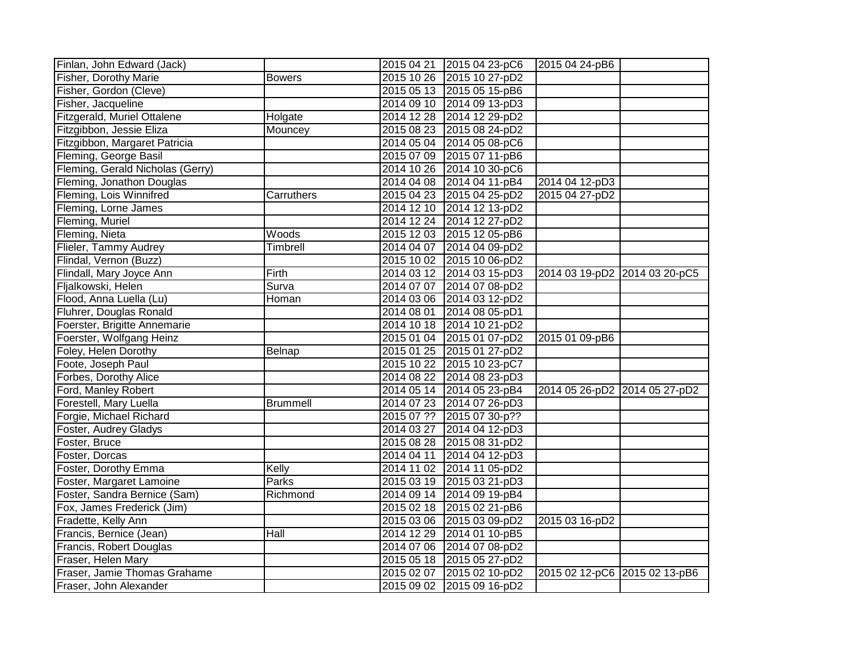| Finlan, John Edward (Jack)       |                 |            | 2015 04 21 2015 04 23-pC6 | 2015 04 24-pB6                |  |
|----------------------------------|-----------------|------------|---------------------------|-------------------------------|--|
| Fisher, Dorothy Marie            | <b>Bowers</b>   |            | 2015 10 26 2015 10 27-pD2 |                               |  |
| Fisher, Gordon (Cleve)           |                 |            | 2015 05 13 2015 05 15-pB6 |                               |  |
| Fisher, Jacqueline               |                 |            | 2014 09 10 2014 09 13-pD3 |                               |  |
| Fitzgerald, Muriel Ottalene      | Holgate         |            | 2014 12 28 2014 12 29-pD2 |                               |  |
| Fitzgibbon, Jessie Eliza         | Mouncey         |            | 2015 08 23 2015 08 24-pD2 |                               |  |
| Fitzgibbon, Margaret Patricia    |                 |            | 2014 05 04 2014 05 08-pC6 |                               |  |
| Fleming, George Basil            |                 |            | 2015 07 09 2015 07 11-pB6 |                               |  |
| Fleming, Gerald Nicholas (Gerry) |                 |            | 2014 10 26 2014 10 30-pC6 |                               |  |
| Fleming, Jonathon Douglas        |                 |            | 2014 04 08 2014 04 11-pB4 | 2014 04 12-pD3                |  |
| Fleming, Lois Winnifred          | Carruthers      |            | 2015 04 23 2015 04 25-pD2 | 2015 04 27-pD2                |  |
| Fleming, Lorne James             |                 |            | 2014 12 10 2014 12 13-pD2 |                               |  |
| Fleming, Muriel                  |                 |            | 2014 12 24 2014 12 27-pD2 |                               |  |
| Fleming, Nieta                   | Woods           |            | 2015 12 03 2015 12 05-pB6 |                               |  |
| Flieler, Tammy Audrey            | Timbrell        |            | 2014 04 07 2014 04 09-pD2 |                               |  |
| Flindal, Vernon (Buzz)           |                 |            | 2015 10 02 2015 10 06-pD2 |                               |  |
| Flindall, Mary Joyce Ann         | Firth           |            | 2014 03 12 2014 03 15-pD3 | 2014 03 19-pD2 2014 03 20-pC5 |  |
| Fljalkowski, Helen               | Surva           |            | 2014 07 07 2014 07 08-pD2 |                               |  |
| Flood, Anna Luella (Lu)          | Homan           |            | 2014 03 06 2014 03 12-pD2 |                               |  |
| Fluhrer, Douglas Ronald          |                 |            | 2014 08 01 2014 08 05-pD1 |                               |  |
| Foerster, Brigitte Annemarie     |                 |            | 2014 10 18 2014 10 21-pD2 |                               |  |
| Foerster, Wolfgang Heinz         |                 |            | 2015 01 04 2015 01 07-pD2 | 2015 01 09-pB6                |  |
| Foley, Helen Dorothy             | Belnap          |            | 2015 01 25 2015 01 27-pD2 |                               |  |
| Foote, Joseph Paul               |                 |            | 2015 10 22 2015 10 23-pC7 |                               |  |
| Forbes, Dorothy Alice            |                 |            | 2014 08 22 2014 08 23-pD3 |                               |  |
| Ford, Manley Robert              |                 |            | 2014 05 14 2014 05 23-pB4 | 2014 05 26-pD2 2014 05 27-pD2 |  |
| Forestell, Mary Luella           | <b>Brummell</b> |            | 2014 07 23 2014 07 26-pD3 |                               |  |
| Forgie, Michael Richard          |                 |            | 2015 07 ?? 2015 07 30-p?? |                               |  |
| Foster, Audrey Gladys            |                 |            | 2014 03 27 2014 04 12-pD3 |                               |  |
| Foster, Bruce                    |                 |            | 2015 08 28 2015 08 31-pD2 |                               |  |
| Foster, Dorcas                   |                 |            | 2014 04 11 2014 04 12-pD3 |                               |  |
| Foster, Dorothy Emma             | Kelly           |            | 2014 11 02 2014 11 05-pD2 |                               |  |
| Foster, Margaret Lamoine         | <b>Parks</b>    |            | 2015 03 19 2015 03 21-pD3 |                               |  |
| Foster, Sandra Bernice (Sam)     | Richmond        |            | 2014 09 14 2014 09 19-pB4 |                               |  |
| Fox, James Frederick (Jim)       |                 |            | 2015 02 18 2015 02 21-pB6 |                               |  |
| Fradette, Kelly Ann              |                 |            | 2015 03 06 2015 03 09-pD2 | 2015 03 16-pD2                |  |
| Francis, Bernice (Jean)          | Hall            |            | 2014 12 29 2014 01 10-pB5 |                               |  |
| Francis, Robert Douglas          |                 |            | 2014 07 06 2014 07 08-pD2 |                               |  |
| Fraser, Helen Mary               |                 |            | 2015 05 18 2015 05 27-pD2 |                               |  |
| Fraser, Jamie Thomas Grahame     |                 | 2015 02 07 | 2015 02 10-pD2            | 2015 02 12-pC6 2015 02 13-pB6 |  |
| Fraser, John Alexander           |                 |            | 2015 09 02 2015 09 16-pD2 |                               |  |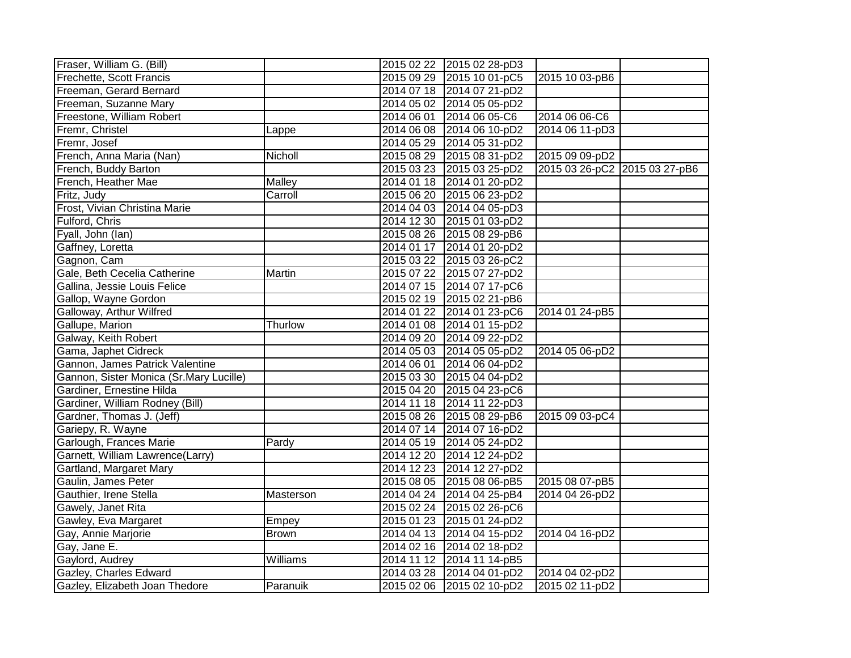| Fraser, William G. (Bill)               |              | 2015 02 22 2015 02 28-pD3 |                               |  |
|-----------------------------------------|--------------|---------------------------|-------------------------------|--|
| Frechette, Scott Francis                |              | 2015 09 29 2015 10 01-pC5 | 2015 10 03-pB6                |  |
| Freeman, Gerard Bernard                 |              | 2014 07 18 2014 07 21-pD2 |                               |  |
| Freeman, Suzanne Mary                   |              | 2014 05 02 2014 05 05-pD2 |                               |  |
| Freestone, William Robert               |              | 2014 06 01 2014 06 05-C6  | 2014 06 06-C6                 |  |
| Fremr, Christel                         | Lappe        | 2014 06 08 2014 06 10-pD2 | 2014 06 11-pD3                |  |
| Fremr, Josef                            |              | 2014 05 29 2014 05 31-pD2 |                               |  |
| French, Anna Maria (Nan)                | Nicholl      | 2015 08 29 2015 08 31-pD2 | 2015 09 09-pD2                |  |
| French, Buddy Barton                    |              | 2015 03 23 2015 03 25-pD2 | 2015 03 26-pC2 2015 03 27-pB6 |  |
| French, Heather Mae                     | Malley       | 2014 01 18 2014 01 20-pD2 |                               |  |
| Fritz, Judy                             | Carroll      | 2015 06 20 2015 06 23-pD2 |                               |  |
| Frost, Vivian Christina Marie           |              | 2014 04 03 2014 04 05-pD3 |                               |  |
| Fulford, Chris                          |              | 2014 12 30 2015 01 03-pD2 |                               |  |
| Fyall, John (lan)                       |              | 2015 08 26 2015 08 29-pB6 |                               |  |
| Gaffney, Loretta                        |              | 2014 01 17 2014 01 20-pD2 |                               |  |
| Gagnon, Cam                             |              | 2015 03 22 2015 03 26-pC2 |                               |  |
| Gale, Beth Cecelia Catherine            | Martin       | 2015 07 22 2015 07 27-pD2 |                               |  |
| Gallina, Jessie Louis Felice            |              | 2014 07 15 2014 07 17-pC6 |                               |  |
| Gallop, Wayne Gordon                    |              | 2015 02 19 2015 02 21-pB6 |                               |  |
| Galloway, Arthur Wilfred                |              | 2014 01 22 2014 01 23-pC6 | 2014 01 24-pB5                |  |
| Gallupe, Marion                         | Thurlow      | 2014 01 08 2014 01 15-pD2 |                               |  |
| Galway, Keith Robert                    |              | 2014 09 20 2014 09 22-pD2 |                               |  |
| Gama, Japhet Cidreck                    |              | 2014 05 03 2014 05 05-pD2 | 2014 05 06-pD2                |  |
| Gannon, James Patrick Valentine         |              | 2014 06 01 2014 06 04-pD2 |                               |  |
| Gannon, Sister Monica (Sr.Mary Lucille) |              | 2015 03 30 2015 04 04-pD2 |                               |  |
| Gardiner, Ernestine Hilda               |              | 2015 04 20 2015 04 23-pC6 |                               |  |
| Gardiner, William Rodney (Bill)         |              | 2014 11 18 2014 11 22-pD3 |                               |  |
| Gardner, Thomas J. (Jeff)               |              | 2015 08 26 2015 08 29-pB6 | 2015 09 03-pC4                |  |
| Gariepy, R. Wayne                       |              | 2014 07 14 2014 07 16-pD2 |                               |  |
| Garlough, Frances Marie                 | Pardy        | 2014 05 19 2014 05 24-pD2 |                               |  |
| Garnett, William Lawrence(Larry)        |              | 2014 12 20 2014 12 24-pD2 |                               |  |
| Gartland, Margaret Mary                 |              | 2014 12 23 2014 12 27-pD2 |                               |  |
| Gaulin, James Peter                     |              | 2015 08 05 2015 08 06-pB5 | 2015 08 07-pB5                |  |
| Gauthier, Irene Stella                  | Masterson    | 2014 04 24 2014 04 25-pB4 | 2014 04 26-pD2                |  |
| Gawely, Janet Rita                      |              | 2015 02 24 2015 02 26-pC6 |                               |  |
| Gawley, Eva Margaret                    | Empey        | 2015 01 23 2015 01 24-pD2 |                               |  |
| Gay, Annie Marjorie                     | <b>Brown</b> | 2014 04 13 2014 04 15-pD2 | 2014 04 16-pD2                |  |
| Gay, Jane E.                            |              | 2014 02 16 2014 02 18-pD2 |                               |  |
| Gaylord, Audrey                         | Williams     | 2014 11 12 2014 11 14-pB5 |                               |  |
| Gazley, Charles Edward                  |              | 2014 03 28 2014 04 01-pD2 | 2014 04 02-pD2                |  |
| Gazley, Elizabeth Joan Thedore          | Paranuik     | 2015 02 06 2015 02 10-pD2 | 2015 02 11-pD2                |  |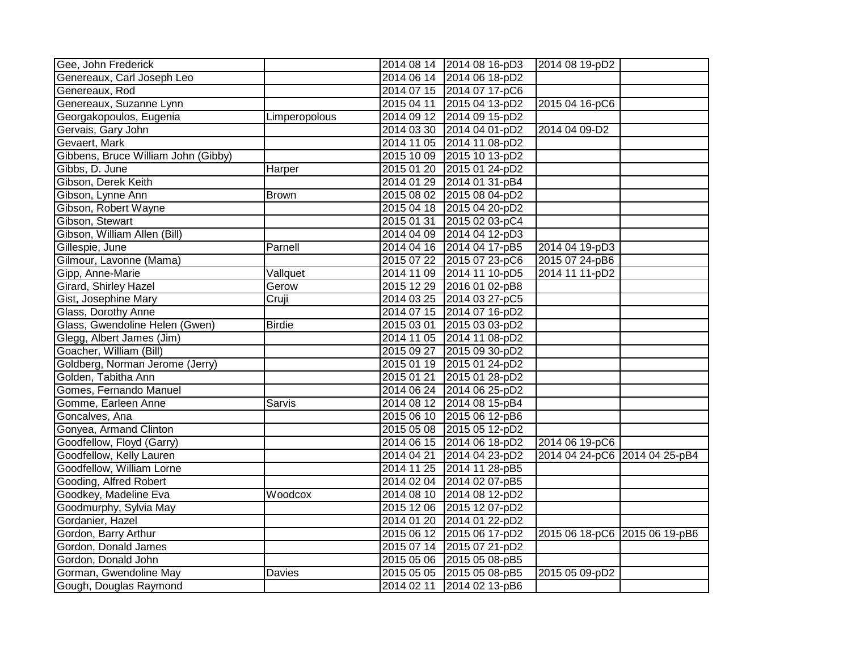| Gee, John Frederick                 |               |            | 2014 08 14 2014 08 16-pD3 | 2014 08 19-pD2                |  |
|-------------------------------------|---------------|------------|---------------------------|-------------------------------|--|
| Genereaux, Carl Joseph Leo          |               |            | 2014 06 14 2014 06 18-pD2 |                               |  |
| Genereaux, Rod                      |               |            | 2014 07 15 2014 07 17-pC6 |                               |  |
| Genereaux, Suzanne Lynn             |               | 2015 04 11 | 2015 04 13-pD2            | 2015 04 16-pC6                |  |
| Georgakopoulos, Eugenia             | Limperopolous |            | 2014 09 12 2014 09 15-pD2 |                               |  |
| Gervais, Gary John                  |               | 2014 03 30 | 2014 04 01-pD2            | 2014 04 09-D2                 |  |
| Gevaert, Mark                       |               | 2014 11 05 | 2014 11 08-pD2            |                               |  |
| Gibbens, Bruce William John (Gibby) |               | 2015 10 09 | 2015 10 13-pD2            |                               |  |
| Gibbs, D. June                      | Harper        | 2015 01 20 | 2015 01 24-pD2            |                               |  |
| Gibson, Derek Keith                 |               | 2014 01 29 | 2014 01 31-pB4            |                               |  |
| Gibson, Lynne Ann                   | <b>Brown</b>  | 2015 08 02 | 2015 08 04-pD2            |                               |  |
| Gibson, Robert Wayne                |               |            | 2015 04 18 2015 04 20-pD2 |                               |  |
| Gibson, Stewart                     |               | 2015 01 31 | 2015 02 03-pC4            |                               |  |
| Gibson, William Allen (Bill)        |               |            | 2014 04 09 2014 04 12-pD3 |                               |  |
| Gillespie, June                     | Parnell       |            | 2014 04 16 2014 04 17-pB5 | 2014 04 19-pD3                |  |
| Gilmour, Lavonne (Mama)             |               | 2015 07 22 | 2015 07 23-pC6            | 2015 07 24-pB6                |  |
| Gipp, Anne-Marie                    | Vallquet      |            | 2014 11 09 2014 11 10-pD5 | 2014 11 11-pD2                |  |
| Girard, Shirley Hazel               | Gerow         |            | 2015 12 29 2016 01 02-pB8 |                               |  |
| Gist, Josephine Mary                | Cruji         |            | 2014 03 25 2014 03 27-pC5 |                               |  |
| Glass, Dorothy Anne                 |               | 2014 07 15 | 2014 07 16-pD2            |                               |  |
| Glass, Gwendoline Helen (Gwen)      | <b>Birdie</b> | 2015 03 01 | 2015 03 03-pD2            |                               |  |
| Glegg, Albert James (Jim)           |               |            | 2014 11 05 2014 11 08-pD2 |                               |  |
| Goacher, William (Bill)             |               |            | 2015 09 27 2015 09 30-pD2 |                               |  |
| Goldberg, Norman Jerome (Jerry)     |               |            | 2015 01 19 2015 01 24-pD2 |                               |  |
| Golden, Tabitha Ann                 |               | 2015 01 21 | 2015 01 28-pD2            |                               |  |
| Gomes, Fernando Manuel              |               |            | 2014 06 24 2014 06 25-pD2 |                               |  |
| Gomme, Earleen Anne                 | Sarvis        | 2014 08 12 | 2014 08 15-pB4            |                               |  |
| Goncalves, Ana                      |               |            | 2015 06 10 2015 06 12-pB6 |                               |  |
| Gonyea, Armand Clinton              |               |            | 2015 05 08 2015 05 12-pD2 |                               |  |
| Goodfellow, Floyd (Garry)           |               |            | 2014 06 15 2014 06 18-pD2 | 2014 06 19-pC6                |  |
| Goodfellow, Kelly Lauren            |               | 2014 04 21 | 2014 04 23-pD2            | 2014 04 24-pC6 2014 04 25-pB4 |  |
| Goodfellow, William Lorne           |               |            | 2014 11 25 2014 11 28-pB5 |                               |  |
| Gooding, Alfred Robert              |               |            | 2014 02 04 2014 02 07-pB5 |                               |  |
| Goodkey, Madeline Eva               | Woodcox       | 2014 08 10 | 2014 08 12-pD2            |                               |  |
| Goodmurphy, Sylvia May              |               | 2015 12 06 | 2015 12 07-pD2            |                               |  |
| Gordanier, Hazel                    |               | 2014 01 20 | 2014 01 22-pD2            |                               |  |
| Gordon, Barry Arthur                |               | 2015 06 12 | 2015 06 17-pD2            | 2015 06 18-pC6 2015 06 19-pB6 |  |
| Gordon, Donald James                |               | 2015 07 14 | 2015 07 21-pD2            |                               |  |
| Gordon, Donald John                 |               | 2015 05 06 | 2015 05 08-pB5            |                               |  |
| Gorman, Gwendoline May              | Davies        |            | 2015 05 05 2015 05 08-pB5 | 2015 05 09-pD2                |  |
| Gough, Douglas Raymond              |               |            | 2014 02 11 2014 02 13-pB6 |                               |  |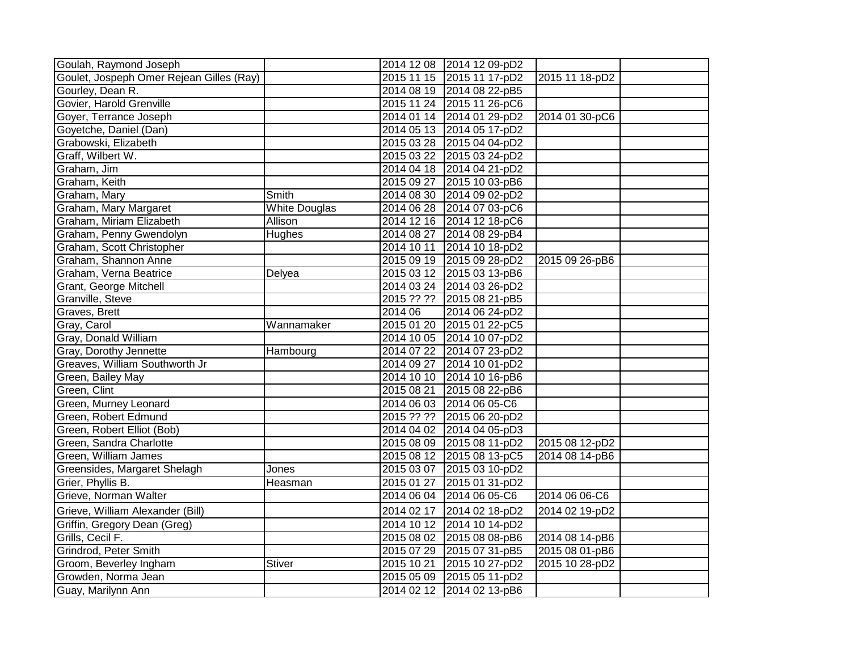| Goulah, Raymond Joseph                   |                      |            | 2014 12 08 2014 12 09-pD2 |                |  |
|------------------------------------------|----------------------|------------|---------------------------|----------------|--|
| Goulet, Jospeph Omer Rejean Gilles (Ray) |                      |            | 2015 11 15 2015 11 17-pD2 | 2015 11 18-pD2 |  |
| Gourley, Dean R.                         |                      |            | 2014 08 19 2014 08 22-pB5 |                |  |
| Govier, Harold Grenville                 |                      |            | 2015 11 24 2015 11 26-pC6 |                |  |
| Goyer, Terrance Joseph                   |                      |            | 2014 01 14 2014 01 29-pD2 | 2014 01 30-pC6 |  |
| Goyetche, Daniel (Dan)                   |                      |            | 2014 05 13 2014 05 17-pD2 |                |  |
| Grabowski, Elizabeth                     |                      |            | 2015 03 28 2015 04 04-pD2 |                |  |
| Graff, Wilbert W.                        |                      |            | 2015 03 22 2015 03 24-pD2 |                |  |
| Graham, Jim                              |                      |            | 2014 04 18 2014 04 21-pD2 |                |  |
| Graham, Keith                            |                      |            | 2015 09 27 2015 10 03-pB6 |                |  |
| Graham, Mary                             | Smith                |            | 2014 08 30 2014 09 02-pD2 |                |  |
| Graham, Mary Margaret                    | <b>White Douglas</b> |            | 2014 06 28 2014 07 03-pC6 |                |  |
| Graham, Miriam Elizabeth                 | Allison              |            | 2014 12 16 2014 12 18-pC6 |                |  |
| Graham, Penny Gwendolyn                  | <b>Hughes</b>        |            | 2014 08 27 2014 08 29-pB4 |                |  |
| Graham, Scott Christopher                |                      | 2014 10 11 | 2014 10 18-pD2            |                |  |
| Graham, Shannon Anne                     |                      |            | 2015 09 19 2015 09 28-pD2 | 2015 09 26-pB6 |  |
| Graham, Verna Beatrice                   | Delyea               |            | 2015 03 12 2015 03 13-pB6 |                |  |
| Grant, George Mitchell                   |                      |            | 2014 03 24 2014 03 26-pD2 |                |  |
| Granville, Steve                         |                      | 2015 ?? ?? | 2015 08 21-pB5            |                |  |
| Graves, Brett                            |                      | 2014 06    | 2014 06 24-pD2            |                |  |
| Gray, Carol                              | Wannamaker           |            | 2015 01 20 2015 01 22-pC5 |                |  |
| Gray, Donald William                     |                      |            | 2014 10 05 2014 10 07-pD2 |                |  |
| Gray, Dorothy Jennette                   | Hambourg             |            | 2014 07 22 2014 07 23-pD2 |                |  |
| Greaves, William Southworth Jr           |                      | 2014 09 27 | 2014 10 01-pD2            |                |  |
| Green, Bailey May                        |                      |            | 2014 10 10 2014 10 16-pB6 |                |  |
| Green, Clint                             |                      | 2015 08 21 | 2015 08 22-pB6            |                |  |
| Green, Murney Leonard                    |                      |            | 2014 06 03 2014 06 05-C6  |                |  |
| Green, Robert Edmund                     |                      |            | 2015 ?? ?? 2015 06 20-pD2 |                |  |
| Green, Robert Elliot (Bob)               |                      |            | 2014 04 02 2014 04 05-pD3 |                |  |
| Green, Sandra Charlotte                  |                      |            | 2015 08 09 2015 08 11-pD2 | 2015 08 12-pD2 |  |
| Green, William James                     |                      |            | 2015 08 12 2015 08 13-pC5 | 2014 08 14-pB6 |  |
| Greensides, Margaret Shelagh             | Jones                |            | 2015 03 07 2015 03 10-pD2 |                |  |
| Grier, Phyllis B.                        | Heasman              | 2015 01 27 | 2015 01 31-pD2            |                |  |
| Grieve, Norman Walter                    |                      | 2014 06 04 | 2014 06 05-C6             | 2014 06 06-C6  |  |
| Grieve, William Alexander (Bill)         |                      | 2014 02 17 | 2014 02 18-pD2            | 2014 02 19-pD2 |  |
| Griffin, Gregory Dean (Greg)             |                      | 2014 10 12 | 2014 10 14-pD2            |                |  |
| Grills, Cecil F.                         |                      |            | 2015 08 02 2015 08 08-pB6 | 2014 08 14-pB6 |  |
| Grindrod, Peter Smith                    |                      |            | 2015 07 29 2015 07 31-pB5 | 2015 08 01-pB6 |  |
| Groom, Beverley Ingham                   | <b>Stiver</b>        | 2015 10 21 | 2015 10 27-pD2            | 2015 10 28-pD2 |  |
| Growden, Norma Jean                      |                      |            | 2015 05 09 2015 05 11-pD2 |                |  |
| Guay, Marilynn Ann                       |                      | 2014 02 12 | 2014 02 13-pB6            |                |  |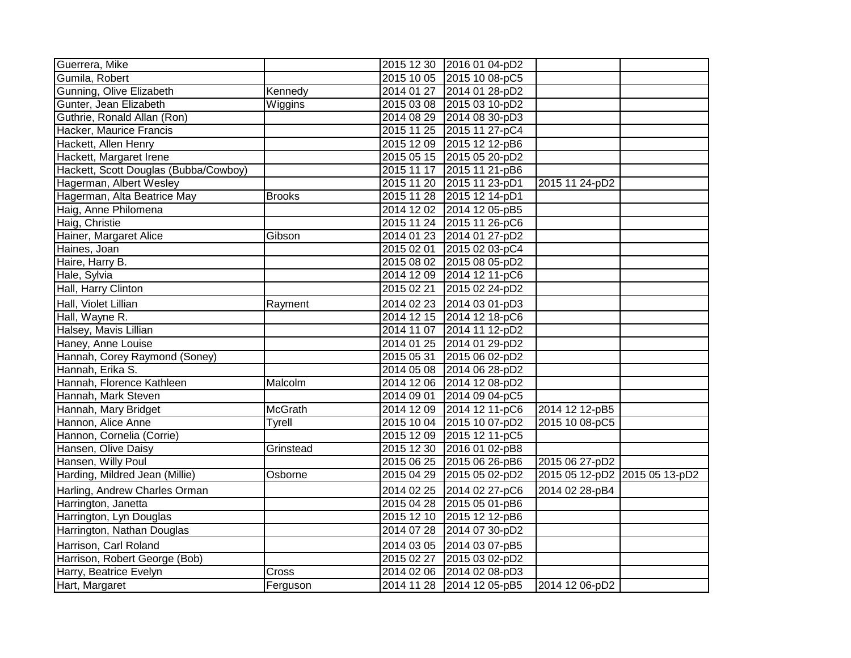| Guerrera, Mike                        |                |            | 2015 12 30 2016 01 04-pD2 |                               |  |
|---------------------------------------|----------------|------------|---------------------------|-------------------------------|--|
| Gumila, Robert                        |                |            | 2015 10 05 2015 10 08-pC5 |                               |  |
| Gunning, Olive Elizabeth              | Kennedy        |            | 2014 01 27 2014 01 28-pD2 |                               |  |
| Gunter, Jean Elizabeth                | Wiggins        |            | 2015 03 08 2015 03 10-pD2 |                               |  |
| Guthrie, Ronald Allan (Ron)           |                |            | 2014 08 29 2014 08 30-pD3 |                               |  |
| Hacker, Maurice Francis               |                |            | 2015 11 25 2015 11 27-pC4 |                               |  |
| Hackett, Allen Henry                  |                |            | 2015 12 09 2015 12 12-pB6 |                               |  |
| Hackett, Margaret Irene               |                |            | 2015 05 15 2015 05 20-pD2 |                               |  |
| Hackett, Scott Douglas (Bubba/Cowboy) |                |            | 2015 11 17 2015 11 21-pB6 |                               |  |
| Hagerman, Albert Wesley               |                |            | 2015 11 20 2015 11 23-pD1 | 2015 11 24-pD2                |  |
| Hagerman, Alta Beatrice May           | <b>Brooks</b>  |            | 2015 11 28 2015 12 14-pD1 |                               |  |
| Haig, Anne Philomena                  |                |            | 2014 12 02 2014 12 05-pB5 |                               |  |
| Haig, Christie                        |                |            | 2015 11 24 2015 11 26-pC6 |                               |  |
| Hainer, Margaret Alice                | Gibson         |            | 2014 01 23 2014 01 27-pD2 |                               |  |
| Haines, Joan                          |                |            | 2015 02 01 2015 02 03-pC4 |                               |  |
| Haire, Harry B.                       |                |            | 2015 08 02 2015 08 05-pD2 |                               |  |
| Hale, Sylvia                          |                |            | 2014 12 09 2014 12 11-pC6 |                               |  |
| Hall, Harry Clinton                   |                | 2015 02 21 | 2015 02 24-pD2            |                               |  |
| Hall, Violet Lillian                  | Rayment        | 2014 02 23 | 2014 03 01-pD3            |                               |  |
| Hall, Wayne R.                        |                | 2014 12 15 | 2014 12 18-pC6            |                               |  |
| Halsey, Mavis Lillian                 |                |            | 2014 11 07 2014 11 12-pD2 |                               |  |
| Haney, Anne Louise                    |                |            | 2014 01 25 2014 01 29-pD2 |                               |  |
| Hannah, Corey Raymond (Soney)         |                |            | 2015 05 31 2015 06 02-pD2 |                               |  |
| Hannah, Erika S.                      |                |            | 2014 05 08 2014 06 28-pD2 |                               |  |
| Hannah, Florence Kathleen             | Malcolm        |            | 2014 12 06 2014 12 08-pD2 |                               |  |
| Hannah, Mark Steven                   |                |            | 2014 09 01 2014 09 04-pC5 |                               |  |
| Hannah, Mary Bridget                  | <b>McGrath</b> |            | 2014 12 09 2014 12 11-pC6 | 2014 12 12-pB5                |  |
| Hannon, Alice Anne                    | Tyrell         |            | 2015 10 04 2015 10 07-pD2 | 2015 10 08-pC5                |  |
| Hannon, Cornelia (Corrie)             |                |            | 2015 12 09 2015 12 11-pC5 |                               |  |
| Hansen, Olive Daisy                   | Grinstead      |            | 2015 12 30 2016 01 02-pB8 |                               |  |
| Hansen, Willy Poul                    |                |            | 2015 06 25 2015 06 26-pB6 | 2015 06 27-pD2                |  |
| Harding, Mildred Jean (Millie)        | Osborne        | 2015 04 29 | 2015 05 02-pD2            | 2015 05 12-pD2 2015 05 13-pD2 |  |
| Harling, Andrew Charles Orman         |                |            | 2014 02 25 2014 02 27-pC6 | 2014 02 28-pB4                |  |
| Harrington, Janetta                   |                | 2015 04 28 | 2015 05 01-pB6            |                               |  |
| Harrington, Lyn Douglas               |                | 2015 12 10 | 2015 12 12-pB6            |                               |  |
| Harrington, Nathan Douglas            |                | 2014 07 28 | 2014 07 30-pD2            |                               |  |
| Harrison, Carl Roland                 |                | 2014 03 05 | 2014 03 07-pB5            |                               |  |
| Harrison, Robert George (Bob)         |                | 2015 02 27 | 2015 03 02-pD2            |                               |  |
| Harry, Beatrice Evelyn                | Cross          |            | 2014 02 06 2014 02 08-pD3 |                               |  |
| Hart, Margaret                        | Ferguson       | 2014 11 28 | 2014 12 05-pB5            | 2014 12 06-pD2                |  |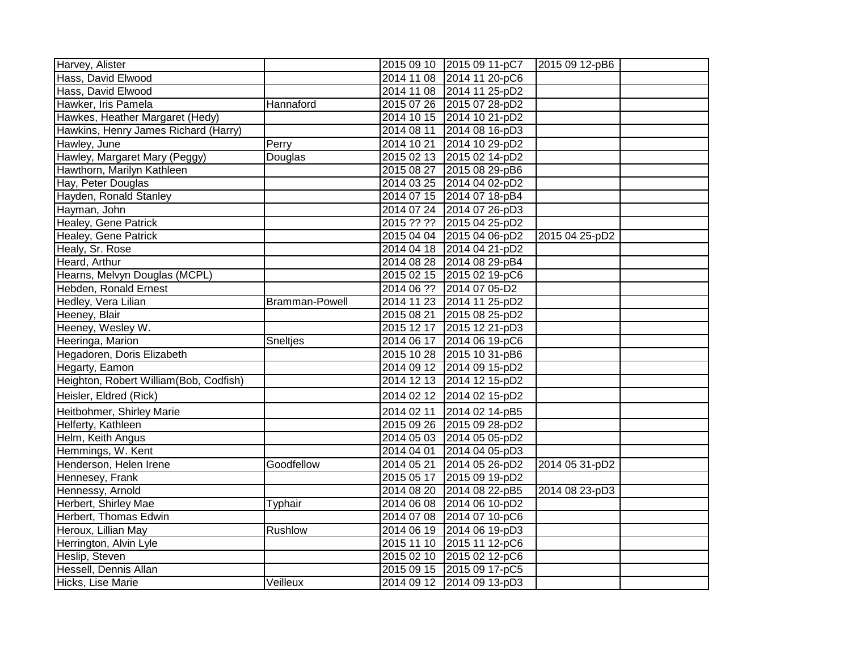| Harvey, Alister                        |                       |            | 2015 09 10 2015 09 11-pC7 | 2015 09 12-pB6 |  |
|----------------------------------------|-----------------------|------------|---------------------------|----------------|--|
| Hass, David Elwood                     |                       |            | 2014 11 08 2014 11 20-pC6 |                |  |
| Hass, David Elwood                     |                       |            | 2014 11 08 2014 11 25-pD2 |                |  |
| Hawker, Iris Pamela                    | Hannaford             |            | 2015 07 26 2015 07 28-pD2 |                |  |
| Hawkes, Heather Margaret (Hedy)        |                       |            | 2014 10 15 2014 10 21-pD2 |                |  |
| Hawkins, Henry James Richard (Harry)   |                       | 2014 08 11 | 2014 08 16-pD3            |                |  |
| Hawley, June                           | Perry                 | 2014 10 21 | 2014 10 29-pD2            |                |  |
| Hawley, Margaret Mary (Peggy)          | Douglas               |            | 2015 02 13 2015 02 14-pD2 |                |  |
| Hawthorn, Marilyn Kathleen             |                       | 2015 08 27 | 2015 08 29-pB6            |                |  |
| Hay, Peter Douglas                     |                       |            | 2014 03 25 2014 04 02-pD2 |                |  |
| Hayden, Ronald Stanley                 |                       |            | 2014 07 15 2014 07 18-pB4 |                |  |
| Hayman, John                           |                       | 2014 07 24 | 2014 07 26-pD3            |                |  |
| Healey, Gene Patrick                   |                       | 2015 ?? ?? | 2015 04 25-pD2            |                |  |
| Healey, Gene Patrick                   |                       |            | 2015 04 04 2015 04 06-pD2 | 2015 04 25-pD2 |  |
| Healy, Sr. Rose                        |                       |            | 2014 04 18 2014 04 21-pD2 |                |  |
| Heard, Arthur                          |                       |            | 2014 08 28 2014 08 29-pB4 |                |  |
| Hearns, Melvyn Douglas (MCPL)          |                       |            | 2015 02 15 2015 02 19-pC6 |                |  |
| Hebden, Ronald Ernest                  |                       |            | 2014 06 ?? 2014 07 05-D2  |                |  |
| Hedley, Vera Lilian                    | <b>Bramman-Powell</b> |            | 2014 11 23 2014 11 25-pD2 |                |  |
| Heeney, Blair                          |                       | 2015 08 21 | 2015 08 25-pD2            |                |  |
| Heeney, Wesley W.                      |                       |            | 2015 12 17 2015 12 21-pD3 |                |  |
| Heeringa, Marion                       | <b>Sneltjes</b>       |            | 2014 06 17 2014 06 19-pC6 |                |  |
| Hegadoren, Doris Elizabeth             |                       |            | 2015 10 28 2015 10 31-pB6 |                |  |
| Hegarty, Eamon                         |                       |            | 2014 09 12 2014 09 15-pD2 |                |  |
| Heighton, Robert William(Bob, Codfish) |                       | 2014 12 13 | 2014 12 15-pD2            |                |  |
| Heisler, Eldred (Rick)                 |                       | 2014 02 12 | 2014 02 15-pD2            |                |  |
| Heitbohmer, Shirley Marie              |                       | 2014 02 11 | 2014 02 14-pB5            |                |  |
| Helferty, Kathleen                     |                       | 2015 09 26 | 2015 09 28-pD2            |                |  |
| Helm, Keith Angus                      |                       | 2014 05 03 | 2014 05 05-pD2            |                |  |
| Hemmings, W. Kent                      |                       | 2014 04 01 | 2014 04 05-pD3            |                |  |
| Henderson, Helen Irene                 | Goodfellow            | 2014 05 21 | 2014 05 26-pD2            | 2014 05 31-pD2 |  |
| Hennesey, Frank                        |                       | 2015 05 17 | 2015 09 19-pD2            |                |  |
| Hennessy, Arnold                       |                       |            | 2014 08 20 2014 08 22-pB5 | 2014 08 23-pD3 |  |
| Herbert, Shirley Mae                   | Typhair               |            | 2014 06 08 2014 06 10-pD2 |                |  |
| Herbert, Thomas Edwin                  |                       |            | 2014 07 08 2014 07 10-pC6 |                |  |
| Heroux, Lillian May                    | Rushlow               |            | 2014 06 19 2014 06 19-pD3 |                |  |
| Herrington, Alvin Lyle                 |                       |            | 2015 11 10 2015 11 12-pC6 |                |  |
| Heslip, Steven                         |                       |            | 2015 02 10 2015 02 12-pC6 |                |  |
| Hessell, Dennis Allan                  |                       |            | 2015 09 15 2015 09 17-pC5 |                |  |
| Hicks, Lise Marie                      | Veilleux              |            | 2014 09 12 2014 09 13-pD3 |                |  |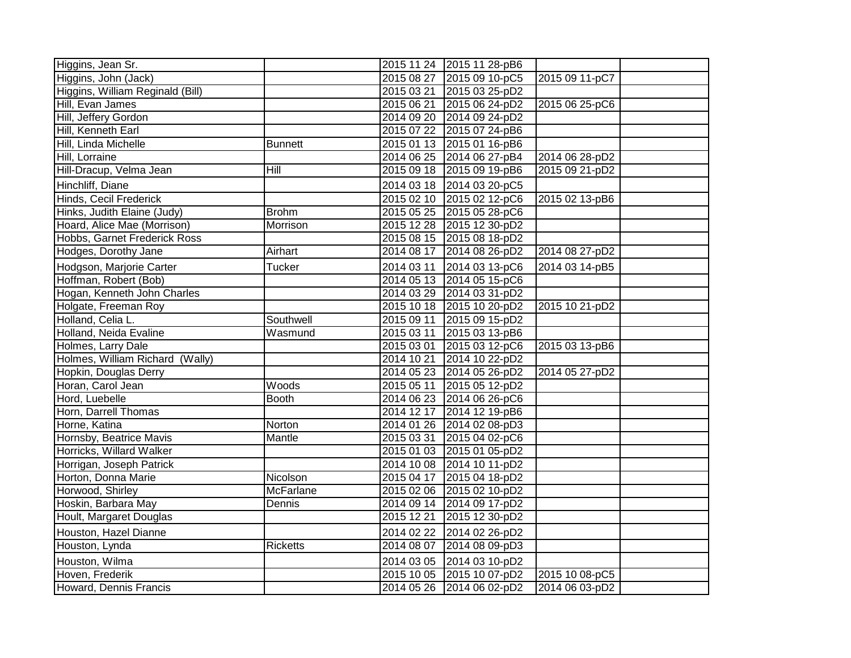| Higgins, Jean Sr.                |                  |            | 2015 11 24 2015 11 28-pB6 |                |  |
|----------------------------------|------------------|------------|---------------------------|----------------|--|
| Higgins, John (Jack)             |                  | 2015 08 27 | 2015 09 10-pC5            | 2015 09 11-pC7 |  |
| Higgins, William Reginald (Bill) |                  |            | 2015 03 21 2015 03 25-pD2 |                |  |
| Hill, Evan James                 |                  | 2015 06 21 | 2015 06 24-pD2            | 2015 06 25-pC6 |  |
| Hill, Jeffery Gordon             |                  |            | 2014 09 20 2014 09 24-pD2 |                |  |
| Hill, Kenneth Earl               |                  | 2015 07 22 | 2015 07 24-pB6            |                |  |
| Hill, Linda Michelle             | <b>Bunnett</b>   |            | 2015 01 13 2015 01 16-pB6 |                |  |
| Hill, Lorraine                   |                  |            | 2014 06 25 2014 06 27-pB4 | 2014 06 28-pD2 |  |
| Hill-Dracup, Velma Jean          | $\overline{H}$   | 2015 09 18 | 2015 09 19-pB6            | 2015 09 21-pD2 |  |
| Hinchliff, Diane                 |                  | 2014 03 18 | 2014 03 20-pC5            |                |  |
| Hinds, Cecil Frederick           |                  |            | 2015 02 10 2015 02 12-pC6 | 2015 02 13-pB6 |  |
| Hinks, Judith Elaine (Judy)      | <b>Brohm</b>     |            | 2015 05 25 2015 05 28-pC6 |                |  |
| Hoard, Alice Mae (Morrison)      | Morrison         | 2015 12 28 | 2015 12 30-pD2            |                |  |
| Hobbs, Garnet Frederick Ross     |                  |            | 2015 08 15 2015 08 18-pD2 |                |  |
| Hodges, Dorothy Jane             | Airhart          | 2014 08 17 | 2014 08 26-pD2            | 2014 08 27-pD2 |  |
| Hodgson, Marjorie Carter         | <b>Tucker</b>    | 2014 03 11 | 2014 03 13-pC6            | 2014 03 14-pB5 |  |
| Hoffman, Robert (Bob)            |                  |            | 2014 05 13 2014 05 15-pC6 |                |  |
| Hogan, Kenneth John Charles      |                  |            | 2014 03 29 2014 03 31-pD2 |                |  |
| Holgate, Freeman Roy             |                  |            | 2015 10 18 2015 10 20-pD2 | 2015 10 21-pD2 |  |
| Holland, Celia L.                | Southwell        | 2015 09 11 | 2015 09 15-pD2            |                |  |
| Holland, Neida Evaline           | Wasmund          | 2015 03 11 | 2015 03 13-pB6            |                |  |
| Holmes, Larry Dale               |                  | 2015 03 01 | 2015 03 12-pC6            | 2015 03 13-pB6 |  |
| Holmes, William Richard (Wally)  |                  | 2014 10 21 | 2014 10 22-pD2            |                |  |
| Hopkin, Douglas Derry            |                  |            | 2014 05 23 2014 05 26-pD2 | 2014 05 27-pD2 |  |
| Horan, Carol Jean                | Woods            | 2015 05 11 | 2015 05 12-pD2            |                |  |
| Hord, Luebelle                   | <b>Booth</b>     | 2014 06 23 | 2014 06 26-pC6            |                |  |
| Horn, Darrell Thomas             |                  | 2014 12 17 | 2014 12 19-pB6            |                |  |
| Horne, Katina                    | Norton           |            | 2014 01 26 2014 02 08-pD3 |                |  |
| Hornsby, Beatrice Mavis          | Mantle           | 2015 03 31 | 2015 04 02-pC6            |                |  |
| Horricks, Willard Walker         |                  | 2015 01 03 | 2015 01 05-pD2            |                |  |
| Horrigan, Joseph Patrick         |                  | 2014 10 08 | 2014 10 11-pD2            |                |  |
| Horton, Donna Marie              | Nicolson         | 2015 04 17 | 2015 04 18-pD2            |                |  |
| Horwood, Shirley                 | <b>McFarlane</b> |            | 2015 02 06 2015 02 10-pD2 |                |  |
| Hoskin, Barbara May              | Dennis           | 2014 09 14 | 2014 09 17-pD2            |                |  |
| Hoult, Margaret Douglas          |                  | 2015 12 21 | 2015 12 30-pD2            |                |  |
| Houston, Hazel Dianne            |                  | 2014 02 22 | 2014 02 26-pD2            |                |  |
| Houston, Lynda                   | <b>Ricketts</b>  | 2014 08 07 | 2014 08 09-pD3            |                |  |
| Houston, Wilma                   |                  | 2014 03 05 | 2014 03 10-pD2            |                |  |
| Hoven, Frederik                  |                  |            | 2015 10 05 2015 10 07-pD2 | 2015 10 08-pC5 |  |
| Howard, Dennis Francis           |                  |            | 2014 05 26 2014 06 02-pD2 | 2014 06 03-pD2 |  |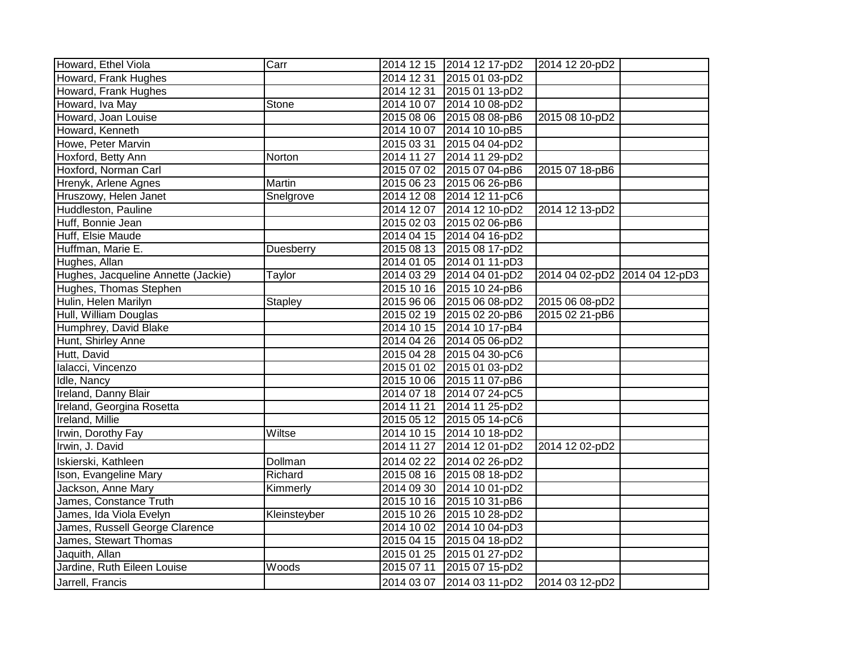| Howard, Ethel Viola                 | Carr           |            | 2014 12 15 2014 12 17-pD2 | 2014 12 20-pD2                |  |
|-------------------------------------|----------------|------------|---------------------------|-------------------------------|--|
| Howard, Frank Hughes                |                | 2014 12 31 | 2015 01 03-pD2            |                               |  |
| Howard, Frank Hughes                |                | 2014 12 31 | 2015 01 13-pD2            |                               |  |
| Howard, Iva May                     | Stone          |            | 2014 10 07 2014 10 08-pD2 |                               |  |
| Howard, Joan Louise                 |                |            | 2015 08 06 2015 08 08-pB6 | 2015 08 10-pD2                |  |
| Howard, Kenneth                     |                | 2014 10 07 | 2014 10 10-pB5            |                               |  |
| Howe, Peter Marvin                  |                | 2015 03 31 | 2015 04 04-pD2            |                               |  |
| Hoxford, Betty Ann                  | Norton         | 2014 11 27 | 2014 11 29-pD2            |                               |  |
| Hoxford, Norman Carl                |                |            | 2015 07 02 2015 07 04-pB6 | 2015 07 18-pB6                |  |
| Hrenyk, Arlene Agnes                | Martin         |            | 2015 06 23 2015 06 26-pB6 |                               |  |
| Hruszowy, Helen Janet               | Snelgrove      |            | 2014 12 08 2014 12 11-pC6 |                               |  |
| Huddleston, Pauline                 |                | 2014 12 07 | 2014 12 10-pD2            | 2014 12 13-pD2                |  |
| Huff, Bonnie Jean                   |                | 2015 02 03 | 2015 02 06-pB6            |                               |  |
| Huff, Elsie Maude                   |                |            | 2014 04 15 2014 04 16-pD2 |                               |  |
| Huffman, Marie E.                   | Duesberry      |            | 2015 08 13 2015 08 17-pD2 |                               |  |
| Hughes, Allan                       |                |            | 2014 01 05 2014 01 11-pD3 |                               |  |
| Hughes, Jacqueline Annette (Jackie) | Taylor         | 2014 03 29 | 2014 04 01-pD2            | 2014 04 02-pD2 2014 04 12-pD3 |  |
| Hughes, Thomas Stephen              |                |            | 2015 10 16 2015 10 24-pB6 |                               |  |
| Hulin, Helen Marilyn                | <b>Stapley</b> |            | 2015 96 06 2015 06 08-pD2 | 2015 06 08-pD2                |  |
| Hull, William Douglas               |                |            | 2015 02 19 2015 02 20-pB6 | 2015 02 21-pB6                |  |
| Humphrey, David Blake               |                |            | 2014 10 15 2014 10 17-pB4 |                               |  |
| Hunt, Shirley Anne                  |                |            | 2014 04 26 2014 05 06-pD2 |                               |  |
| Hutt, David                         |                |            | 2015 04 28 2015 04 30-pC6 |                               |  |
| Ialacci, Vincenzo                   |                | 2015 01 02 | 2015 01 03-pD2            |                               |  |
| Idle, Nancy                         |                |            | 2015 10 06 2015 11 07-pB6 |                               |  |
| Ireland, Danny Blair                |                |            | 2014 07 18 2014 07 24-pC5 |                               |  |
| Ireland, Georgina Rosetta           |                | 2014 11 21 | 2014 11 25-pD2            |                               |  |
| Ireland, Millie                     |                |            | 2015 05 12 2015 05 14-pC6 |                               |  |
| Irwin, Dorothy Fay                  | Wiltse         |            | 2014 10 15 2014 10 18-pD2 |                               |  |
| Irwin, J. David                     |                | 2014 11 27 | 2014 12 01-pD2            | 2014 12 02-pD2                |  |
| Iskierski, Kathleen                 | Dollman        | 2014 02 22 | 2014 02 26-pD2            |                               |  |
| Ison, Evangeline Mary               | Richard        |            | 2015 08 16 2015 08 18-pD2 |                               |  |
| Jackson, Anne Mary                  | Kimmerly       | 2014 09 30 | 2014 10 01-pD2            |                               |  |
| James, Constance Truth              |                | 2015 10 16 | 2015 10 31-pB6            |                               |  |
| James, Ida Viola Evelyn             | Kleinsteyber   | 2015 10 26 | 2015 10 28-pD2            |                               |  |
| James, Russell George Clarence      |                | 2014 10 02 | 2014 10 04-pD3            |                               |  |
| James, Stewart Thomas               |                | 2015 04 15 | 2015 04 18-pD2            |                               |  |
| Jaquith, Allan                      |                | 2015 01 25 | 2015 01 27-pD2            |                               |  |
| Jardine, Ruth Eileen Louise         | Woods          | 2015 07 11 | 2015 07 15-pD2            |                               |  |
| Jarrell, Francis                    |                | 2014 03 07 | 2014 03 11-pD2            | 2014 03 12-pD2                |  |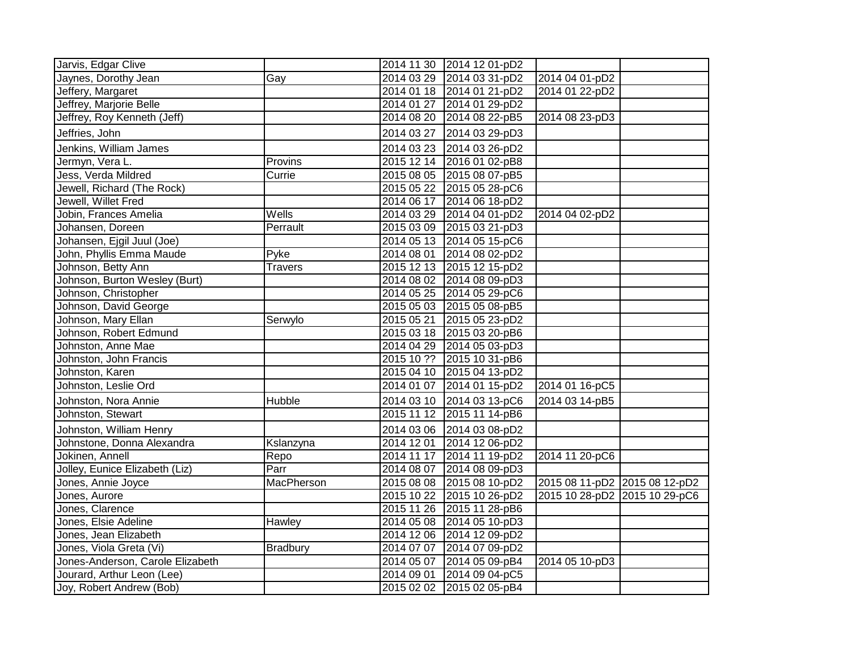| Jarvis, Edgar Clive              |                 |            | 2014 11 30 2014 12 01-pD2 |                               |  |
|----------------------------------|-----------------|------------|---------------------------|-------------------------------|--|
| Jaynes, Dorothy Jean             | Gay             |            | 2014 03 29 2014 03 31-pD2 | 2014 04 01-pD2                |  |
| Jeffery, Margaret                |                 |            | 2014 01 18 2014 01 21-pD2 | 2014 01 22-pD2                |  |
| Jeffrey, Marjorie Belle          |                 |            | 2014 01 27 2014 01 29-pD2 |                               |  |
| Jeffrey, Roy Kenneth (Jeff)      |                 | 2014 08 20 | 2014 08 22-pB5            | 2014 08 23-pD3                |  |
| Jeffries, John                   |                 | 2014 03 27 | 2014 03 29-pD3            |                               |  |
| Jenkins, William James           |                 | 2014 03 23 | 2014 03 26-pD2            |                               |  |
| Jermyn, Vera L.                  | Provins         | 2015 12 14 | 2016 01 02-pB8            |                               |  |
| Jess, Verda Mildred              | Currie          |            | 2015 08 05 2015 08 07-pB5 |                               |  |
| Jewell, Richard (The Rock)       |                 |            | 2015 05 22 2015 05 28-pC6 |                               |  |
| Jewell, Willet Fred              |                 |            | 2014 06 17 2014 06 18-pD2 |                               |  |
| Jobin, Frances Amelia            | Wells           |            | 2014 03 29 2014 04 01-pD2 | 2014 04 02-pD2                |  |
| Johansen, Doreen                 | Perrault        |            | 2015 03 09 2015 03 21-pD3 |                               |  |
| Johansen, Ejgil Juul (Joe)       |                 |            | 2014 05 13 2014 05 15-pC6 |                               |  |
| John, Phyllis Emma Maude         | Pyke            |            | 2014 08 01 2014 08 02-pD2 |                               |  |
| Johnson, Betty Ann               | <b>Travers</b>  |            | 2015 12 13 2015 12 15-pD2 |                               |  |
| Johnson, Burton Wesley (Burt)    |                 |            | 2014 08 02 2014 08 09-pD3 |                               |  |
| Johnson, Christopher             |                 |            | 2014 05 25 2014 05 29-pC6 |                               |  |
| Johnson, David George            |                 |            | 2015 05 03 2015 05 08-pB5 |                               |  |
| Johnson, Mary Ellan              | Serwylo         | 2015 05 21 | 2015 05 23-pD2            |                               |  |
| Johnson, Robert Edmund           |                 |            | 2015 03 18 2015 03 20-pB6 |                               |  |
| Johnston, Anne Mae               |                 |            | 2014 04 29 2014 05 03-pD3 |                               |  |
| Johnston, John Francis           |                 |            | 2015 10 ?? 2015 10 31-pB6 |                               |  |
| Johnston, Karen                  |                 | 2015 04 10 | 2015 04 13-pD2            |                               |  |
| Johnston, Leslie Ord             |                 | 2014 01 07 | 2014 01 15-pD2            | 2014 01 16-pC5                |  |
| Johnston, Nora Annie             | Hubble          | 2014 03 10 | 2014 03 13-pC6            | 2014 03 14-pB5                |  |
| Johnston, Stewart                |                 | 2015 11 12 | 2015 11 14-pB6            |                               |  |
| Johnston, William Henry          |                 |            | 2014 03 06 2014 03 08-pD2 |                               |  |
| Johnstone, Donna Alexandra       | Kslanzyna       | 2014 12 01 | 2014 12 06-pD2            |                               |  |
| Jokinen, Annell                  | Repo            | 2014 11 17 | 2014 11 19-pD2            | 2014 11 20-pC6                |  |
| Jolley, Eunice Elizabeth (Liz)   | Parr            |            | 2014 08 07 2014 08 09-pD3 |                               |  |
| Jones, Annie Joyce               | MacPherson      |            | 2015 08 08 2015 08 10-pD2 | 2015 08 11-pD2 2015 08 12-pD2 |  |
| Jones, Aurore                    |                 |            | 2015 10 22 2015 10 26-pD2 | 2015 10 28-pD2 2015 10 29-pC6 |  |
| Jones, Clarence                  |                 |            | 2015 11 26 2015 11 28-pB6 |                               |  |
| Jones, Elsie Adeline             | Hawley          |            | 2014 05 08 2014 05 10-pD3 |                               |  |
| Jones, Jean Elizabeth            |                 |            | 2014 12 06 2014 12 09-pD2 |                               |  |
| Jones, Viola Greta (Vi)          | <b>Bradbury</b> | 2014 07 07 | 2014 07 09-pD2            |                               |  |
| Jones-Anderson, Carole Elizabeth |                 | 2014 05 07 | 2014 05 09-pB4            | 2014 05 10-pD3                |  |
| Jourard, Arthur Leon (Lee)       |                 | 2014 09 01 | 2014 09 04-pC5            |                               |  |
| Joy, Robert Andrew (Bob)         |                 | 2015 02 02 | 2015 02 05-pB4            |                               |  |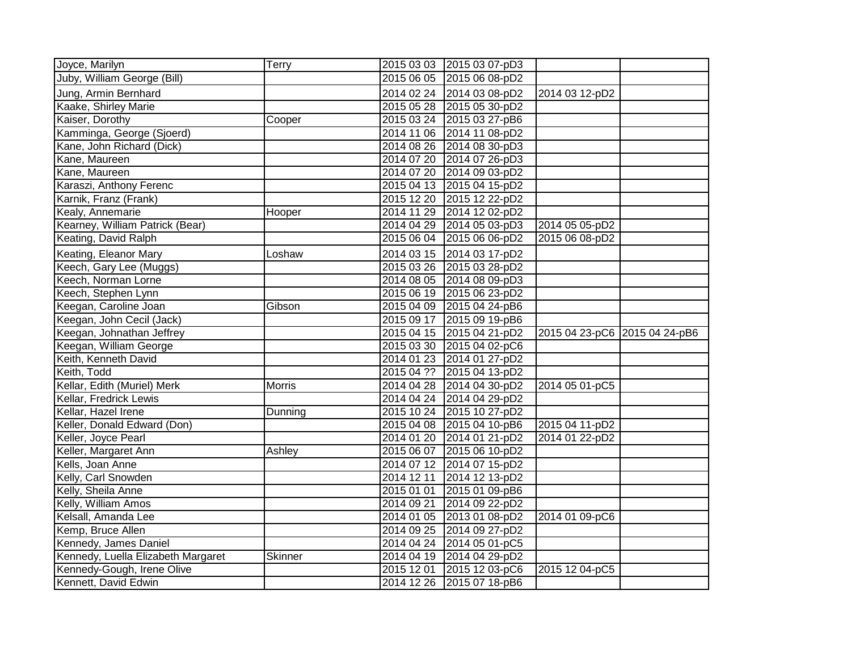| Joyce, Marilyn                                     | Terry          |                          | 2015 03 03 2015 03 07-pD3        |                               |  |
|----------------------------------------------------|----------------|--------------------------|----------------------------------|-------------------------------|--|
| Juby, William George (Bill)                        |                |                          | 2015 06 05 2015 06 08-pD2        |                               |  |
| Jung, Armin Bernhard                               |                |                          | 2014 02 24 2014 03 08-pD2        | 2014 03 12-pD2                |  |
| Kaake, Shirley Marie                               |                |                          | 2015 05 28 2015 05 30-pD2        |                               |  |
| Kaiser, Dorothy                                    | Cooper         |                          | 2015 03 24 2015 03 27-pB6        |                               |  |
| Kamminga, George (Sjoerd)                          |                |                          | 2014 11 06 2014 11 08-pD2        |                               |  |
| Kane, John Richard (Dick)                          |                |                          | 2014 08 26 2014 08 30-pD3        |                               |  |
| Kane, Maureen                                      |                |                          | 2014 07 20 2014 07 26-pD3        |                               |  |
| Kane, Maureen                                      |                |                          | 2014 07 20 2014 09 03-pD2        |                               |  |
| Karaszi, Anthony Ferenc                            |                |                          | 2015 04 13 2015 04 15-pD2        |                               |  |
| Karnik, Franz (Frank)                              |                | 2015 12 20               | 2015 12 22-pD2                   |                               |  |
| Kealy, Annemarie                                   | Hooper         |                          | 2014 11 29 2014 12 02-pD2        |                               |  |
| Kearney, William Patrick (Bear)                    |                |                          | 2014 04 29 2014 05 03-pD3        | 2014 05 05-pD2                |  |
| Keating, David Ralph                               |                |                          | 2015 06 04 2015 06 06-pD2        | 2015 06 08-pD2                |  |
| Keating, Eleanor Mary                              | Loshaw         |                          | 2014 03 15 2014 03 17-pD2        |                               |  |
| Keech, Gary Lee (Muggs)                            |                |                          | 2015 03 26 2015 03 28-pD2        |                               |  |
| Keech, Norman Lorne                                |                |                          | 2014 08 05 2014 08 09-pD3        |                               |  |
| Keech, Stephen Lynn                                |                |                          | 2015 06 19 2015 06 23-pD2        |                               |  |
| Keegan, Caroline Joan                              | Gibson         |                          | 2015 04 09 2015 04 24-pB6        |                               |  |
| Keegan, John Cecil (Jack)                          |                |                          | 2015 09 17 2015 09 19-pB6        |                               |  |
| Keegan, Johnathan Jeffrey                          |                |                          | 2015 04 15 2015 04 21-pD2        | 2015 04 23-pC6 2015 04 24-pB6 |  |
|                                                    |                |                          |                                  |                               |  |
| Keegan, William George                             |                |                          | 2015 03 30 2015 04 02-pC6        |                               |  |
| Keith, Kenneth David                               |                |                          | 2014 01 23 2014 01 27-pD2        |                               |  |
| Keith, Todd                                        |                |                          | 2015 04 ?? 2015 04 13-pD2        |                               |  |
| Kellar, Edith (Muriel) Merk                        | <b>Morris</b>  |                          | 2014 04 28 2014 04 30-pD2        | 2014 05 01-pC5                |  |
| Kellar, Fredrick Lewis                             |                |                          | 2014 04 24 2014 04 29-pD2        |                               |  |
| Kellar, Hazel Irene                                | Dunning        |                          | 2015 10 24 2015 10 27-pD2        |                               |  |
| Keller, Donald Edward (Don)                        |                |                          | 2015 04 08 2015 04 10-pB6        | 2015 04 11-pD2                |  |
| Keller, Joyce Pearl                                |                |                          | 2014 01 20 2014 01 21-pD2        | 2014 01 22-pD2                |  |
| Keller, Margaret Ann                               | Ashley         |                          | 2015 06 07 2015 06 10-pD2        |                               |  |
| Kells, Joan Anne                                   |                |                          | 2014 07 12 2014 07 15-pD2        |                               |  |
| Kelly, Carl Snowden                                |                | 2014 12 11               | 2014 12 13-pD2                   |                               |  |
| Kelly, Sheila Anne                                 |                | 2015 01 01               | 2015 01 09-pB6                   |                               |  |
| Kelly, William Amos                                |                | 2014 09 21               | 2014 09 22-pD2                   |                               |  |
| Kelsall, Amanda Lee                                |                |                          | 2014 01 05 2013 01 08-pD2        | 2014 01 09-pC6                |  |
| Kemp, Bruce Allen                                  |                | 2014 09 25               | 2014 09 27-pD2                   |                               |  |
| Kennedy, James Daniel                              |                |                          | 2014 04 24 2014 05 01-pC5        |                               |  |
| Kennedy, Luella Elizabeth Margaret                 | <b>Skinner</b> |                          | 2014 04 19 2014 04 29-pD2        |                               |  |
| Kennedy-Gough, Irene Olive<br>Kennett, David Edwin |                | 2015 12 01<br>2014 12 26 | 2015 12 03-pC6<br>2015 07 18-pB6 | 2015 12 04-pC5                |  |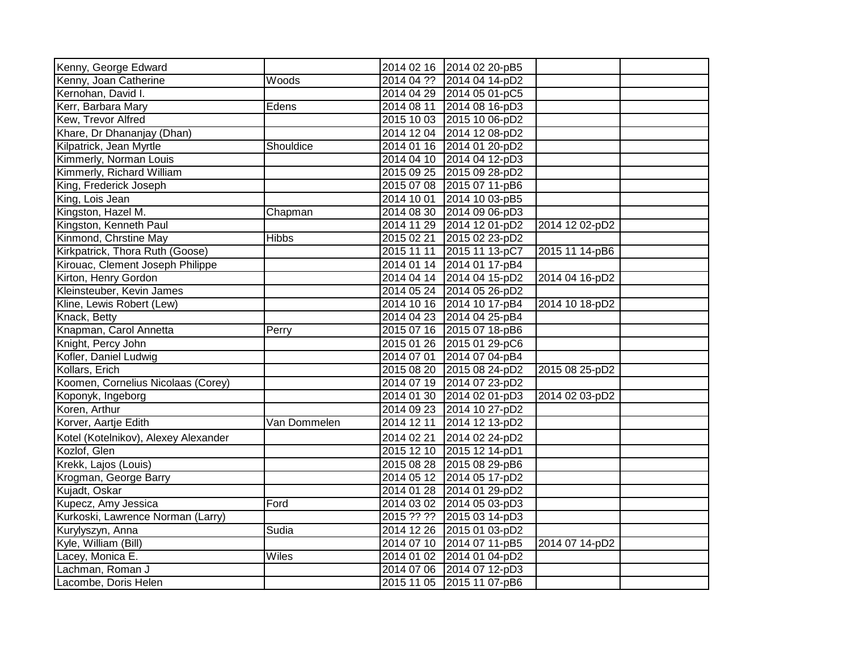| Kenny, George Edward                 |              |            | 2014 02 16 2014 02 20-pB5 |                |  |
|--------------------------------------|--------------|------------|---------------------------|----------------|--|
| Kenny, Joan Catherine                | Woods        |            | 2014 04 ?? 2014 04 14-pD2 |                |  |
| Kernohan, David I.                   |              |            | 2014 04 29 2014 05 01-pC5 |                |  |
| Kerr, Barbara Mary                   | Edens        |            | 2014 08 11 2014 08 16-pD3 |                |  |
| Kew, Trevor Alfred                   |              |            | 2015 10 03 2015 10 06-pD2 |                |  |
| Khare, Dr Dhananjay (Dhan)           |              |            | 2014 12 04 2014 12 08-pD2 |                |  |
| Kilpatrick, Jean Myrtle              | Shouldice    | 2014 01 16 | 2014 01 20-pD2            |                |  |
| Kimmerly, Norman Louis               |              |            | 2014 04 10 2014 04 12-pD3 |                |  |
| Kimmerly, Richard William            |              |            | 2015 09 25 2015 09 28-pD2 |                |  |
| King, Frederick Joseph               |              | 2015 07 08 | 2015 07 11-pB6            |                |  |
| King, Lois Jean                      |              | 2014 10 01 | 2014 10 03-pB5            |                |  |
| Kingston, Hazel M.                   | Chapman      | 2014 08 30 | 2014 09 06-pD3            |                |  |
| Kingston, Kenneth Paul               |              | 2014 11 29 | 2014 12 01-pD2            | 2014 12 02-pD2 |  |
| Kinmond, Chrstine May                | <b>Hibbs</b> | 2015 02 21 | 2015 02 23-pD2            |                |  |
| Kirkpatrick, Thora Ruth (Goose)      |              | 2015 11 11 | 2015 11 13-pC7            | 2015 11 14-pB6 |  |
| Kirouac, Clement Joseph Philippe     |              |            | 2014 01 14 2014 01 17-pB4 |                |  |
| Kirton, Henry Gordon                 |              |            | 2014 04 14 2014 04 15-pD2 | 2014 04 16-pD2 |  |
| Kleinsteuber, Kevin James            |              |            | 2014 05 24 2014 05 26-pD2 |                |  |
| Kline, Lewis Robert (Lew)            |              |            | 2014 10 16 2014 10 17-pB4 | 2014 10 18-pD2 |  |
| Knack, Betty                         |              |            | 2014 04 23 2014 04 25-pB4 |                |  |
| Knapman, Carol Annetta               | Perry        |            | 2015 07 16 2015 07 18-pB6 |                |  |
| Knight, Percy John                   |              |            | 2015 01 26 2015 01 29-pC6 |                |  |
| Kofler, Daniel Ludwig                |              | 2014 07 01 | 2014 07 04-pB4            |                |  |
| Kollars, Erich                       |              | 2015 08 20 | 2015 08 24-pD2            | 2015 08 25-pD2 |  |
| Koomen, Cornelius Nicolaas (Corey)   |              |            | 2014 07 19 2014 07 23-pD2 |                |  |
| Koponyk, Ingeborg                    |              |            | 2014 01 30 2014 02 01-pD3 | 2014 02 03-pD2 |  |
| Koren, Arthur                        |              |            | 2014 09 23 2014 10 27-pD2 |                |  |
| Korver, Aartje Edith                 | Van Dommelen | 2014 12 11 | 2014 12 13-pD2            |                |  |
| Kotel (Kotelnikov), Alexey Alexander |              | 2014 02 21 | 2014 02 24-pD2            |                |  |
| Kozlof, Glen                         |              |            | 2015 12 10 2015 12 14-pD1 |                |  |
| Krekk, Lajos (Louis)                 |              | 2015 08 28 | 2015 08 29-pB6            |                |  |
| Krogman, George Barry                |              |            | 2014 05 12 2014 05 17-pD2 |                |  |
| Kujadt, Oskar                        |              |            | 2014 01 28 2014 01 29-pD2 |                |  |
| Kupecz, Amy Jessica                  | Ford         | 2014 03 02 | 2014 05 03-pD3            |                |  |
| Kurkoski, Lawrence Norman (Larry)    |              | 2015 ?? ?? | 2015 03 14-pD3            |                |  |
| Kurylyszyn, Anna                     | Sudia        |            | 2014 12 26 2015 01 03-pD2 |                |  |
| Kyle, William (Bill)                 |              |            | 2014 07 10 2014 07 11-pB5 | 2014 07 14-pD2 |  |
| Lacey, Monica E.                     | Wiles        | 2014 01 02 | 2014 01 04-pD2            |                |  |
| Lachman, Roman J                     |              | 2014 07 06 | 2014 07 12-pD3            |                |  |
| Lacombe, Doris Helen                 |              | 2015 11 05 | 2015 11 07-pB6            |                |  |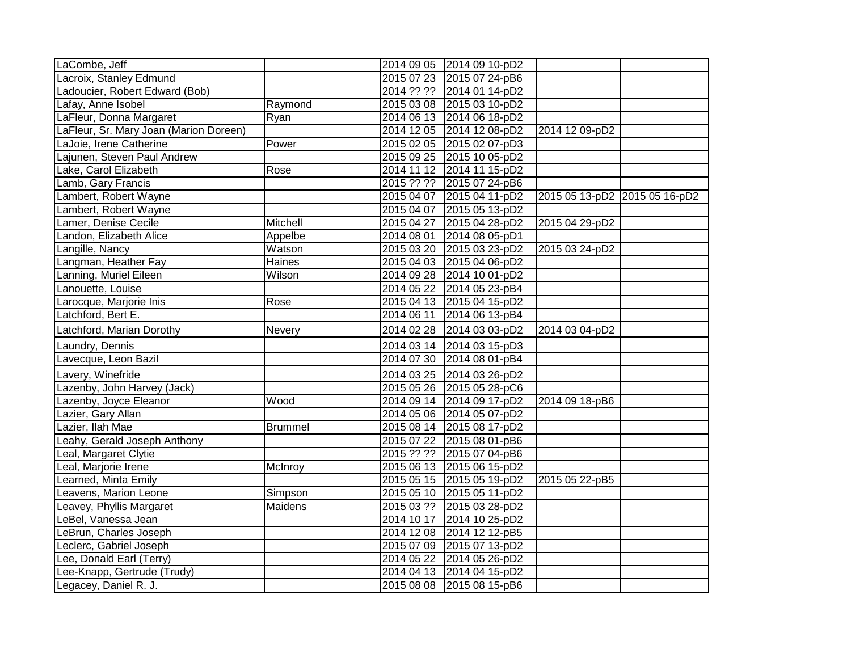| LaCombe, Jeff                          |                |            | 2014 09 05 2014 09 10-pD2 |                               |  |
|----------------------------------------|----------------|------------|---------------------------|-------------------------------|--|
| Lacroix, Stanley Edmund                |                |            | 2015 07 23 2015 07 24-pB6 |                               |  |
| Ladoucier, Robert Edward (Bob)         |                |            | 2014 ?? ?? 2014 01 14-pD2 |                               |  |
| Lafay, Anne Isobel                     | Raymond        |            | 2015 03 08 2015 03 10-pD2 |                               |  |
| LaFleur, Donna Margaret                | Ryan           |            | 2014 06 13 2014 06 18-pD2 |                               |  |
| LaFleur, Sr. Mary Joan (Marion Doreen) |                | 2014 12 05 | 2014 12 08-pD2            | 2014 12 09-pD2                |  |
| LaJoie, Irene Catherine                | Power          | 2015 02 05 | 2015 02 07-pD3            |                               |  |
| Lajunen, Steven Paul Andrew            |                | 2015 09 25 | 2015 10 05-pD2            |                               |  |
| Lake, Carol Elizabeth                  | Rose           |            | 2014 11 12 2014 11 15-pD2 |                               |  |
| Lamb, Gary Francis                     |                |            | 2015 ?? ?? 2015 07 24-pB6 |                               |  |
| Lambert, Robert Wayne                  |                | 2015 04 07 | 2015 04 11-pD2            | 2015 05 13-pD2 2015 05 16-pD2 |  |
| Lambert, Robert Wayne                  |                | 2015 04 07 | 2015 05 13-pD2            |                               |  |
| Lamer, Denise Cecile                   | Mitchell       | 2015 04 27 | 2015 04 28-pD2            | 2015 04 29-pD2                |  |
| Landon, Elizabeth Alice                | Appelbe        | 2014 08 01 | 2014 08 05-pD1            |                               |  |
| Langille, Nancy                        | Watson         |            | 2015 03 20 2015 03 23-pD2 | 2015 03 24-pD2                |  |
| Langman, Heather Fay                   | Haines         | 2015 04 03 | 2015 04 06-pD2            |                               |  |
| Lanning, Muriel Eileen                 | Wilson         | 2014 09 28 | 2014 10 01-pD2            |                               |  |
| Lanouette, Louise                      |                | 2014 05 22 | 2014 05 23-pB4            |                               |  |
| Larocque, Marjorie Inis                | Rose           |            | 2015 04 13 2015 04 15-pD2 |                               |  |
| Latchford, Bert E                      |                | 2014 06 11 | 2014 06 13-pB4            |                               |  |
| Latchford, Marian Dorothy              | Nevery         | 2014 02 28 | 2014 03 03-pD2            | 2014 03 04-pD2                |  |
| Laundry, Dennis                        |                | 2014 03 14 | 2014 03 15-pD3            |                               |  |
| Lavecque, Leon Bazil                   |                | 2014 07 30 | 2014 08 01-pB4            |                               |  |
| Lavery, Winefride                      |                | 2014 03 25 | 2014 03 26-pD2            |                               |  |
| Lazenby, John Harvey (Jack)            |                | 2015 05 26 | 2015 05 28-pC6            |                               |  |
| Lazenby, Joyce Eleanor                 | Wood           | 2014 09 14 | 2014 09 17-pD2            | 2014 09 18-pB6                |  |
| Lazier, Gary Allan                     |                | 2014 05 06 | 2014 05 07-pD2            |                               |  |
| Lazier, Ilah Mae                       | <b>Brummel</b> | 2015 08 14 | 2015 08 17-pD2            |                               |  |
| Leahy, Gerald Joseph Anthony           |                | 2015 07 22 | 2015 08 01-pB6            |                               |  |
| Leal, Margaret Clytie                  |                |            | 2015 ?? ?? 2015 07 04-pB6 |                               |  |
| Leal, Marjorie Irene                   | McInroy        |            | 2015 06 13 2015 06 15-pD2 |                               |  |
| Learned, Minta Emily                   |                | 2015 05 15 | 2015 05 19-pD2            | 2015 05 22-pB5                |  |
| Leavens, Marion Leone                  | Simpson        | 2015 05 10 | 2015 05 11-pD2            |                               |  |
| Leavey, Phyllis Margaret               | Maidens        | 2015 03 ?? | 2015 03 28-pD2            |                               |  |
| LeBel, Vanessa Jean                    |                | 2014 10 17 | 2014 10 25-pD2            |                               |  |
| LeBrun, Charles Joseph                 |                | 2014 12 08 | 2014 12 12-pB5            |                               |  |
| Leclerc, Gabriel Joseph                |                | 2015 07 09 | 2015 07 13-pD2            |                               |  |
| Lee, Donald Earl (Terry)               |                | 2014 05 22 | 2014 05 26-pD2            |                               |  |
| Lee-Knapp, Gertrude (Trudy)            |                | 2014 04 13 | 2014 04 15-pD2            |                               |  |
| Legacey, Daniel R. J.                  |                | 2015 08 08 | 2015 08 15-pB6            |                               |  |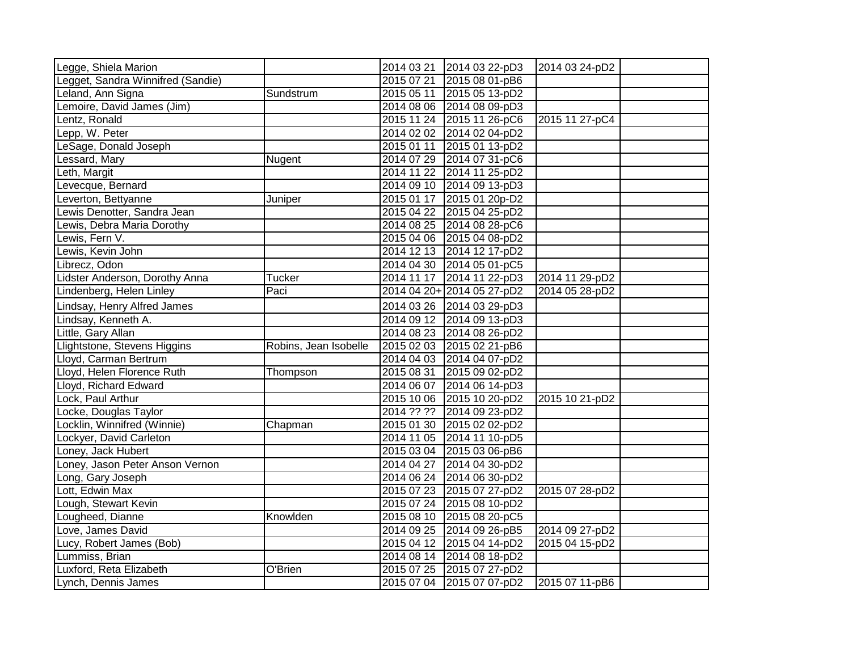| Legge, Shiela Marion              |                       | 2014 03 21 | 2014 03 22-pD3             | 2014 03 24-pD2 |  |
|-----------------------------------|-----------------------|------------|----------------------------|----------------|--|
| Legget, Sandra Winnifred (Sandie) |                       | 2015 07 21 | 2015 08 01-pB6             |                |  |
| Leland, Ann Signa                 | Sundstrum             | 2015 05 11 | 2015 05 13-pD2             |                |  |
| Lemoire, David James (Jim)        |                       | 2014 08 06 | 2014 08 09-pD3             |                |  |
| Lentz, Ronald                     |                       | 2015 11 24 | 2015 11 26-pC6             | 2015 11 27-pC4 |  |
| Lepp, W. Peter                    |                       |            | 2014 02 02 2014 02 04-pD2  |                |  |
| LeSage, Donald Joseph             |                       | 2015 01 11 | 2015 01 13-pD2             |                |  |
| Lessard, Mary                     | Nugent                | 2014 07 29 | 2014 07 31-pC6             |                |  |
| Leth, Margit                      |                       | 2014 11 22 | 2014 11 25-pD2             |                |  |
| Levecque, Bernard                 |                       |            | 2014 09 10 2014 09 13-pD3  |                |  |
| Leverton, Bettyanne               | Juniper               | 2015 01 17 | 2015 01 20p-D2             |                |  |
| Lewis Denotter, Sandra Jean       |                       |            | 2015 04 22 2015 04 25-pD2  |                |  |
| Lewis, Debra Maria Dorothy        |                       |            | 2014 08 25 2014 08 28-pC6  |                |  |
| Lewis, Fern V.                    |                       |            | 2015 04 06 2015 04 08-pD2  |                |  |
| Lewis, Kevin John                 |                       |            | 2014 12 13 2014 12 17-pD2  |                |  |
| Librecz, Odon                     |                       |            | 2014 04 30 2014 05 01-pC5  |                |  |
| Lidster Anderson, Dorothy Anna    | <b>Tucker</b>         |            | 2014 11 17 2014 11 22-pD3  | 2014 11 29-pD2 |  |
| Lindenberg, Helen Linley          | Paci                  |            | 2014 04 20+ 2014 05 27-pD2 | 2014 05 28-pD2 |  |
| Lindsay, Henry Alfred James       |                       |            | 2014 03 26 2014 03 29-pD3  |                |  |
| Lindsay, Kenneth A.               |                       |            | 2014 09 12 2014 09 13-pD3  |                |  |
| Little, Gary Allan                |                       | 2014 08 23 | 2014 08 26-pD2             |                |  |
| Llightstone, Stevens Higgins      | Robins, Jean Isobelle | 2015 02 03 | 2015 02 21-pB6             |                |  |
| Lloyd, Carman Bertrum             |                       | 2014 04 03 | 2014 04 07-pD2             |                |  |
| Lloyd, Helen Florence Ruth        | Thompson              | 2015 08 31 | 2015 09 02-pD2             |                |  |
| Lloyd, Richard Edward             |                       | 2014 06 07 | 2014 06 14-pD3             |                |  |
| Lock, Paul Arthur                 |                       | 2015 10 06 | 2015 10 20-pD2             | 2015 10 21-pD2 |  |
| Locke, Douglas Taylor             |                       | 2014 ?? ?? | 2014 09 23-pD2             |                |  |
| Locklin, Winnifred (Winnie)       | Chapman               | 2015 01 30 | 2015 02 02-pD2             |                |  |
| Lockyer, David Carleton           |                       |            | 2014 11 05 2014 11 10-pD5  |                |  |
| Loney, Jack Hubert                |                       | 2015 03 04 | 2015 03 06-pB6             |                |  |
| Loney, Jason Peter Anson Vernon   |                       | 2014 04 27 | 2014 04 30-pD2             |                |  |
| Long, Gary Joseph                 |                       |            | 2014 06 24 2014 06 30-pD2  |                |  |
| Lott, Edwin Max                   |                       | 2015 07 23 | 2015 07 27-pD2             | 2015 07 28-pD2 |  |
| Lough, Stewart Kevin              |                       | 2015 07 24 | 2015 08 10-pD2             |                |  |
| Lougheed, Dianne                  | Knowlden              | 2015 08 10 | 2015 08 20-pC5             |                |  |
| Love, James David                 |                       | 2014 09 25 | 2014 09 26-pB5             | 2014 09 27-pD2 |  |
| Lucy, Robert James (Bob)          |                       | 2015 04 12 | 2015 04 14-pD2             | 2015 04 15-pD2 |  |
| Lummiss, Brian                    |                       | 2014 08 14 | 2014 08 18-pD2             |                |  |
| Luxford, Reta Elizabeth           | O'Brien               | 2015 07 25 | 2015 07 27-pD2             |                |  |
| Lynch, Dennis James               |                       |            | 2015 07 04 2015 07 07-pD2  | 2015 07 11-pB6 |  |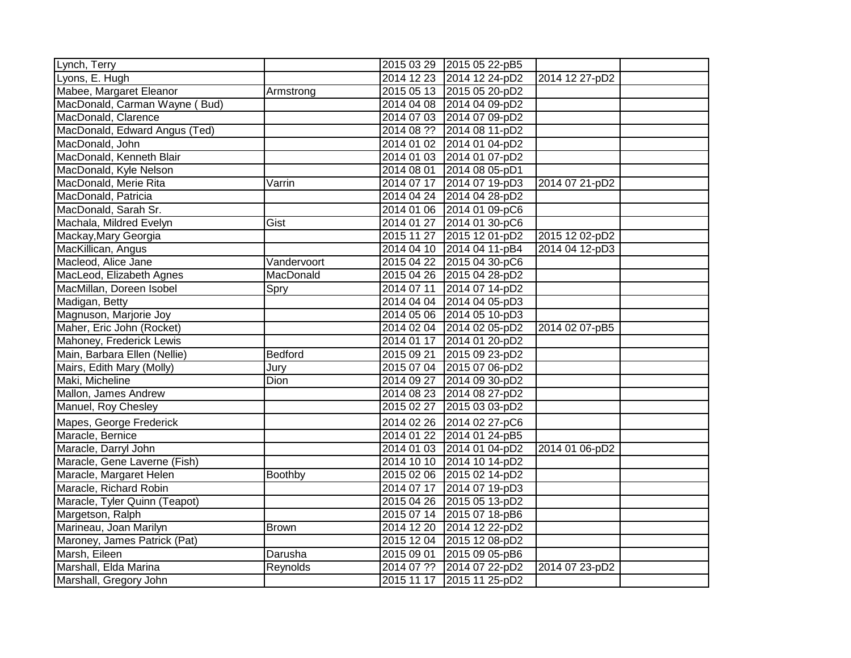| Lynch, Terry                  |                |            | 2015 03 29 2015 05 22-pB5 |                |  |
|-------------------------------|----------------|------------|---------------------------|----------------|--|
| Lyons, E. Hugh                |                |            | 2014 12 23 2014 12 24-pD2 | 2014 12 27-pD2 |  |
| Mabee, Margaret Eleanor       | Armstrong      |            | 2015 05 13 2015 05 20-pD2 |                |  |
| MacDonald, Carman Wayne (Bud) |                |            | 2014 04 08 2014 04 09-pD2 |                |  |
| MacDonald, Clarence           |                |            | 2014 07 03 2014 07 09-pD2 |                |  |
| MacDonald, Edward Angus (Ted) |                |            | 2014 08 ?? 2014 08 11-pD2 |                |  |
| MacDonald, John               |                |            | 2014 01 02 2014 01 04-pD2 |                |  |
| MacDonald, Kenneth Blair      |                |            | 2014 01 03 2014 01 07-pD2 |                |  |
| MacDonald, Kyle Nelson        |                |            | 2014 08 01 2014 08 05-pD1 |                |  |
| MacDonald, Merie Rita         | Varrin         |            | 2014 07 17 2014 07 19-pD3 | 2014 07 21-pD2 |  |
| MacDonald, Patricia           |                |            | 2014 04 24 2014 04 28-pD2 |                |  |
| MacDonald, Sarah Sr.          |                |            | 2014 01 06 2014 01 09-pC6 |                |  |
| Machala, Mildred Evelyn       | Gist           |            | 2014 01 27 2014 01 30-pC6 |                |  |
| Mackay, Mary Georgia          |                | 2015 11 27 | 2015 12 01-pD2            | 2015 12 02-pD2 |  |
| MacKillican, Angus            |                |            | 2014 04 10 2014 04 11-pB4 | 2014 04 12-pD3 |  |
| Macleod, Alice Jane           | Vandervoort    |            | 2015 04 22 2015 04 30-pC6 |                |  |
| MacLeod, Elizabeth Agnes      | MacDonald      |            | 2015 04 26 2015 04 28-pD2 |                |  |
| MacMillan, Doreen Isobel      | Spry           | 2014 07 11 | 2014 07 14-pD2            |                |  |
| Madigan, Betty                |                |            | 2014 04 04 2014 04 05-pD3 |                |  |
| Magnuson, Marjorie Joy        |                |            | 2014 05 06 2014 05 10-pD3 |                |  |
| Maher, Eric John (Rocket)     |                |            | 2014 02 04 2014 02 05-pD2 | 2014 02 07-pB5 |  |
| Mahoney, Frederick Lewis      |                |            | 2014 01 17 2014 01 20-pD2 |                |  |
| Main, Barbara Ellen (Nellie)  | <b>Bedford</b> | 2015 09 21 | 2015 09 23-pD2            |                |  |
| Mairs, Edith Mary (Molly)     | Jury           |            | 2015 07 04 2015 07 06-pD2 |                |  |
| Maki, Micheline               | Dion           | 2014 09 27 | 2014 09 30-pD2            |                |  |
| Mallon, James Andrew          |                |            | 2014 08 23 2014 08 27-pD2 |                |  |
| Manuel, Roy Chesley           |                |            | 2015 02 27 2015 03 03-pD2 |                |  |
| Mapes, George Frederick       |                |            | 2014 02 26 2014 02 27-pC6 |                |  |
| Maracle, Bernice              |                |            | 2014 01 22 2014 01 24-pB5 |                |  |
| Maracle, Darryl John          |                |            | 2014 01 03 2014 01 04-pD2 | 2014 01 06-pD2 |  |
| Maracle, Gene Laverne (Fish)  |                |            | 2014 10 10 2014 10 14-pD2 |                |  |
| Maracle, Margaret Helen       | Boothby        |            | 2015 02 06 2015 02 14-pD2 |                |  |
| Maracle, Richard Robin        |                | 2014 07 17 | 2014 07 19-pD3            |                |  |
| Maracle, Tyler Quinn (Teapot) |                |            | 2015 04 26 2015 05 13-pD2 |                |  |
| Margetson, Ralph              |                |            | 2015 07 14 2015 07 18-pB6 |                |  |
| Marineau, Joan Marilyn        | <b>Brown</b>   |            | 2014 12 20 2014 12 22-pD2 |                |  |
| Maroney, James Patrick (Pat)  |                |            | 2015 12 04 2015 12 08-pD2 |                |  |
| Marsh, Eileen                 | Darusha        | 2015 09 01 | 2015 09 05-pB6            |                |  |
| Marshall, Elda Marina         | Reynolds       | 2014 07 ?? | 2014 07 22-pD2            | 2014 07 23-pD2 |  |
| Marshall, Gregory John        |                | 2015 11 17 | 2015 11 25-pD2            |                |  |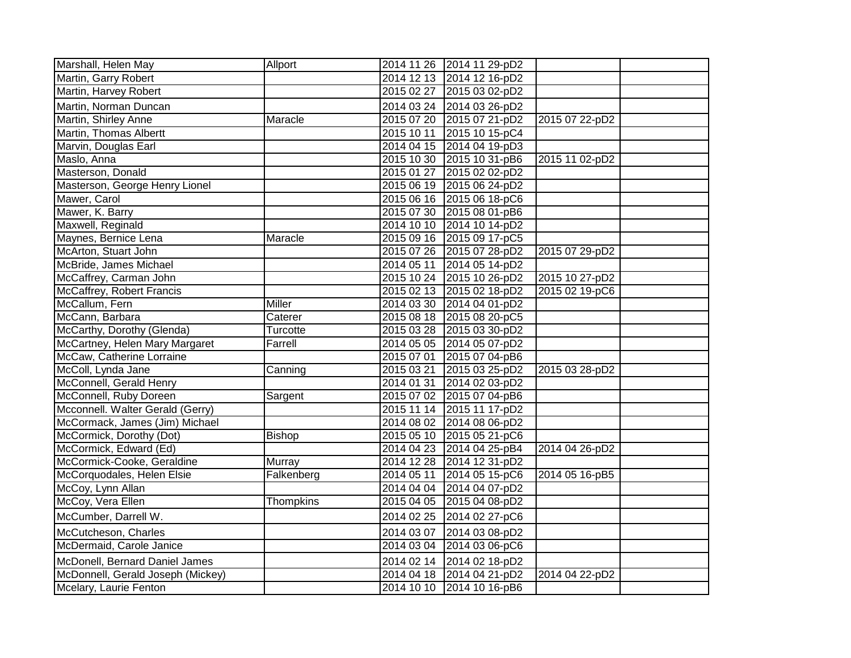| Marshall, Helen May               | Allport       |            | 2014 11 26 2014 11 29-pD2 |                |  |
|-----------------------------------|---------------|------------|---------------------------|----------------|--|
| Martin, Garry Robert              |               |            | 2014 12 13 2014 12 16-pD2 |                |  |
| Martin, Harvey Robert             |               | 2015 02 27 | 2015 03 02-pD2            |                |  |
| Martin, Norman Duncan             |               |            | 2014 03 24 2014 03 26-pD2 |                |  |
| Martin, Shirley Anne              | Maracle       | 2015 07 20 | 2015 07 21-pD2            | 2015 07 22-pD2 |  |
| Martin, Thomas Albertt            |               | 2015 10 11 | 2015 10 15-pC4            |                |  |
| Marvin, Douglas Earl              |               |            | 2014 04 15 2014 04 19-pD3 |                |  |
| Maslo, Anna                       |               | 2015 10 30 | 2015 10 31-pB6            | 2015 11 02-pD2 |  |
| Masterson, Donald                 |               | 2015 01 27 | 2015 02 02-pD2            |                |  |
| Masterson, George Henry Lionel    |               | 2015 06 19 | 2015 06 24-pD2            |                |  |
| Mawer, Carol                      |               | 2015 06 16 | 2015 06 18-pC6            |                |  |
| Mawer, K. Barry                   |               | 2015 07 30 | 2015 08 01-pB6            |                |  |
| Maxwell, Reginald                 |               | 2014 10 10 | 2014 10 14-pD2            |                |  |
| Maynes, Bernice Lena              | Maracle       | 2015 09 16 | 2015 09 17-pC5            |                |  |
| McArton, Stuart John              |               |            | 2015 07 26 2015 07 28-pD2 | 2015 07 29-pD2 |  |
| McBride, James Michael            |               | 2014 05 11 | 2014 05 14-pD2            |                |  |
| McCaffrey, Carman John            |               | 2015 10 24 | 2015 10 26-pD2            | 2015 10 27-pD2 |  |
| McCaffrey, Robert Francis         |               |            | 2015 02 13 2015 02 18-pD2 | 2015 02 19-pC6 |  |
| McCallum, Fern                    | <b>Miller</b> |            | 2014 03 30 2014 04 01-pD2 |                |  |
| McCann, Barbara                   | Caterer       | 2015 08 18 | 2015 08 20-pC5            |                |  |
| McCarthy, Dorothy (Glenda)        | Turcotte      | 2015 03 28 | 2015 03 30-pD2            |                |  |
| McCartney, Helen Mary Margaret    | Farrell       | 2014 05 05 | 2014 05 07-pD2            |                |  |
| McCaw, Catherine Lorraine         |               | 2015 07 01 | 2015 07 04-pB6            |                |  |
| McColl, Lynda Jane                | Canning       | 2015 03 21 | 2015 03 25-pD2            | 2015 03 28-pD2 |  |
| McConnell, Gerald Henry           |               | 2014 01 31 | 2014 02 03-pD2            |                |  |
| McConnell, Ruby Doreen            | Sargent       | 2015 07 02 | 2015 07 04-pB6            |                |  |
| Mcconnell. Walter Gerald (Gerry)  |               | 2015 11 14 | 2015 11 17-pD2            |                |  |
| McCormack, James (Jim) Michael    |               | 2014 08 02 | 2014 08 06-pD2            |                |  |
| McCormick, Dorothy (Dot)          | <b>Bishop</b> | 2015 05 10 | 2015 05 21-pC6            |                |  |
| McCormick, Edward (Ed)            |               |            | 2014 04 23 2014 04 25-pB4 | 2014 04 26-pD2 |  |
| McCormick-Cooke, Geraldine        | Murray        | 2014 12 28 | 2014 12 31-pD2            |                |  |
| McCorquodales, Helen Elsie        | Falkenberg    | 2014 05 11 | 2014 05 15-pC6            | 2014 05 16-pB5 |  |
| McCoy, Lynn Allan                 |               | 2014 04 04 | 2014 04 07-pD2            |                |  |
| McCoy, Vera Ellen                 | Thompkins     | 2015 04 05 | 2015 04 08-pD2            |                |  |
| McCumber, Darrell W.              |               | 2014 02 25 | 2014 02 27-pC6            |                |  |
| McCutcheson, Charles              |               | 2014 03 07 | 2014 03 08-pD2            |                |  |
| McDermaid, Carole Janice          |               | 2014 03 04 | 2014 03 06-pC6            |                |  |
| McDonell, Bernard Daniel James    |               | 2014 02 14 | 2014 02 18-pD2            |                |  |
| McDonnell, Gerald Joseph (Mickey) |               | 2014 04 18 | 2014 04 21-pD2            | 2014 04 22-pD2 |  |
| Mcelary, Laurie Fenton            |               |            | 2014 10 10 2014 10 16-pB6 |                |  |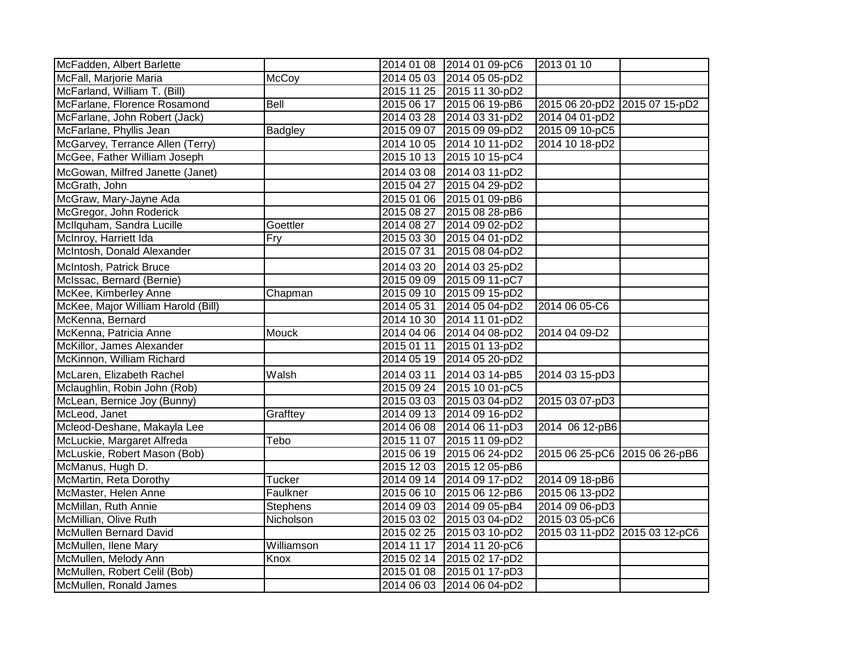| McFadden, Albert Barlette          |                 |            | 2014 01 08 2014 01 09-pC6 | 2013 01 10                    |  |
|------------------------------------|-----------------|------------|---------------------------|-------------------------------|--|
| McFall, Marjorie Maria             | McCoy           |            | 2014 05 03 2014 05 05-pD2 |                               |  |
| McFarland, William T. (Bill)       |                 |            | 2015 11 25 2015 11 30-pD2 |                               |  |
| McFarlane, Florence Rosamond       | Bell            |            | 2015 06 17 2015 06 19-pB6 | 2015 06 20-pD2 2015 07 15-pD2 |  |
| McFarlane, John Robert (Jack)      |                 |            | 2014 03 28 2014 03 31-pD2 | 2014 04 01-pD2                |  |
| McFarlane, Phyllis Jean            | Badgley         |            | 2015 09 07 2015 09 09-pD2 | 2015 09 10-pC5                |  |
| McGarvey, Terrance Allen (Terry)   |                 | 2014 10 05 | 2014 10 11-pD2            | 2014 10 18-pD2                |  |
| McGee, Father William Joseph       |                 | 2015 10 13 | 2015 10 15-pC4            |                               |  |
| McGowan, Milfred Janette (Janet)   |                 | 2014 03 08 | 2014 03 11-pD2            |                               |  |
| McGrath, John                      |                 | 2015 04 27 | 2015 04 29-pD2            |                               |  |
| McGraw, Mary-Jayne Ada             |                 | 2015 01 06 | 2015 01 09-pB6            |                               |  |
| McGregor, John Roderick            |                 | 2015 08 27 | 2015 08 28-pB6            |                               |  |
| McIlquham, Sandra Lucille          | Goettler        | 2014 08 27 | 2014 09 02-pD2            |                               |  |
| McInroy, Harriett Ida              | Fry             | 2015 03 30 | 2015 04 01-pD2            |                               |  |
| McIntosh, Donald Alexander         |                 | 2015 07 31 | 2015 08 04-pD2            |                               |  |
| McIntosh, Patrick Bruce            |                 | 2014 03 20 | 2014 03 25-pD2            |                               |  |
| McIssac, Bernard (Bernie)          |                 | 2015 09 09 | 2015 09 11-pC7            |                               |  |
| McKee, Kimberley Anne              | Chapman         |            | 2015 09 10 2015 09 15-pD2 |                               |  |
| McKee, Major William Harold (Bill) |                 | 2014 05 31 | 2014 05 04-pD2            | 2014 06 05-C6                 |  |
| McKenna, Bernard                   |                 | 2014 10 30 | 2014 11 01-pD2            |                               |  |
| McKenna, Patricia Anne             | <b>Mouck</b>    |            | 2014 04 06 2014 04 08-pD2 | 2014 04 09-D2                 |  |
| McKillor, James Alexander          |                 | 2015 01 11 | 2015 01 13-pD2            |                               |  |
| McKinnon, William Richard          |                 | 2014 05 19 | 2014 05 20-pD2            |                               |  |
| McLaren, Elizabeth Rachel          | Walsh           | 2014 03 11 | 2014 03 14-pB5            | 2014 03 15-pD3                |  |
| Mclaughlin, Robin John (Rob)       |                 | 2015 09 24 | 2015 10 01-pC5            |                               |  |
| McLean, Bernice Joy (Bunny)        |                 |            | 2015 03 03 2015 03 04-pD2 | 2015 03 07-pD3                |  |
| McLeod, Janet                      | Grafftey        |            | 2014 09 13 2014 09 16-pD2 |                               |  |
| Mcleod-Deshane, Makayla Lee        |                 |            | 2014 06 08 2014 06 11-pD3 | 2014 06 12-pB6                |  |
| McLuckie, Margaret Alfreda         | Tebo            | 2015 11 07 | 2015 11 09-pD2            |                               |  |
| McLuskie, Robert Mason (Bob)       |                 |            | 2015 06 19 2015 06 24-pD2 | 2015 06 25-pC6 2015 06 26-pB6 |  |
| McManus, Hugh D.                   |                 |            | 2015 12 03 2015 12 05-pB6 |                               |  |
| McMartin, Reta Dorothy             | <b>Tucker</b>   |            | 2014 09 14 2014 09 17-pD2 | 2014 09 18-pB6                |  |
| McMaster, Helen Anne               | Faulkner        | 2015 06 10 | 2015 06 12-pB6            | 2015 06 13-pD2                |  |
| McMillan, Ruth Annie               | <b>Stephens</b> | 2014 09 03 | 2014 09 05-pB4            | 2014 09 06-pD3                |  |
| McMillian, Olive Ruth              | Nicholson       | 2015 03 02 | 2015 03 04-pD2            | 2015 03 05-pC6                |  |
| <b>McMullen Bernard David</b>      |                 | 2015 02 25 | 2015 03 10-pD2            | 2015 03 11-pD2 2015 03 12-pC6 |  |
| McMullen, Ilene Mary               | Williamson      | 2014 11 17 | 2014 11 20-pC6            |                               |  |
| McMullen, Melody Ann               | Knox            |            | 2015 02 14 2015 02 17-pD2 |                               |  |
| McMullen, Robert Celil (Bob)       |                 | 2015 01 08 | 2015 01 17-pD3            |                               |  |
| McMullen, Ronald James             |                 | 2014 06 03 | 2014 06 04-pD2            |                               |  |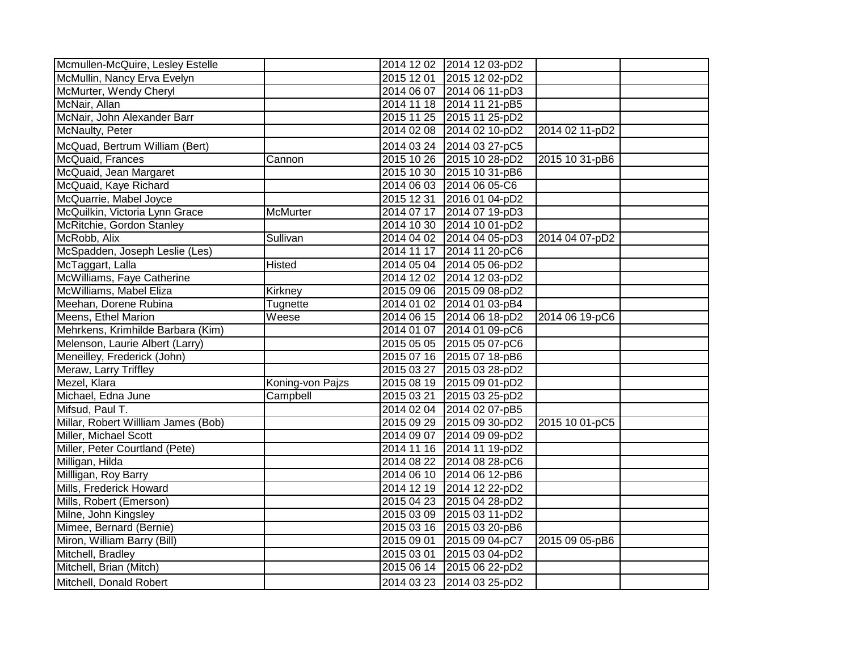| Mcmullen-McQuire, Lesley Estelle    |                  |            | 2014 12 02 2014 12 03-pD2 |                |  |
|-------------------------------------|------------------|------------|---------------------------|----------------|--|
| McMullin, Nancy Erva Evelyn         |                  | 2015 12 01 | 2015 12 02-pD2            |                |  |
| McMurter, Wendy Cheryl              |                  |            | 2014 06 07 2014 06 11-pD3 |                |  |
| McNair, Allan                       |                  |            | 2014 11 18 2014 11 21-pB5 |                |  |
| McNair, John Alexander Barr         |                  |            | 2015 11 25 2015 11 25-pD2 |                |  |
| McNaulty, Peter                     |                  | 2014 02 08 | 2014 02 10-pD2            | 2014 02 11-pD2 |  |
| McQuad, Bertrum William (Bert)      |                  | 2014 03 24 | 2014 03 27-pC5            |                |  |
| McQuaid, Frances                    | Cannon           | 2015 10 26 | 2015 10 28-pD2            | 2015 10 31-pB6 |  |
| McQuaid, Jean Margaret              |                  | 2015 10 30 | 2015 10 31-pB6            |                |  |
| McQuaid, Kaye Richard               |                  |            | 2014 06 03 2014 06 05-C6  |                |  |
| McQuarrie, Mabel Joyce              |                  | 2015 12 31 | 2016 01 04-pD2            |                |  |
| McQuilkin, Victoria Lynn Grace      | <b>McMurter</b>  |            | 2014 07 17 2014 07 19-pD3 |                |  |
| McRitchie, Gordon Stanley           |                  |            | 2014 10 30 2014 10 01-pD2 |                |  |
| McRobb, Alix                        | Sullivan         |            | 2014 04 02 2014 04 05-pD3 | 2014 04 07-pD2 |  |
| McSpadden, Joseph Leslie (Les)      |                  |            | 2014 11 17 2014 11 20-pC6 |                |  |
| McTaggart, Lalla                    | Histed           | 2014 05 04 | 2014 05 06-pD2            |                |  |
| McWilliams, Faye Catherine          |                  |            | 2014 12 02 2014 12 03-pD2 |                |  |
| McWilliams, Mabel Eliza             | Kirkney          |            | 2015 09 06 2015 09 08-pD2 |                |  |
| Meehan, Dorene Rubina               | Tugnette         |            | 2014 01 02 2014 01 03-pB4 |                |  |
| Meens, Ethel Marion                 | Weese            |            | 2014 06 15 2014 06 18-pD2 | 2014 06 19-pC6 |  |
| Mehrkens, Krimhilde Barbara (Kim)   |                  |            | 2014 01 07 2014 01 09-pC6 |                |  |
| Melenson, Laurie Albert (Larry)     |                  |            | 2015 05 05 2015 05 07-pC6 |                |  |
| Meneilley, Frederick (John)         |                  |            | 2015 07 16 2015 07 18-pB6 |                |  |
| Meraw, Larry Triffley               |                  | 2015 03 27 | 2015 03 28-pD2            |                |  |
| Mezel, Klara                        | Koning-von Pajzs |            | 2015 08 19 2015 09 01-pD2 |                |  |
| Michael, Edna June                  | Campbell         | 2015 03 21 | 2015 03 25-pD2            |                |  |
| Mifsud, Paul T.                     |                  |            | 2014 02 04 2014 02 07-pB5 |                |  |
| Millar, Robert Willliam James (Bob) |                  |            | 2015 09 29 2015 09 30-pD2 | 2015 10 01-pC5 |  |
| Miller, Michael Scott               |                  | 2014 09 07 | 2014 09 09-pD2            |                |  |
| Miller, Peter Courtland (Pete)      |                  |            | 2014 11 16 2014 11 19-pD2 |                |  |
| Milligan, Hilda                     |                  |            | 2014 08 22 2014 08 28-pC6 |                |  |
| Millligan, Roy Barry                |                  |            | 2014 06 10 2014 06 12-pB6 |                |  |
| Mills, Frederick Howard             |                  |            | 2014 12 19 2014 12 22-pD2 |                |  |
| Mills, Robert (Emerson)             |                  |            | 2015 04 23 2015 04 28-pD2 |                |  |
| Milne, John Kingsley                |                  |            | 2015 03 09 2015 03 11-pD2 |                |  |
| Mimee, Bernard (Bernie)             |                  | 2015 03 16 | 2015 03 20-pB6            |                |  |
| Miron, William Barry (Bill)         |                  | 2015 09 01 | 2015 09 04-pC7            | 2015 09 05-pB6 |  |
| Mitchell, Bradley                   |                  | 2015 03 01 | 2015 03 04-pD2            |                |  |
| Mitchell, Brian (Mitch)             |                  | 2015 06 14 | 2015 06 22-pD2            |                |  |
| Mitchell, Donald Robert             |                  |            | 2014 03 23 2014 03 25-pD2 |                |  |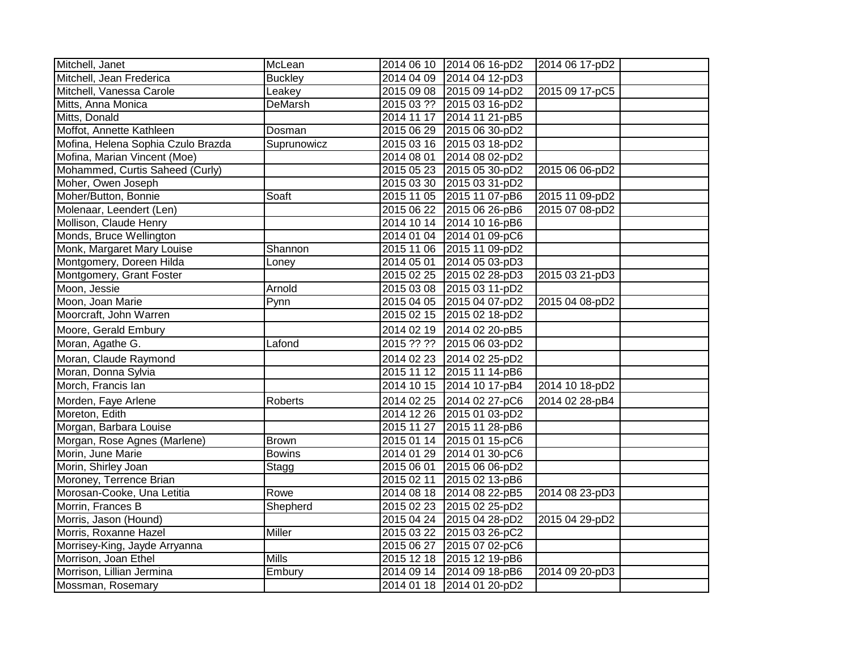| Mitchell, Janet                    | McLean         | 2014 06 10            | 2014 06 16-pD2            | 2014 06 17-pD2 |  |
|------------------------------------|----------------|-----------------------|---------------------------|----------------|--|
| Mitchell, Jean Frederica           | <b>Buckley</b> | 2014 04 09            | 2014 04 12-pD3            |                |  |
| Mitchell, Vanessa Carole           | Leakey         |                       | 2015 09 08 2015 09 14-pD2 | 2015 09 17-pC5 |  |
| Mitts, Anna Monica                 | DeMarsh        |                       | 2015 03 ?? 2015 03 16-pD2 |                |  |
| Mitts, Donald                      |                | $201411\overline{17}$ | 2014 11 21-pB5            |                |  |
| Moffot, Annette Kathleen           | Dosman         | 2015 06 29            | 2015 06 30-pD2            |                |  |
| Mofina, Helena Sophia Czulo Brazda | Suprunowicz    |                       | 2015 03 16 2015 03 18-pD2 |                |  |
| Mofina, Marian Vincent (Moe)       |                | 2014 08 01            | 2014 08 02-pD2            |                |  |
| Mohammed, Curtis Saheed (Curly)    |                | 2015 05 23            | 2015 05 30-pD2            | 2015 06 06-pD2 |  |
| Moher, Owen Joseph                 |                | 2015 03 30            | 2015 03 31-pD2            |                |  |
| Moher/Button, Bonnie               | Soaft          | 2015 11 05            | 2015 11 07-pB6            | 2015 11 09-pD2 |  |
| Molenaar, Leendert (Len)           |                | 2015 06 22            | 2015 06 26-pB6            | 2015 07 08-pD2 |  |
| Mollison, Claude Henry             |                | 2014 10 14            | 2014 10 16-pB6            |                |  |
| Monds, Bruce Wellington            |                | 2014 01 04            | 2014 01 09-pC6            |                |  |
| Monk, Margaret Mary Louise         | Shannon        | 2015 11 06            | 2015 11 09-pD2            |                |  |
| Montgomery, Doreen Hilda           | Loney          | 2014 05 01            | 2014 05 03-pD3            |                |  |
| Montgomery, Grant Foster           |                | 2015 02 25            | 2015 02 28-pD3            | 2015 03 21-pD3 |  |
| Moon, Jessie                       | Arnold         | 2015 03 08            | 2015 03 11-pD2            |                |  |
| Moon, Joan Marie                   | Pynn           | 2015 04 05            | 2015 04 07-pD2            | 2015 04 08-pD2 |  |
| Moorcraft, John Warren             |                | 2015 02 15            | 2015 02 18-pD2            |                |  |
| Moore, Gerald Embury               |                | 2014 02 19            | 2014 02 20-pB5            |                |  |
| Moran, Agathe G.                   | Lafond         | 2015 ?? ??            | 2015 06 03-pD2            |                |  |
| Moran, Claude Raymond              |                | 2014 02 23            | 2014 02 25-pD2            |                |  |
| Moran, Donna Sylvia                |                | 2015 11 12            | 2015 11 14-pB6            |                |  |
| Morch, Francis Ian                 |                | 2014 10 15            | 2014 10 17-pB4            | 2014 10 18-pD2 |  |
| Morden, Faye Arlene                | Roberts        | 2014 02 25            | 2014 02 27-pC6            | 2014 02 28-pB4 |  |
| Moreton, Edith                     |                | 2014 12 26            | 2015 01 03-pD2            |                |  |
| Morgan, Barbara Louise             |                | 2015 11 27            | 2015 11 28-pB6            |                |  |
| Morgan, Rose Agnes (Marlene)       | <b>Brown</b>   | 2015 01 14            | 2015 01 15-pC6            |                |  |
| Morin, June Marie                  | <b>Bowins</b>  |                       | 2014 01 29 2014 01 30-pC6 |                |  |
| Morin, Shirley Joan                | Stagg          | 2015 06 01            | 2015 06 06-pD2            |                |  |
| Moroney, Terrence Brian            |                | 2015 02 11            | 2015 02 13-pB6            |                |  |
| Morosan-Cooke, Una Letitia         | Rowe           | 2014 08 18            | 2014 08 22-pB5            | 2014 08 23-pD3 |  |
| Morrin, Frances B                  | Shepherd       | 2015 02 23            | 2015 02 25-pD2            |                |  |
| Morris, Jason (Hound)              |                | 2015 04 24            | 2015 04 28-pD2            | 2015 04 29-pD2 |  |
| Morris, Roxanne Hazel              | <b>Miller</b>  | 2015 03 22            | 2015 03 26-pC2            |                |  |
| Morrisey-King, Jayde Arryanna      |                | 2015 06 27            | 2015 07 02-pC6            |                |  |
| Morrison, Joan Ethel               | <b>Mills</b>   | 2015 12 18            | 2015 12 19-pB6            |                |  |
| Morrison, Lillian Jermina          | Embury         | 2014 09 14            | 2014 09 18-pB6            | 2014 09 20-pD3 |  |
| Mossman, Rosemary                  |                |                       | 2014 01 18 2014 01 20-pD2 |                |  |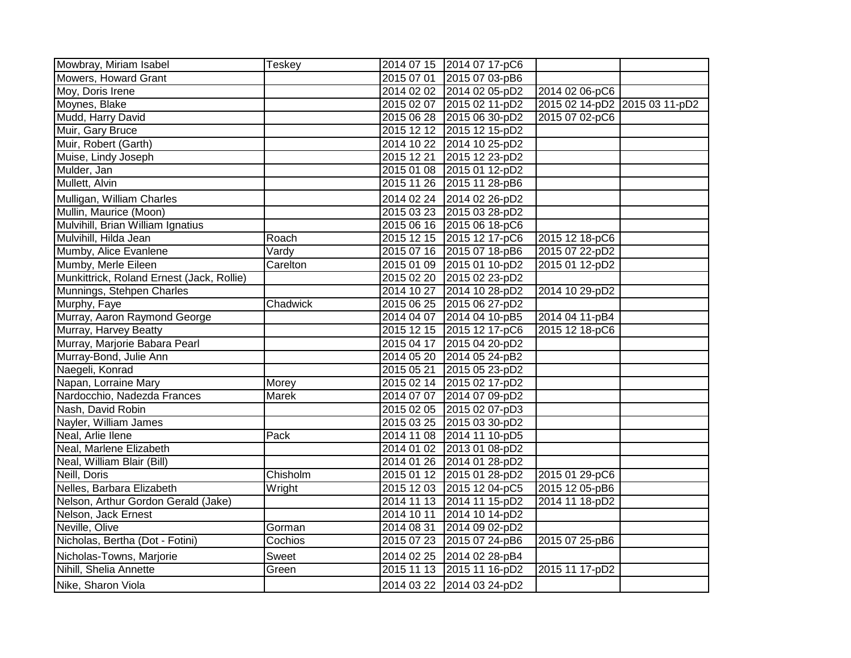| Mowbray, Miriam Isabel                    | <b>Teskey</b> |            | 2014 07 15 2014 07 17-pC6 |                               |  |
|-------------------------------------------|---------------|------------|---------------------------|-------------------------------|--|
| Mowers, Howard Grant                      |               |            | 2015 07 01 2015 07 03-pB6 |                               |  |
| Moy, Doris Irene                          |               |            | 2014 02 02 2014 02 05-pD2 | 2014 02 06-pC6                |  |
| Moynes, Blake                             |               |            | 2015 02 07 2015 02 11-pD2 | 2015 02 14-pD2 2015 03 11-pD2 |  |
| Mudd, Harry David                         |               |            | 2015 06 28 2015 06 30-pD2 | 2015 07 02-pC6                |  |
| Muir, Gary Bruce                          |               |            | 2015 12 12 2015 12 15-pD2 |                               |  |
| Muir, Robert (Garth)                      |               |            | 2014 10 22 2014 10 25-pD2 |                               |  |
| Muise, Lindy Joseph                       |               | 2015 12 21 | 2015 12 23-pD2            |                               |  |
| Mulder, Jan                               |               |            | 2015 01 08 2015 01 12-pD2 |                               |  |
| Mullett, Alvin                            |               |            | 2015 11 26 2015 11 28-pB6 |                               |  |
| Mulligan, William Charles                 |               |            | 2014 02 24 2014 02 26-pD2 |                               |  |
| Mullin, Maurice (Moon)                    |               |            | 2015 03 23 2015 03 28-pD2 |                               |  |
| Mulvihill, Brian William Ignatius         |               |            | 2015 06 16 2015 06 18-pC6 |                               |  |
| Mulvihill, Hilda Jean                     | Roach         |            | 2015 12 15 2015 12 17-pC6 | 2015 12 18-pC6                |  |
| Mumby, Alice Evanlene                     | Vardy         |            | 2015 07 16 2015 07 18-pB6 | 2015 07 22-pD2                |  |
| Mumby, Merle Eileen                       | Carelton      |            | 2015 01 09 2015 01 10-pD2 | 2015 01 12-pD2                |  |
| Munkittrick, Roland Ernest (Jack, Rollie) |               |            | 2015 02 20 2015 02 23-pD2 |                               |  |
| Munnings, Stehpen Charles                 |               |            | 2014 10 27 2014 10 28-pD2 | 2014 10 29-pD2                |  |
| Murphy, Faye                              | Chadwick      |            | 2015 06 25 2015 06 27-pD2 |                               |  |
| Murray, Aaron Raymond George              |               |            | 2014 04 07 2014 04 10-pB5 | 2014 04 11-pB4                |  |
| Murray, Harvey Beatty                     |               |            | 2015 12 15 2015 12 17-pC6 | 2015 12 18-pC6                |  |
| Murray, Marjorie Babara Pearl             |               |            | 2015 04 17 2015 04 20-pD2 |                               |  |
| Murray-Bond, Julie Ann                    |               |            | 2014 05 20 2014 05 24-pB2 |                               |  |
| Naegeli, Konrad                           |               |            | 2015 05 21 2015 05 23-pD2 |                               |  |
| Napan, Lorraine Mary                      | Morey         |            | 2015 02 14 2015 02 17-pD2 |                               |  |
| Nardocchio, Nadezda Frances               | Marek         |            | 2014 07 07 2014 07 09-pD2 |                               |  |
| Nash, David Robin                         |               |            | 2015 02 05 2015 02 07-pD3 |                               |  |
| Nayler, William James                     |               |            | 2015 03 25 2015 03 30-pD2 |                               |  |
| Neal, Arlie Ilene                         | Pack          |            | 2014 11 08 2014 11 10-pD5 |                               |  |
| Neal, Marlene Elizabeth                   |               |            | 2014 01 02 2013 01 08-pD2 |                               |  |
| Neal, William Blair (Bill)                |               |            | 2014 01 26 2014 01 28-pD2 |                               |  |
| Neill, Doris                              | Chisholm      |            | 2015 01 12 2015 01 28-pD2 | 2015 01 29-pC6                |  |
| Nelles, Barbara Elizabeth                 | Wright        |            | 2015 12 03 2015 12 04-pC5 | 2015 12 05-pB6                |  |
| Nelson, Arthur Gordon Gerald (Jake)       |               |            | 2014 11 13 2014 11 15-pD2 | 2014 11 18-pD2                |  |
| Nelson, Jack Ernest                       |               | 2014 10 11 | 2014 10 14-pD2            |                               |  |
| Neville, Olive                            | Gorman        | 2014 08 31 | 2014 09 02-pD2            |                               |  |
| Nicholas, Bertha (Dot - Fotini)           | Cochios       |            | 2015 07 23 2015 07 24-pB6 | 2015 07 25-pB6                |  |
| Nicholas-Towns, Marjorie                  | Sweet         | 2014 02 25 | 2014 02 28-pB4            |                               |  |
| Nihill, Shelia Annette                    | Green         | 2015 11 13 | 2015 11 16-pD2            | 2015 11 17-pD2                |  |
| Nike, Sharon Viola                        |               |            | 2014 03 22 2014 03 24-pD2 |                               |  |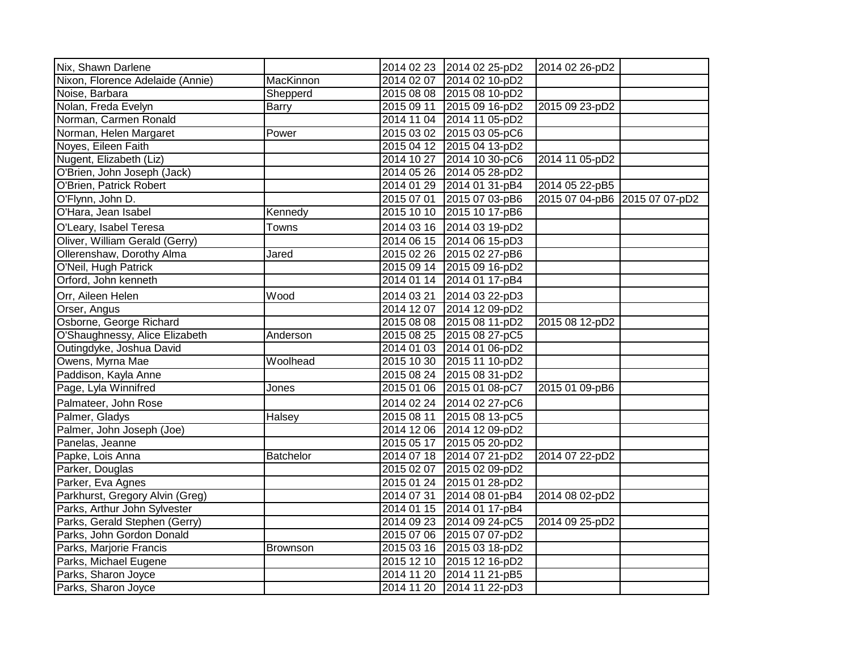| Nix, Shawn Darlene               |               |            | 2014 02 23 2014 02 25-pD2 | 2014 02 26-pD2                |  |
|----------------------------------|---------------|------------|---------------------------|-------------------------------|--|
| Nixon, Florence Adelaide (Annie) | MacKinnon     |            | 2014 02 07 2014 02 10-pD2 |                               |  |
| Noise, Barbara                   | Shepperd      |            | 2015 08 08 2015 08 10-pD2 |                               |  |
| Nolan, Freda Evelyn              | <b>Barry</b>  | 2015 09 11 | 2015 09 16-pD2            | 2015 09 23-pD2                |  |
| Norman, Carmen Ronald            |               |            | 2014 11 04 2014 11 05-pD2 |                               |  |
| Norman, Helen Margaret           | Power         |            | 2015 03 02 2015 03 05-pC6 |                               |  |
| Noyes, Eileen Faith              |               |            | 2015 04 12 2015 04 13-pD2 |                               |  |
| Nugent, Elizabeth (Liz)          |               |            | 2014 10 27 2014 10 30-pC6 | 2014 11 05-pD2                |  |
| O'Brien, John Joseph (Jack)      |               |            | 2014 05 26 2014 05 28-pD2 |                               |  |
| O'Brien, Patrick Robert          |               |            | 2014 01 29 2014 01 31-pB4 | 2014 05 22-pB5                |  |
| O'Flynn, John D.                 |               | 2015 07 01 | 2015 07 03-pB6            | 2015 07 04-pB6 2015 07 07-pD2 |  |
| O'Hara, Jean Isabel              | Kennedy       |            | 2015 10 10 2015 10 17-pB6 |                               |  |
| O'Leary, Isabel Teresa           | Towns         |            | 2014 03 16 2014 03 19-pD2 |                               |  |
| Oliver, William Gerald (Gerry)   |               |            | 2014 06 15 2014 06 15-pD3 |                               |  |
| Ollerenshaw, Dorothy Alma        | Jared         |            | 2015 02 26 2015 02 27-pB6 |                               |  |
| O'Neil, Hugh Patrick             |               |            | 2015 09 14 2015 09 16-pD2 |                               |  |
| Orford, John kenneth             |               |            | 2014 01 14 2014 01 17-pB4 |                               |  |
| Orr, Aileen Helen                | Wood          | 2014 03 21 | 2014 03 22-pD3            |                               |  |
| Orser, Angus                     |               |            | 2014 12 07 2014 12 09-pD2 |                               |  |
| Osborne, George Richard          |               |            | 2015 08 08 2015 08 11-pD2 | 2015 08 12-pD2                |  |
| O'Shaughnessy, Alice Elizabeth   | Anderson      |            | 2015 08 25 2015 08 27-pC5 |                               |  |
| Outingdyke, Joshua David         |               |            | 2014 01 03 2014 01 06-pD2 |                               |  |
| Owens, Myrna Mae                 | Woolhead      |            | 2015 10 30 2015 11 10-pD2 |                               |  |
| Paddison, Kayla Anne             |               |            | 2015 08 24 2015 08 31-pD2 |                               |  |
| Page, Lyla Winnifred             | Jones         | 2015 01 06 | 2015 01 08-pC7            | 2015 01 09-pB6                |  |
| Palmateer, John Rose             |               |            | 2014 02 24 2014 02 27-pC6 |                               |  |
| Palmer, Gladys                   | <b>Halsey</b> | 2015 08 11 | 2015 08 13-pC5            |                               |  |
| Palmer, John Joseph (Joe)        |               |            | 2014 12 06 2014 12 09-pD2 |                               |  |
| Panelas, Jeanne                  |               |            | 2015 05 17 2015 05 20-pD2 |                               |  |
| Papke, Lois Anna                 | Batchelor     |            | 2014 07 18 2014 07 21-pD2 | 2014 07 22-pD2                |  |
| Parker, Douglas                  |               |            | 2015 02 07 2015 02 09-pD2 |                               |  |
| Parker, Eva Agnes                |               |            | 2015 01 24 2015 01 28-pD2 |                               |  |
| Parkhurst, Gregory Alvin (Greg)  |               | 2014 07 31 | 2014 08 01-pB4            | 2014 08 02-pD2                |  |
| Parks, Arthur John Sylvester     |               |            | 2014 01 15 2014 01 17-pB4 |                               |  |
| Parks, Gerald Stephen (Gerry)    |               |            | 2014 09 23 2014 09 24-pC5 | 2014 09 25-pD2                |  |
| Parks, John Gordon Donald        |               |            | 2015 07 06 2015 07 07-pD2 |                               |  |
| Parks, Marjorie Francis          | Brownson      |            | 2015 03 16 2015 03 18-pD2 |                               |  |
| Parks, Michael Eugene            |               | 2015 12 10 | 2015 12 16-pD2            |                               |  |
| Parks, Sharon Joyce              |               |            | 2014 11 20 2014 11 21-pB5 |                               |  |
| Parks, Sharon Joyce              |               | 2014 11 20 | 2014 11 22-pD3            |                               |  |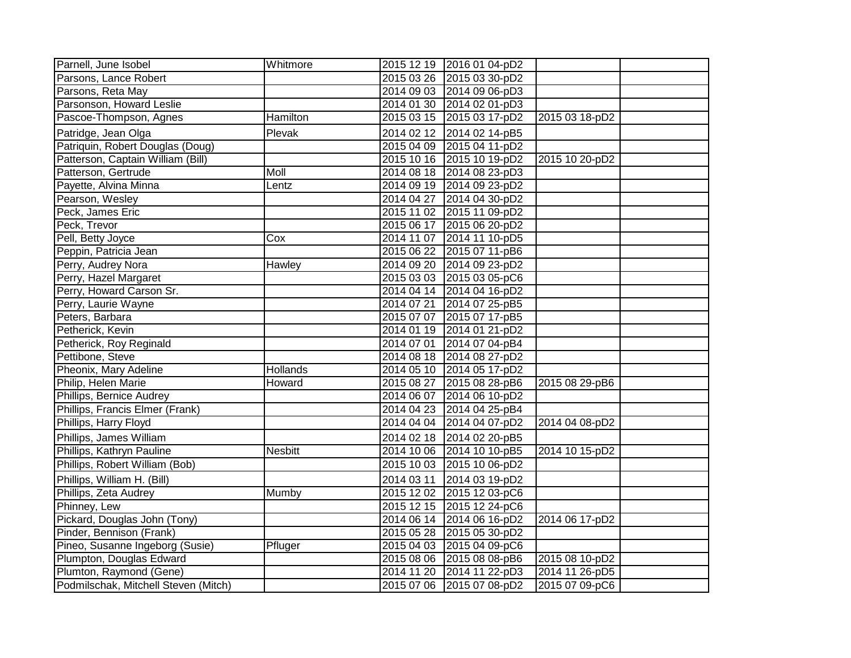| Parnell, June Isobel                 | Whitmore        |            | 2015 12 19 2016 01 04-pD2 |                |  |
|--------------------------------------|-----------------|------------|---------------------------|----------------|--|
| Parsons, Lance Robert                |                 |            | 2015 03 26 2015 03 30-pD2 |                |  |
| Parsons, Reta May                    |                 |            | 2014 09 03 2014 09 06-pD3 |                |  |
| Parsonson, Howard Leslie             |                 |            | 2014 01 30 2014 02 01-pD3 |                |  |
| Pascoe-Thompson, Agnes               | Hamilton        |            | 2015 03 15 2015 03 17-pD2 | 2015 03 18-pD2 |  |
| Patridge, Jean Olga                  | Plevak          |            | 2014 02 12 2014 02 14-pB5 |                |  |
| Patriquin, Robert Douglas (Doug)     |                 |            | 2015 04 09 2015 04 11-pD2 |                |  |
| Patterson, Captain William (Bill)    |                 |            | 2015 10 16 2015 10 19-pD2 | 2015 10 20-pD2 |  |
| Patterson, Gertrude                  | <b>Moll</b>     |            | 2014 08 18 2014 08 23-pD3 |                |  |
| Payette, Alvina Minna                | Lentz           |            | 2014 09 19 2014 09 23-pD2 |                |  |
| Pearson, Wesley                      |                 |            | 2014 04 27 2014 04 30-pD2 |                |  |
| Peck, James Eric                     |                 |            | 2015 11 02 2015 11 09-pD2 |                |  |
| Peck, Trevor                         |                 |            | 2015 06 17 2015 06 20-pD2 |                |  |
| Pell, Betty Joyce                    | Cox             |            | 2014 11 07 2014 11 10-pD5 |                |  |
| Peppin, Patricia Jean                |                 |            | 2015 06 22 2015 07 11-pB6 |                |  |
| Perry, Audrey Nora                   | Hawley          |            | 2014 09 20 2014 09 23-pD2 |                |  |
| Perry, Hazel Margaret                |                 |            | 2015 03 03 2015 03 05-pC6 |                |  |
| Perry, Howard Carson Sr.             |                 |            | 2014 04 14 2014 04 16-pD2 |                |  |
| Perry, Laurie Wayne                  |                 |            | 2014 07 21 2014 07 25-pB5 |                |  |
| Peters, Barbara                      |                 |            | 2015 07 07 2015 07 17-pB5 |                |  |
| Petherick, Kevin                     |                 |            | 2014 01 19 2014 01 21-pD2 |                |  |
| Petherick, Roy Reginald              |                 |            | 2014 07 01 2014 07 04-pB4 |                |  |
| Pettibone, Steve                     |                 |            | 2014 08 18 2014 08 27-pD2 |                |  |
| Pheonix, Mary Adeline                | <b>Hollands</b> |            | 2014 05 10 2014 05 17-pD2 |                |  |
| Philip, Helen Marie                  | Howard          |            | 2015 08 27 2015 08 28-pB6 | 2015 08 29-pB6 |  |
| Phillips, Bernice Audrey             |                 |            | 2014 06 07 2014 06 10-pD2 |                |  |
| Phillips, Francis Elmer (Frank)      |                 |            | 2014 04 23 2014 04 25-pB4 |                |  |
| Phillips, Harry Floyd                |                 |            | 2014 04 04 2014 04 07-pD2 | 2014 04 08-pD2 |  |
| Phillips, James William              |                 |            | 2014 02 18 2014 02 20-pB5 |                |  |
| Phillips, Kathryn Pauline            | <b>Nesbitt</b>  |            | 2014 10 06 2014 10 10-pB5 | 2014 10 15-pD2 |  |
| Phillips, Robert William (Bob)       |                 |            | 2015 10 03 2015 10 06-pD2 |                |  |
| Phillips, William H. (Bill)          |                 | 2014 03 11 | 2014 03 19-pD2            |                |  |
| Phillips, Zeta Audrey                | Mumby           |            | 2015 12 02 2015 12 03-pC6 |                |  |
| Phinney, Lew                         |                 |            | 2015 12 15 2015 12 24-pC6 |                |  |
| Pickard, Douglas John (Tony)         |                 |            | 2014 06 14 2014 06 16-pD2 | 2014 06 17-pD2 |  |
| Pinder, Bennison (Frank)             |                 |            | 2015 05 28 2015 05 30-pD2 |                |  |
| Pineo, Susanne Ingeborg (Susie)      | Pfluger         |            | 2015 04 03 2015 04 09-pC6 |                |  |
| Plumpton, Douglas Edward             |                 |            | 2015 08 06 2015 08 08-pB6 | 2015 08 10-pD2 |  |
| Plumton, Raymond (Gene)              |                 |            | 2014 11 20 2014 11 22-pD3 | 2014 11 26-pD5 |  |
| Podmilschak, Mitchell Steven (Mitch) |                 |            | 2015 07 06 2015 07 08-pD2 | 2015 07 09-pC6 |  |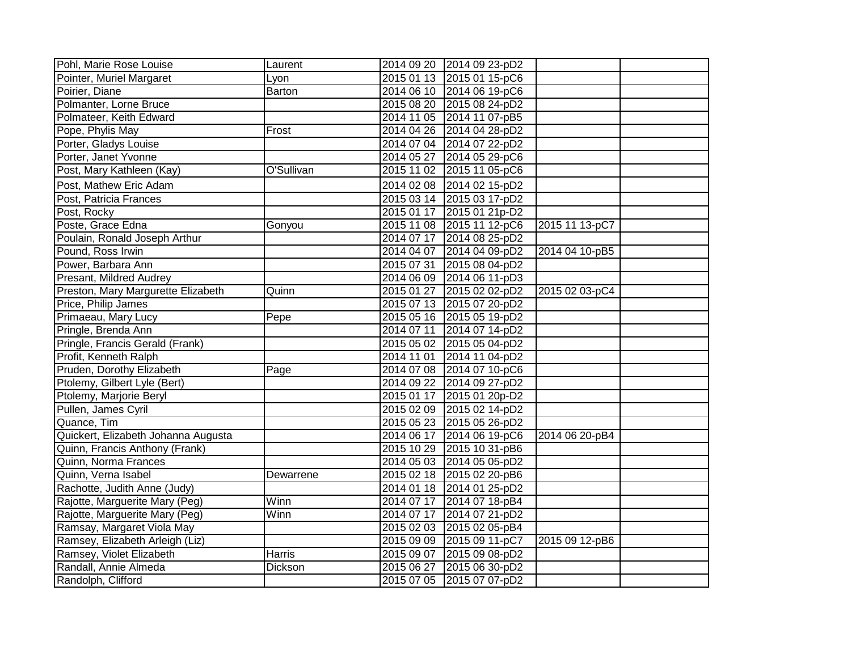| Pohl, Marie Rose Louise             | Laurent    |            | 2014 09 20 2014 09 23-pD2 |                |  |
|-------------------------------------|------------|------------|---------------------------|----------------|--|
| Pointer, Muriel Margaret            | Lyon       |            | 2015 01 13 2015 01 15-pC6 |                |  |
| Poirier, Diane                      | Barton     |            | 2014 06 10 2014 06 19-pC6 |                |  |
| Polmanter, Lorne Bruce              |            |            | 2015 08 20 2015 08 24-pD2 |                |  |
| Polmateer, Keith Edward             |            |            | 2014 11 05 2014 11 07-pB5 |                |  |
| Pope, Phylis May                    | Frost      |            | 2014 04 26 2014 04 28-pD2 |                |  |
| Porter, Gladys Louise               |            |            | 2014 07 04 2014 07 22-pD2 |                |  |
| Porter, Janet Yvonne                |            | 2014 05 27 | 2014 05 29-pC6            |                |  |
| Post, Mary Kathleen (Kay)           | O'Sullivan |            | 2015 11 02 2015 11 05-pC6 |                |  |
| Post, Mathew Eric Adam              |            |            | 2014 02 08 2014 02 15-pD2 |                |  |
| Post, Patricia Frances              |            | 2015 03 14 | 2015 03 17-pD2            |                |  |
| Post, Rocky                         |            | 2015 01 17 | 2015 01 21p-D2            |                |  |
| Poste, Grace Edna                   | Gonyou     |            | 2015 11 08 2015 11 12-pC6 | 2015 11 13-pC7 |  |
| Poulain, Ronald Joseph Arthur       |            | 2014 07 17 | 2014 08 25-pD2            |                |  |
| Pound, Ross Irwin                   |            | 2014 04 07 | 2014 04 09-pD2            | 2014 04 10-pB5 |  |
| Power, Barbara Ann                  |            | 2015 07 31 | 2015 08 04-pD2            |                |  |
| Presant, Mildred Audrey             |            |            | 2014 06 09 2014 06 11-pD3 |                |  |
| Preston, Mary Margurette Elizabeth  | Quinn      | 2015 01 27 | 2015 02 02-pD2            | 2015 02 03-pC4 |  |
| Price, Philip James                 |            |            | 2015 07 13 2015 07 20-pD2 |                |  |
| Primaeau, Mary Lucy                 | Pepe       |            | 2015 05 16 2015 05 19-pD2 |                |  |
| Pringle, Brenda Ann                 |            | 2014 07 11 | 2014 07 14-pD2            |                |  |
| Pringle, Francis Gerald (Frank)     |            |            | 2015 05 02 2015 05 04-pD2 |                |  |
| Profit, Kenneth Ralph               |            | 2014 11 01 | 2014 11 04-pD2            |                |  |
| Pruden, Dorothy Elizabeth           | Page       |            | 2014 07 08 2014 07 10-pC6 |                |  |
| Ptolemy, Gilbert Lyle (Bert)        |            |            | 2014 09 22 2014 09 27-pD2 |                |  |
| Ptolemy, Marjorie Beryl             |            | 2015 01 17 | 2015 01 20p-D2            |                |  |
| Pullen, James Cyril                 |            |            | 2015 02 09 2015 02 14-pD2 |                |  |
| Quance, Tim                         |            |            | 2015 05 23 2015 05 26-pD2 |                |  |
| Quickert, Elizabeth Johanna Augusta |            | 2014 06 17 | 2014 06 19-pC6            | 2014 06 20-pB4 |  |
| Quinn, Francis Anthony (Frank)      |            |            | 2015 10 29 2015 10 31-pB6 |                |  |
| Quinn, Norma Frances                |            |            | 2014 05 03 2014 05 05-pD2 |                |  |
| Quinn, Verna Isabel                 | Dewarrene  |            | 2015 02 18 2015 02 20-pB6 |                |  |
| Rachotte, Judith Anne (Judy)        |            |            | 2014 01 18 2014 01 25-pD2 |                |  |
| Rajotte, Marguerite Mary (Peg)      | Winn       | 2014 07 17 | 2014 07 18-pB4            |                |  |
| Rajotte, Marguerite Mary (Peg)      | Winn       | 2014 07 17 | 2014 07 21-pD2            |                |  |
| Ramsay, Margaret Viola May          |            |            | 2015 02 03 2015 02 05-pB4 |                |  |
| Ramsey, Elizabeth Arleigh (Liz)     |            | 2015 09 09 | 2015 09 11-pC7            | 2015 09 12-pB6 |  |
| Ramsey, Violet Elizabeth            | Harris     | 2015 09 07 | 2015 09 08-pD2            |                |  |
| Randall, Annie Almeda               | Dickson    | 2015 06 27 | 2015 06 30-pD2            |                |  |
| Randolph, Clifford                  |            |            | 2015 07 05 2015 07 07-pD2 |                |  |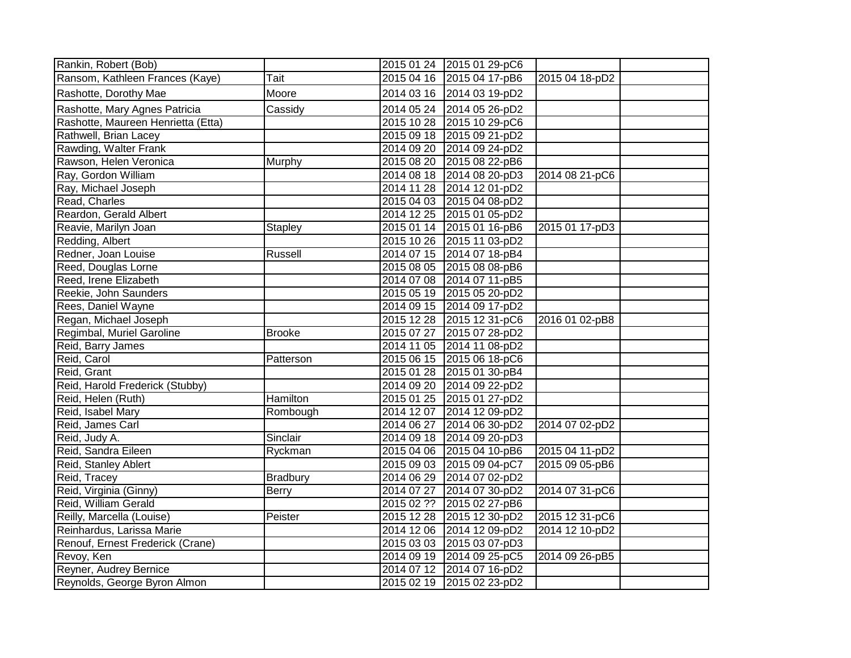| Rankin, Robert (Bob)               |                 |            | 2015 01 24 2015 01 29-pC6 |                |  |
|------------------------------------|-----------------|------------|---------------------------|----------------|--|
| Ransom, Kathleen Frances (Kaye)    | Tait            |            | 2015 04 16 2015 04 17-pB6 | 2015 04 18-pD2 |  |
| Rashotte, Dorothy Mae              | Moore           |            | 2014 03 16 2014 03 19-pD2 |                |  |
| Rashotte, Mary Agnes Patricia      | Cassidy         | 2014 05 24 | 2014 05 26-pD2            |                |  |
| Rashotte, Maureen Henrietta (Etta) |                 | 2015 10 28 | 2015 10 29-pC6            |                |  |
| Rathwell, Brian Lacey              |                 | 2015 09 18 | 2015 09 21-pD2            |                |  |
| Rawding, Walter Frank              |                 | 2014 09 20 | 2014 09 24-pD2            |                |  |
| Rawson, Helen Veronica             | Murphy          | 2015 08 20 | 2015 08 22-pB6            |                |  |
| Ray, Gordon William                |                 | 2014 08 18 | 2014 08 20-pD3            | 2014 08 21-pC6 |  |
| Ray, Michael Joseph                |                 | 2014 11 28 | 2014 12 01-pD2            |                |  |
| Read, Charles                      |                 | 2015 04 03 | 2015 04 08-pD2            |                |  |
| Reardon, Gerald Albert             |                 | 2014 12 25 | 2015 01 05-pD2            |                |  |
| Reavie, Marilyn Joan               | Stapley         |            | 2015 01 14 2015 01 16-pB6 | 2015 01 17-pD3 |  |
| Redding, Albert                    |                 | 2015 10 26 | 2015 11 03-pD2            |                |  |
| Redner, Joan Louise                | Russell         | 2014 07 15 | 2014 07 18-pB4            |                |  |
| Reed, Douglas Lorne                |                 | 2015 08 05 | 2015 08 08-pB6            |                |  |
| Reed, Irene Elizabeth              |                 | 2014 07 08 | 2014 07 11-pB5            |                |  |
| Reekie, John Saunders              |                 | 2015 05 19 | 2015 05 20-pD2            |                |  |
| Rees, Daniel Wayne                 |                 |            | 2014 09 15 2014 09 17-pD2 |                |  |
| Regan, Michael Joseph              |                 |            | 2015 12 28 2015 12 31-pC6 | 2016 01 02-pB8 |  |
| Regimbal, Muriel Garoline          | <b>Brooke</b>   | 2015 07 27 | 2015 07 28-pD2            |                |  |
| Reid, Barry James                  |                 | 2014 11 05 | 2014 11 08-pD2            |                |  |
| Reid, Carol                        | Patterson       |            | 2015 06 15 2015 06 18-pC6 |                |  |
| Reid, Grant                        |                 | 2015 01 28 | 2015 01 30-pB4            |                |  |
| Reid, Harold Frederick (Stubby)    |                 |            | 2014 09 20 2014 09 22-pD2 |                |  |
| Reid, Helen (Ruth)                 | Hamilton        | 2015 01 25 | 2015 01 27-pD2            |                |  |
| Reid, Isabel Mary                  | Rombough        | 2014 12 07 | 2014 12 09-pD2            |                |  |
| Reid, James Carl                   |                 | 2014 06 27 | 2014 06 30-pD2            | 2014 07 02-pD2 |  |
| Reid, Judy A.                      | Sinclair        |            | 2014 09 18 2014 09 20-pD3 |                |  |
| Reid, Sandra Eileen                | Ryckman         | 2015 04 06 | 2015 04 10-pB6            | 2015 04 11-pD2 |  |
| Reid, Stanley Ablert               |                 | 2015 09 03 | 2015 09 04-pC7            | 2015 09 05-pB6 |  |
| Reid, Tracey                       | <b>Bradbury</b> | 2014 06 29 | 2014 07 02-pD2            |                |  |
| Reid, Virginia (Ginny)             | <b>Berry</b>    | 2014 07 27 | 2014 07 30-pD2            | 2014 07 31-pC6 |  |
| Reid, William Gerald               |                 | 2015 02 ?? | 2015 02 27-pB6            |                |  |
| Reilly, Marcella (Louise)          | Peister         | 2015 12 28 | 2015 12 30-pD2            | 2015 12 31-pC6 |  |
| Reinhardus, Larissa Marie          |                 | 2014 12 06 | 2014 12 09-pD2            | 2014 12 10-pD2 |  |
| Renouf, Ernest Frederick (Crane)   |                 | 2015 03 03 | 2015 03 07-pD3            |                |  |
| Revoy, Ken                         |                 | 2014 09 19 | 2014 09 25-pC5            | 2014 09 26-pB5 |  |
| Reyner, Audrey Bernice             |                 | 2014 07 12 | 2014 07 16-pD2            |                |  |
| Reynolds, George Byron Almon       |                 |            | 2015 02 19 2015 02 23-pD2 |                |  |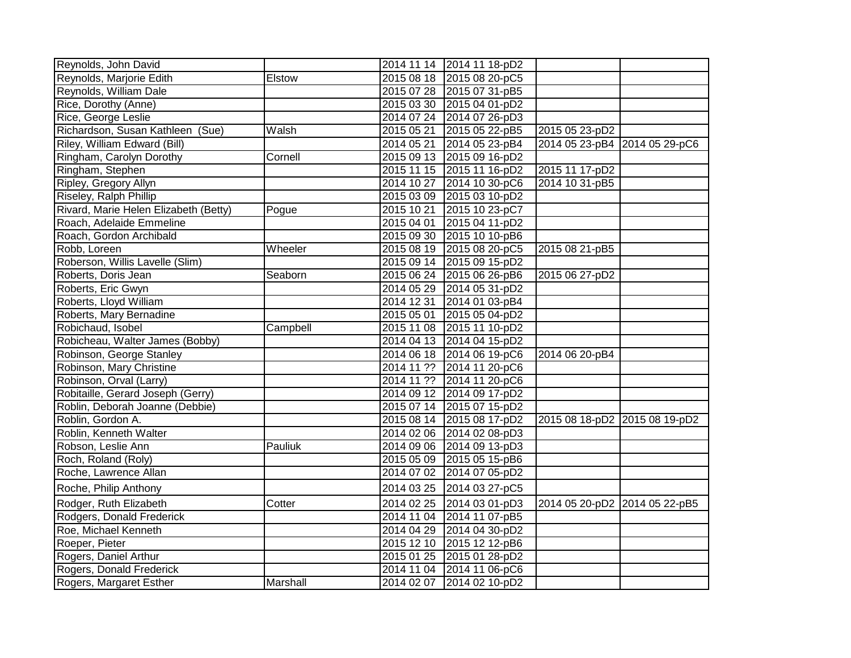| Reynolds, John David                  |          |            | 2014 11 14 2014 11 18-pD2 |                               |  |
|---------------------------------------|----------|------------|---------------------------|-------------------------------|--|
| Reynolds, Marjorie Edith              | Elstow   |            | 2015 08 18 2015 08 20-pC5 |                               |  |
| Reynolds, William Dale                |          |            | 2015 07 28 2015 07 31-pB5 |                               |  |
| Rice, Dorothy (Anne)                  |          |            | 2015 03 30 2015 04 01-pD2 |                               |  |
| Rice, George Leslie                   |          |            | 2014 07 24 2014 07 26-pD3 |                               |  |
| Richardson, Susan Kathleen (Sue)      | Walsh    |            | 2015 05 21 2015 05 22-pB5 | 2015 05 23-pD2                |  |
| Riley, William Edward (Bill)          |          |            | 2014 05 21 2014 05 23-pB4 | 2014 05 23-pB4 2014 05 29-pC6 |  |
| Ringham, Carolyn Dorothy              | Cornell  |            | 2015 09 13 2015 09 16-pD2 |                               |  |
| Ringham, Stephen                      |          |            | 2015 11 15 2015 11 16-pD2 | 2015 11 17-pD2                |  |
| Ripley, Gregory Allyn                 |          |            | 2014 10 27 2014 10 30-pC6 | 2014 10 31-pB5                |  |
| Riseley, Ralph Phillip                |          |            | 2015 03 09 2015 03 10-pD2 |                               |  |
| Rivard, Marie Helen Elizabeth (Betty) | Pogue    |            | 2015 10 21 2015 10 23-pC7 |                               |  |
| Roach, Adelaide Emmeline              |          |            | 2015 04 01 2015 04 11-pD2 |                               |  |
| Roach, Gordon Archibald               |          |            | 2015 09 30 2015 10 10-pB6 |                               |  |
| Robb, Loreen                          | Wheeler  |            | 2015 08 19 2015 08 20-pC5 | 2015 08 21-pB5                |  |
| Roberson, Willis Lavelle (Slim)       |          |            | 2015 09 14 2015 09 15-pD2 |                               |  |
| Roberts, Doris Jean                   | Seaborn  |            | 2015 06 24 2015 06 26-pB6 | 2015 06 27-pD2                |  |
| Roberts, Eric Gwyn                    |          |            | 2014 05 29 2014 05 31-pD2 |                               |  |
| Roberts, Lloyd William                |          |            | 2014 12 31 2014 01 03-pB4 |                               |  |
| Roberts, Mary Bernadine               |          |            | 2015 05 01 2015 05 04-pD2 |                               |  |
| Robichaud, Isobel                     | Campbell |            | 2015 11 08 2015 11 10-pD2 |                               |  |
| Robicheau, Walter James (Bobby)       |          |            | 2014 04 13 2014 04 15-pD2 |                               |  |
| Robinson, George Stanley              |          |            | 2014 06 18 2014 06 19-pC6 | 2014 06 20-pB4                |  |
| Robinson, Mary Christine              |          |            | 2014 11 ?? 2014 11 20-pC6 |                               |  |
| Robinson, Orval (Larry)               |          |            | 2014 11 ?? 2014 11 20-pC6 |                               |  |
| Robitaille, Gerard Joseph (Gerry)     |          |            | 2014 09 12 2014 09 17-pD2 |                               |  |
| Roblin, Deborah Joanne (Debbie)       |          |            | 2015 07 14 2015 07 15-pD2 |                               |  |
| Roblin, Gordon A.                     |          |            | 2015 08 14 2015 08 17-pD2 | 2015 08 18-pD2 2015 08 19-pD2 |  |
| Roblin, Kenneth Walter                |          |            | 2014 02 06 2014 02 08-pD3 |                               |  |
| Robson, Leslie Ann                    | Pauliuk  |            | 2014 09 06 2014 09 13-pD3 |                               |  |
| Roch, Roland (Roly)                   |          |            | 2015 05 09 2015 05 15-pB6 |                               |  |
| Roche, Lawrence Allan                 |          | 2014 07 02 | 2014 07 05-pD2            |                               |  |
| Roche, Philip Anthony                 |          |            | 2014 03 25 2014 03 27-pC5 |                               |  |
| Rodger, Ruth Elizabeth                | Cotter   |            | 2014 02 25 2014 03 01-pD3 | 2014 05 20-pD2 2014 05 22-pB5 |  |
| Rodgers, Donald Frederick             |          |            | 2014 11 04 2014 11 07-pB5 |                               |  |
| Roe, Michael Kenneth                  |          |            | 2014 04 29 2014 04 30-pD2 |                               |  |
| Roeper, Pieter                        |          |            | 2015 12 10 2015 12 12-pB6 |                               |  |
| Rogers, Daniel Arthur                 |          |            | 2015 01 25 2015 01 28-pD2 |                               |  |
| Rogers, Donald Frederick              |          |            | 2014 11 04 2014 11 06-pC6 |                               |  |
| Rogers, Margaret Esther               | Marshall |            | 2014 02 07 2014 02 10-pD2 |                               |  |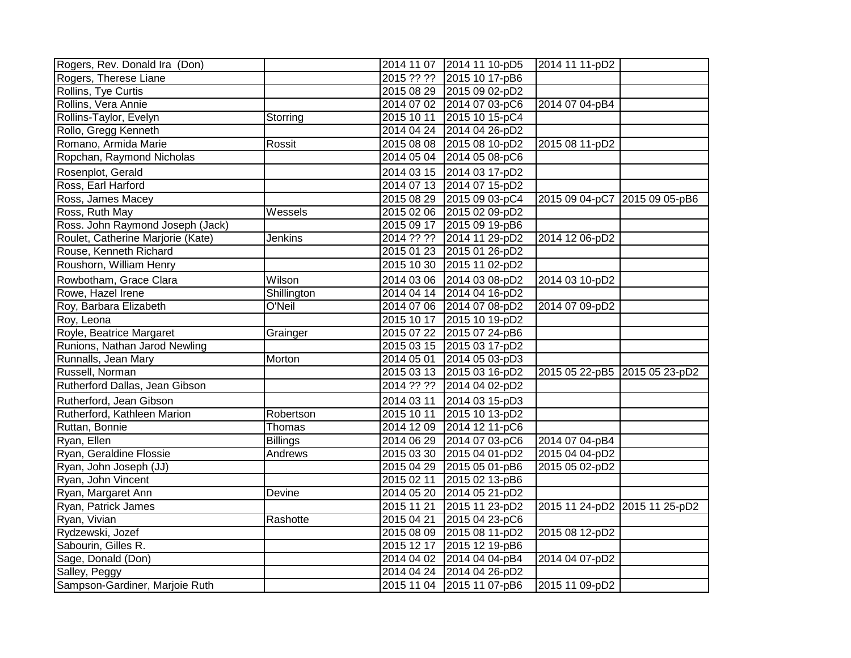| Rogers, Rev. Donald Ira (Don)     |                 |            | 2014 11 07 2014 11 10-pD5 | 2014 11 11-pD2                |  |
|-----------------------------------|-----------------|------------|---------------------------|-------------------------------|--|
| Rogers, Therese Liane             |                 |            | 2015 ?? ?? 2015 10 17-pB6 |                               |  |
| Rollins, Tye Curtis               |                 |            | 2015 08 29 2015 09 02-pD2 |                               |  |
| Rollins, Vera Annie               |                 |            | 2014 07 02 2014 07 03-pC6 | 2014 07 04-pB4                |  |
| Rollins-Taylor, Evelyn            | Storring        | 2015 10 11 | 2015 10 15-pC4            |                               |  |
| Rollo, Gregg Kenneth              |                 |            | 2014 04 24 2014 04 26-pD2 |                               |  |
| Romano, Armida Marie              | Rossit          |            | 2015 08 08 2015 08 10-pD2 | 2015 08 11-pD2                |  |
| Ropchan, Raymond Nicholas         |                 | 2014 05 04 | 2014 05 08-pC6            |                               |  |
| Rosenplot, Gerald                 |                 |            | 2014 03 15 2014 03 17-pD2 |                               |  |
| Ross, Earl Harford                |                 |            | 2014 07 13 2014 07 15-pD2 |                               |  |
| Ross, James Macey                 |                 |            | 2015 08 29 2015 09 03-pC4 | 2015 09 04-pC7 2015 09 05-pB6 |  |
| Ross, Ruth May                    | Wessels         |            | 2015 02 06 2015 02 09-pD2 |                               |  |
| Ross. John Raymond Joseph (Jack)  |                 |            | 2015 09 17 2015 09 19-pB6 |                               |  |
| Roulet, Catherine Marjorie (Kate) | Jenkins         |            | 2014 ?? ?? 2014 11 29-pD2 | 2014 12 06-pD2                |  |
| Rouse, Kenneth Richard            |                 |            | 2015 01 23 2015 01 26-pD2 |                               |  |
| Roushorn, William Henry           |                 |            | 2015 10 30 2015 11 02-pD2 |                               |  |
| Rowbotham, Grace Clara            | Wilson          |            | 2014 03 06 2014 03 08-pD2 | 2014 03 10-pD2                |  |
| Rowe, Hazel Irene                 | Shillington     |            | 2014 04 14 2014 04 16-pD2 |                               |  |
| Roy, Barbara Elizabeth            | O'Neil          |            | 2014 07 06 2014 07 08-pD2 | 2014 07 09-pD2                |  |
| Roy, Leona                        |                 |            | 2015 10 17 2015 10 19-pD2 |                               |  |
| Royle, Beatrice Margaret          | Grainger        |            | 2015 07 22 2015 07 24-pB6 |                               |  |
| Runions, Nathan Jarod Newling     |                 |            | 2015 03 15 2015 03 17-pD2 |                               |  |
| Runnalls, Jean Mary               | Morton          | 2014 05 01 | 2014 05 03-pD3            |                               |  |
| Russell, Norman                   |                 |            | 2015 03 13 2015 03 16-pD2 | 2015 05 22-pB5 2015 05 23-pD2 |  |
| Rutherford Dallas, Jean Gibson    |                 | 2014 ?? ?? | 2014 04 02-pD2            |                               |  |
| Rutherford, Jean Gibson           |                 | 2014 03 11 | 2014 03 15-pD3            |                               |  |
| Rutherford, Kathleen Marion       | Robertson       | 2015 10 11 | 2015 10 13-pD2            |                               |  |
| Ruttan, Bonnie                    | Thomas          |            | 2014 12 09 2014 12 11-pC6 |                               |  |
| Ryan, Ellen                       | <b>Billings</b> |            | 2014 06 29 2014 07 03-pC6 | 2014 07 04-pB4                |  |
| Ryan, Geraldine Flossie           | Andrews         |            | 2015 03 30 2015 04 01-pD2 | 2015 04 04-pD2                |  |
| Ryan, John Joseph (JJ)            |                 |            | 2015 04 29 2015 05 01-pB6 | 2015 05 02-pD2                |  |
| Ryan, John Vincent                |                 | 2015 02 11 | 2015 02 13-pB6            |                               |  |
| Ryan, Margaret Ann                | Devine          |            | 2014 05 20 2014 05 21-pD2 |                               |  |
| Ryan, Patrick James               |                 | 2015 11 21 | 2015 11 23-pD2            | 2015 11 24-pD2 2015 11 25-pD2 |  |
| Ryan, Vivian                      | Rashotte        | 2015 04 21 | 2015 04 23-pC6            |                               |  |
| Rydzewski, Jozef                  |                 |            | 2015 08 09 2015 08 11-pD2 | 2015 08 12-pD2                |  |
| Sabourin, Gilles R.               |                 | 2015 12 17 | 2015 12 19-pB6            |                               |  |
| Sage, Donald (Don)                |                 |            | 2014 04 02 2014 04 04-pB4 | 2014 04 07-pD2                |  |
| Salley, Peggy                     |                 |            | 2014 04 24 2014 04 26-pD2 |                               |  |
| Sampson-Gardiner, Marjoie Ruth    |                 |            | 2015 11 04 2015 11 07-pB6 | 2015 11 09-pD2                |  |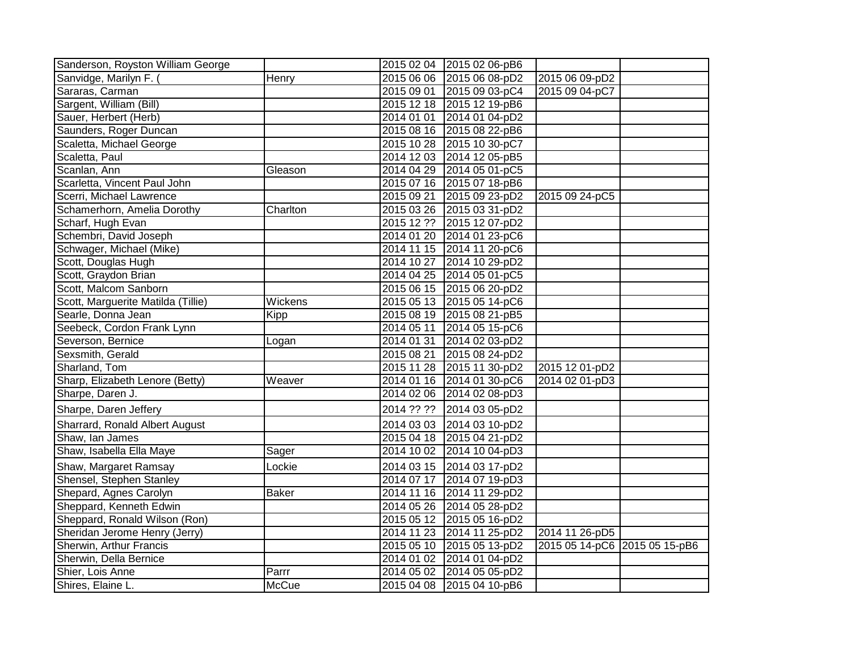| Sanderson, Royston William George  |              |            | 2015 02 04 2015 02 06-pB6 |                               |  |
|------------------------------------|--------------|------------|---------------------------|-------------------------------|--|
| Sanvidge, Marilyn F.               | Henry        |            | 2015 06 06 2015 06 08-pD2 | 2015 06 09-pD2                |  |
| Sararas, Carman                    |              |            | 2015 09 01 2015 09 03-pC4 | 2015 09 04-pC7                |  |
| Sargent, William (Bill)            |              |            | 2015 12 18 2015 12 19-pB6 |                               |  |
| Sauer, Herbert (Herb)              |              |            | 2014 01 01 2014 01 04-pD2 |                               |  |
| Saunders, Roger Duncan             |              |            | 2015 08 16 2015 08 22-pB6 |                               |  |
| Scaletta, Michael George           |              |            | 2015 10 28 2015 10 30-pC7 |                               |  |
| Scaletta, Paul                     |              |            | 2014 12 03 2014 12 05-pB5 |                               |  |
| Scanlan, Ann                       | Gleason      |            | 2014 04 29 2014 05 01-pC5 |                               |  |
| Scarletta, Vincent Paul John       |              |            | 2015 07 16 2015 07 18-pB6 |                               |  |
| Scerri, Michael Lawrence           |              |            | 2015 09 21 2015 09 23-pD2 | 2015 09 24-pC5                |  |
| Schamerhorn, Amelia Dorothy        | Charlton     |            | 2015 03 26 2015 03 31-pD2 |                               |  |
| Scharf, Hugh Evan                  |              |            | 2015 12 ?? 2015 12 07-pD2 |                               |  |
| Schembri, David Joseph             |              |            | 2014 01 20 2014 01 23-pC6 |                               |  |
| Schwager, Michael (Mike)           |              |            | 2014 11 15 2014 11 20-pC6 |                               |  |
| Scott, Douglas Hugh                |              |            | 2014 10 27 2014 10 29-pD2 |                               |  |
| Scott, Graydon Brian               |              |            | 2014 04 25 2014 05 01-pC5 |                               |  |
| Scott, Malcom Sanborn              |              |            | 2015 06 15 2015 06 20-pD2 |                               |  |
| Scott, Marguerite Matilda (Tillie) | Wickens      |            | 2015 05 13 2015 05 14-pC6 |                               |  |
| Searle, Donna Jean                 | Kipp         |            | 2015 08 19 2015 08 21-pB5 |                               |  |
| Seebeck, Cordon Frank Lynn         |              |            | 2014 05 11 2014 05 15-pC6 |                               |  |
| Severson, Bernice                  | Logan        |            | 2014 01 31 2014 02 03-pD2 |                               |  |
| Sexsmith, Gerald                   |              | 2015 08 21 | 2015 08 24-pD2            |                               |  |
| Sharland, Tom                      |              |            | 2015 11 28 2015 11 30-pD2 | 2015 12 01-pD2                |  |
| Sharp, Elizabeth Lenore (Betty)    | Weaver       |            | 2014 01 16 2014 01 30-pC6 | 2014 02 01-pD3                |  |
| Sharpe, Daren J.                   |              |            | 2014 02 06 2014 02 08-pD3 |                               |  |
| Sharpe, Daren Jeffery              |              | 2014 ?? ?? | 2014 03 05-pD2            |                               |  |
| Sharrard, Ronald Albert August     |              |            | 2014 03 03 2014 03 10-pD2 |                               |  |
| Shaw, Ian James                    |              |            | 2015 04 18 2015 04 21-pD2 |                               |  |
| Shaw, Isabella Ella Maye           | Sager        |            | 2014 10 02 2014 10 04-pD3 |                               |  |
| Shaw, Margaret Ramsay              | Lockie       |            | 2014 03 15 2014 03 17-pD2 |                               |  |
| Shensel, Stephen Stanley           |              |            | 2014 07 17 2014 07 19-pD3 |                               |  |
| Shepard, Agnes Carolyn             | <b>Baker</b> |            | 2014 11 16 2014 11 29-pD2 |                               |  |
| Sheppard, Kenneth Edwin            |              |            | 2014 05 26 2014 05 28-pD2 |                               |  |
| Sheppard, Ronald Wilson (Ron)      |              |            | 2015 05 12 2015 05 16-pD2 |                               |  |
| Sheridan Jerome Henry (Jerry)      |              |            | 2014 11 23 2014 11 25-pD2 | 2014 11 26-pD5                |  |
| Sherwin, Arthur Francis            |              |            | 2015 05 10 2015 05 13-pD2 | 2015 05 14-pC6 2015 05 15-pB6 |  |
| Sherwin, Della Bernice             |              |            | 2014 01 02 2014 01 04-pD2 |                               |  |
| Shier, Lois Anne                   | Parrr        |            | 2014 05 02 2014 05 05-pD2 |                               |  |
| Shires, Elaine L.                  | <b>McCue</b> |            | 2015 04 08 2015 04 10-pB6 |                               |  |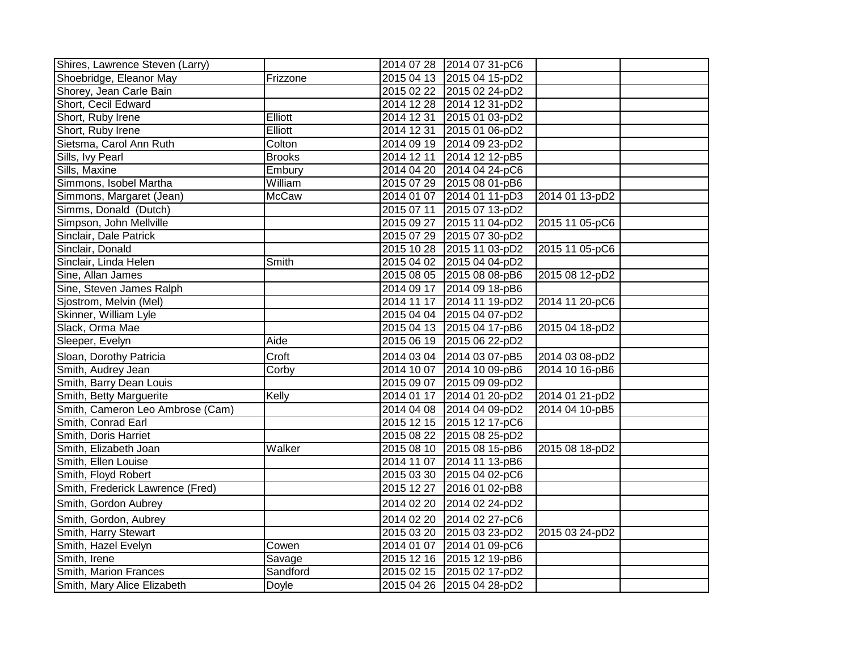| Shires, Lawrence Steven (Larry)  |               |            | 2014 07 28 2014 07 31-pC6 |                |  |
|----------------------------------|---------------|------------|---------------------------|----------------|--|
| Shoebridge, Eleanor May          | Frizzone      |            | 2015 04 13 2015 04 15-pD2 |                |  |
| Shorey, Jean Carle Bain          |               |            | 2015 02 22 2015 02 24-pD2 |                |  |
| Short, Cecil Edward              |               |            | 2014 12 28 2014 12 31-pD2 |                |  |
| Short, Ruby Irene                | Elliott       | 2014 12 31 | 2015 01 03-pD2            |                |  |
| Short, Ruby Irene                | Elliott       | 2014 12 31 | 2015 01 06-pD2            |                |  |
| Sietsma, Carol Ann Ruth          | Colton        |            | 2014 09 19 2014 09 23-pD2 |                |  |
| Sills, Ivy Pearl                 | <b>Brooks</b> | 2014 12 11 | 2014 12 12-pB5            |                |  |
| Sills, Maxine                    | Embury        |            | 2014 04 20 2014 04 24-pC6 |                |  |
| Simmons, Isobel Martha           | William       | 2015 07 29 | 2015 08 01-pB6            |                |  |
| Simmons, Margaret (Jean)         | <b>McCaw</b>  | 2014 01 07 | 2014 01 11-pD3            | 2014 01 13-pD2 |  |
| Simms, Donald (Dutch)            |               | 2015 07 11 | 2015 07 13-pD2            |                |  |
| Simpson, John Mellville          |               | 2015 09 27 | 2015 11 04-pD2            | 2015 11 05-pC6 |  |
| Sinclair, Dale Patrick           |               |            | 2015 07 29 2015 07 30-pD2 |                |  |
| Sinclair, Donald                 |               |            | 2015 10 28 2015 11 03-pD2 | 2015 11 05-pC6 |  |
| Sinclair, Linda Helen            | Smith         |            | 2015 04 02 2015 04 04-pD2 |                |  |
| Sine, Allan James                |               |            | 2015 08 05 2015 08 08-pB6 | 2015 08 12-pD2 |  |
| Sine, Steven James Ralph         |               | 2014 09 17 | 2014 09 18-pB6            |                |  |
| Sjostrom, Melvin (Mel)           |               | 2014 11 17 | 2014 11 19-pD2            | 2014 11 20-pC6 |  |
| Skinner, William Lyle            |               |            | 2015 04 04 2015 04 07-pD2 |                |  |
| Slack, Orma Mae                  |               |            | 2015 04 13 2015 04 17-pB6 | 2015 04 18-pD2 |  |
| Sleeper, Evelyn                  | Aide          |            | 2015 06 19 2015 06 22-pD2 |                |  |
| Sloan, Dorothy Patricia          | Croft         |            | 2014 03 04 2014 03 07-pB5 | 2014 03 08-pD2 |  |
| Smith, Audrey Jean               | Corby         |            | 2014 10 07 2014 10 09-pB6 | 2014 10 16-pB6 |  |
| Smith, Barry Dean Louis          |               |            | 2015 09 07 2015 09 09-pD2 |                |  |
| Smith, Betty Marguerite          | Kelly         | 2014 01 17 | 2014 01 20-pD2            | 2014 01 21-pD2 |  |
| Smith, Cameron Leo Ambrose (Cam) |               |            | 2014 04 08 2014 04 09-pD2 | 2014 04 10-pB5 |  |
| Smith, Conrad Earl               |               |            | 2015 12 15 2015 12 17-pC6 |                |  |
| Smith, Doris Harriet             |               |            | 2015 08 22 2015 08 25-pD2 |                |  |
| Smith, Elizabeth Joan            | Walker        |            | 2015 08 10 2015 08 15-pB6 | 2015 08 18-pD2 |  |
| Smith, Ellen Louise              |               |            | 2014 11 07 2014 11 13-pB6 |                |  |
| Smith, Floyd Robert              |               |            | 2015 03 30 2015 04 02-pC6 |                |  |
| Smith, Frederick Lawrence (Fred) |               | 2015 12 27 | 2016 01 02-pB8            |                |  |
| Smith, Gordon Aubrey             |               | 2014 02 20 | 2014 02 24-pD2            |                |  |
| Smith, Gordon, Aubrey            |               | 2014 02 20 | 2014 02 27-pC6            |                |  |
| Smith, Harry Stewart             |               | 2015 03 20 | 2015 03 23-pD2            | 2015 03 24-pD2 |  |
| Smith, Hazel Evelyn              | Cowen         | 2014 01 07 | 2014 01 09-pC6            |                |  |
| Smith, Irene                     | Savage        |            | 2015 12 16 2015 12 19-pB6 |                |  |
| Smith, Marion Frances            | Sandford      |            | 2015 02 15 2015 02 17-pD2 |                |  |
| Smith, Mary Alice Elizabeth      | Doyle         |            | 2015 04 26 2015 04 28-pD2 |                |  |
|                                  |               |            |                           |                |  |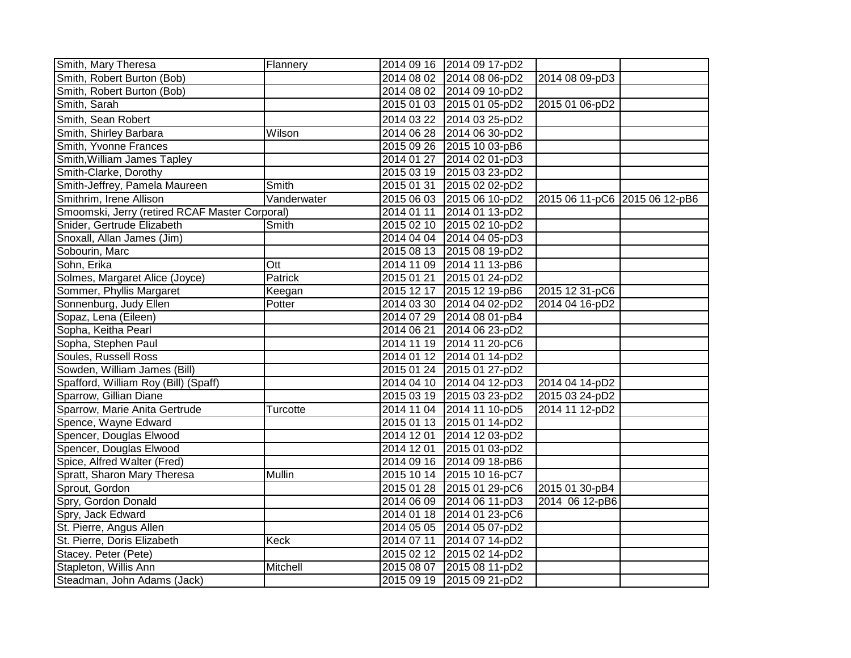| Smith, Mary Theresa                            | Flannery      | 2014 09 16 2014 09 17-pD2 |                               |  |
|------------------------------------------------|---------------|---------------------------|-------------------------------|--|
| Smith, Robert Burton (Bob)                     |               | 2014 08 02 2014 08 06-pD2 | 2014 08 09-pD3                |  |
| Smith, Robert Burton (Bob)                     |               | 2014 08 02 2014 09 10-pD2 |                               |  |
| Smith, Sarah                                   |               | 2015 01 03 2015 01 05-pD2 | 2015 01 06-pD2                |  |
| Smith, Sean Robert                             |               | 2014 03 22 2014 03 25-pD2 |                               |  |
| Smith, Shirley Barbara                         | Wilson        | 2014 06 28 2014 06 30-pD2 |                               |  |
| Smith, Yvonne Frances                          |               | 2015 09 26 2015 10 03-pB6 |                               |  |
| Smith, William James Tapley                    |               | 2014 01 27 2014 02 01-pD3 |                               |  |
| Smith-Clarke, Dorothy                          |               | 2015 03 19 2015 03 23-pD2 |                               |  |
| Smith-Jeffrey, Pamela Maureen                  | Smith         | 2015 01 31 2015 02 02-pD2 |                               |  |
| Smithrim, Irene Allison                        | Vanderwater   | 2015 06 03 2015 06 10-pD2 | 2015 06 11-pC6 2015 06 12-pB6 |  |
| Smoomski, Jerry (retired RCAF Master Corporal) |               | 2014 01 11 2014 01 13-pD2 |                               |  |
| Snider, Gertrude Elizabeth                     | Smith         | 2015 02 10 2015 02 10-pD2 |                               |  |
| Snoxall, Allan James (Jim)                     |               | 2014 04 04 2014 04 05-pD3 |                               |  |
| Sobourin, Marc                                 |               | 2015 08 13 2015 08 19-pD2 |                               |  |
| Sohn, Erika                                    | Ott           | 2014 11 09 2014 11 13-pB6 |                               |  |
| Solmes, Margaret Alice (Joyce)                 | Patrick       | 2015 01 21 2015 01 24-pD2 |                               |  |
| Sommer, Phyllis Margaret                       | Keegan        | 2015 12 17 2015 12 19-pB6 | 2015 12 31-pC6                |  |
| Sonnenburg, Judy Ellen                         | Potter        | 2014 03 30 2014 04 02-pD2 | 2014 04 16-pD2                |  |
| Sopaz, Lena (Eileen)                           |               | 2014 07 29 2014 08 01-pB4 |                               |  |
| Sopha, Keitha Pearl                            |               | 2014 06 21 2014 06 23-pD2 |                               |  |
| Sopha, Stephen Paul                            |               | 2014 11 19 2014 11 20-pC6 |                               |  |
| Soules, Russell Ross                           |               | 2014 01 12 2014 01 14-pD2 |                               |  |
| Sowden, William James (Bill)                   |               | 2015 01 24 2015 01 27-pD2 |                               |  |
| Spafford, William Roy (Bill) (Spaff)           |               | 2014 04 10 2014 04 12-pD3 | 2014 04 14-pD2                |  |
| Sparrow, Gillian Diane                         |               | 2015 03 19 2015 03 23-pD2 | 2015 03 24-pD2                |  |
| Sparrow, Marie Anita Gertrude                  | Turcotte      | 2014 11 04 2014 11 10-pD5 | 2014 11 12-pD2                |  |
| Spence, Wayne Edward                           |               | 2015 01 13 2015 01 14-pD2 |                               |  |
| Spencer, Douglas Elwood                        |               | 2014 12 01 2014 12 03-pD2 |                               |  |
| Spencer, Douglas Elwood                        |               | 2014 12 01 2015 01 03-pD2 |                               |  |
| Spice, Alfred Walter (Fred)                    |               | 2014 09 16 2014 09 18-pB6 |                               |  |
| Spratt, Sharon Mary Theresa                    | <b>Mullin</b> | 2015 10 14 2015 10 16-pC7 |                               |  |
| Sprout, Gordon                                 |               | 2015 01 28 2015 01 29-pC6 | 2015 01 30-pB4                |  |
| Spry, Gordon Donald                            |               | 2014 06 09 2014 06 11-pD3 | 2014 06 12-pB6                |  |
| Spry, Jack Edward                              |               | 2014 01 18 2014 01 23-pC6 |                               |  |
| St. Pierre, Angus Allen                        |               | 2014 05 05 2014 05 07-pD2 |                               |  |
| St. Pierre, Doris Elizabeth                    | Keck          | 2014 07 11 2014 07 14-pD2 |                               |  |
| Stacey. Peter (Pete)                           |               | 2015 02 12 2015 02 14-pD2 |                               |  |
| Stapleton, Willis Ann                          | Mitchell      | 2015 08 07 2015 08 11-pD2 |                               |  |
| Steadman, John Adams (Jack)                    |               | 2015 09 19 2015 09 21-pD2 |                               |  |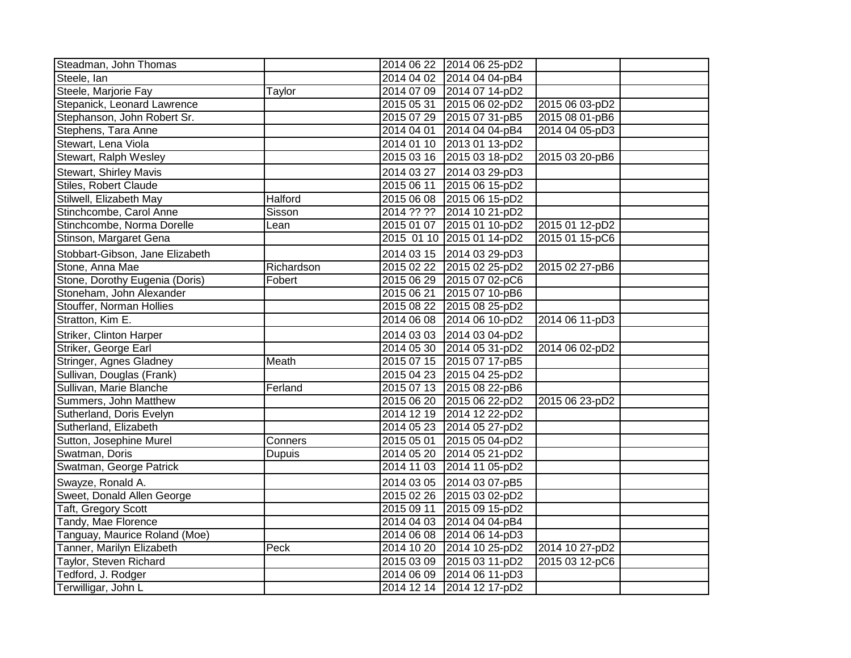| Steadman, John Thomas           |               |            | 2014 06 22 2014 06 25-pD2 |                |  |
|---------------------------------|---------------|------------|---------------------------|----------------|--|
| Steele, Ian                     |               | 2014 04 02 | 2014 04 04-pB4            |                |  |
| Steele, Marjorie Fay            | Taylor        |            | 2014 07 09 2014 07 14-pD2 |                |  |
| Stepanick, Leonard Lawrence     |               | 2015 05 31 | 2015 06 02-pD2            | 2015 06 03-pD2 |  |
| Stephanson, John Robert Sr.     |               | 2015 07 29 | 2015 07 31-pB5            | 2015 08 01-pB6 |  |
| Stephens, Tara Anne             |               | 2014 04 01 | 2014 04 04-pB4            | 2014 04 05-pD3 |  |
| Stewart, Lena Viola             |               |            | 2014 01 10 2013 01 13-pD2 |                |  |
| Stewart, Ralph Wesley           |               | 2015 03 16 | 2015 03 18-pD2            | 2015 03 20-pB6 |  |
| Stewart, Shirley Mavis          |               | 2014 03 27 | 2014 03 29-pD3            |                |  |
| <b>Stiles, Robert Claude</b>    |               | 2015 06 11 | 2015 06 15-pD2            |                |  |
| Stilwell, Elizabeth May         | Halford       | 2015 06 08 | 2015 06 15-pD2            |                |  |
| Stinchcombe, Carol Anne         | Sisson        | 2014 ?? ?? | 2014 10 21-pD2            |                |  |
| Stinchcombe, Norma Dorelle      | Lean          | 2015 01 07 | 2015 01 10-pD2            | 2015 01 12-pD2 |  |
| Stinson, Margaret Gena          |               |            | 2015 01 10 2015 01 14-pD2 | 2015 01 15-pC6 |  |
| Stobbart-Gibson, Jane Elizabeth |               |            | 2014 03 15 2014 03 29-pD3 |                |  |
| Stone, Anna Mae                 | Richardson    | 2015 02 22 | 2015 02 25-pD2            | 2015 02 27-pB6 |  |
| Stone, Dorothy Eugenia (Doris)  | Fobert        | 2015 06 29 | 2015 07 02-pC6            |                |  |
| Stoneham, John Alexander        |               | 2015 06 21 | 2015 07 10-pB6            |                |  |
| Stouffer, Norman Hollies        |               | 2015 08 22 | 2015 08 25-pD2            |                |  |
| Stratton, Kim E.                |               | 2014 06 08 | 2014 06 10-pD2            | 2014 06 11-pD3 |  |
| Striker, Clinton Harper         |               | 2014 03 03 | 2014 03 04-pD2            |                |  |
| Striker, George Earl            |               |            | 2014 05 30 2014 05 31-pD2 | 2014 06 02-pD2 |  |
| Stringer, Agnes Gladney         | Meath         |            | 2015 07 15 2015 07 17-pB5 |                |  |
| Sullivan, Douglas (Frank)       |               | 2015 04 23 | 2015 04 25-pD2            |                |  |
| Sullivan, Marie Blanche         | Ferland       |            | 2015 07 13 2015 08 22-pB6 |                |  |
| Summers, John Matthew           |               | 2015 06 20 | 2015 06 22-pD2            | 2015 06 23-pD2 |  |
| Sutherland, Doris Evelyn        |               | 2014 12 19 | 2014 12 22-pD2            |                |  |
| Sutherland, Elizabeth           |               | 2014 05 23 | 2014 05 27-pD2            |                |  |
| Sutton, Josephine Murel         | Conners       | 2015 05 01 | 2015 05 04-pD2            |                |  |
| Swatman, Doris                  | <b>Dupuis</b> | 2014 05 20 | 2014 05 21-pD2            |                |  |
| Swatman, George Patrick         |               | 2014 11 03 | 2014 11 05-pD2            |                |  |
| Swayze, Ronald A.               |               | 2014 03 05 | 2014 03 07-pB5            |                |  |
| Sweet, Donald Allen George      |               | 2015 02 26 | 2015 03 02-pD2            |                |  |
| Taft, Gregory Scott             |               | 2015 09 11 | 2015 09 15-pD2            |                |  |
| Tandy, Mae Florence             |               | 2014 04 03 | 2014 04 04-pB4            |                |  |
| Tanguay, Maurice Roland (Moe)   |               | 2014 06 08 | 2014 06 14-pD3            |                |  |
| Tanner, Marilyn Elizabeth       | Peck          | 2014 10 20 | 2014 10 25-pD2            | 2014 10 27-pD2 |  |
| Taylor, Steven Richard          |               | 2015 03 09 | 2015 03 11-pD2            | 2015 03 12-pC6 |  |
| Tedford, J. Rodger              |               | 2014 06 09 | 2014 06 11-pD3            |                |  |
| Terwilligar, John L             |               |            | 2014 12 14 2014 12 17-pD2 |                |  |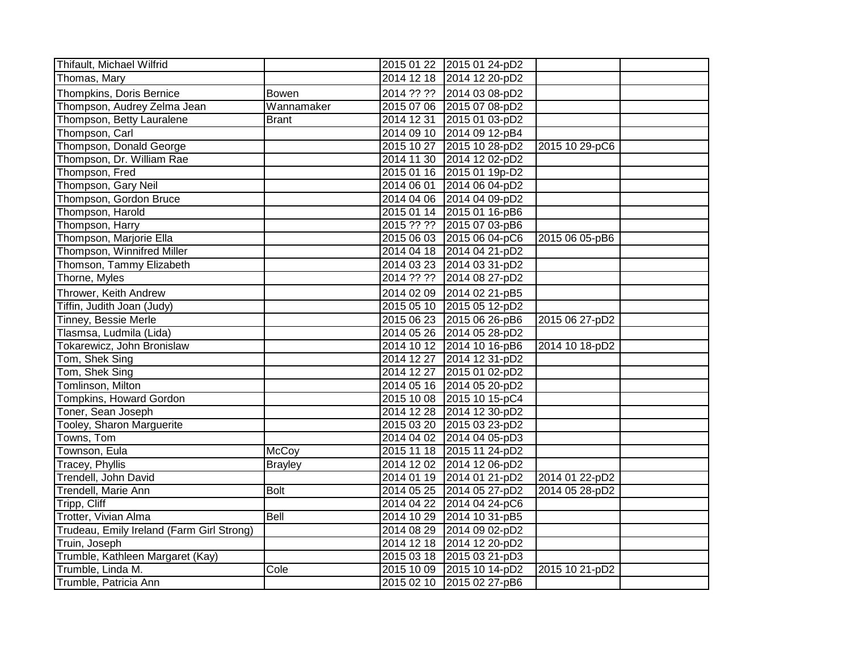| Thifault, Michael Wilfrid                 |                |            | 2015 01 22 2015 01 24-pD2 |                |  |
|-------------------------------------------|----------------|------------|---------------------------|----------------|--|
| Thomas, Mary                              |                |            | 2014 12 18 2014 12 20-pD2 |                |  |
| Thompkins, Doris Bernice                  | <b>Bowen</b>   | 2014 ?? ?? | 2014 03 08-pD2            |                |  |
| Thompson, Audrey Zelma Jean               | Wannamaker     |            | 2015 07 06 2015 07 08-pD2 |                |  |
| Thompson, Betty Lauralene                 | <b>Brant</b>   | 2014 12 31 | 2015 01 03-pD2            |                |  |
| Thompson, Carl                            |                | 2014 09 10 | 2014 09 12-pB4            |                |  |
| Thompson, Donald George                   |                | 2015 10 27 | 2015 10 28-pD2            | 2015 10 29-pC6 |  |
| Thompson, Dr. William Rae                 |                | 2014 11 30 | 2014 12 02-pD2            |                |  |
| Thompson, Fred                            |                | 2015 01 16 | 2015 01 19p-D2            |                |  |
| Thompson, Gary Neil                       |                | 2014 06 01 | 2014 06 04-pD2            |                |  |
| Thompson, Gordon Bruce                    |                |            | 2014 04 06 2014 04 09-pD2 |                |  |
| Thompson, Harold                          |                |            | 2015 01 14 2015 01 16-pB6 |                |  |
| Thompson, Harry                           |                | 2015 ?? ?? | 2015 07 03-pB6            |                |  |
| Thompson, Marjorie Ella                   |                | 2015 06 03 | 2015 06 04-pC6            | 2015 06 05-pB6 |  |
| Thompson, Winnifred Miller                |                |            | 2014 04 18 2014 04 21-pD2 |                |  |
| Thomson, Tammy Elizabeth                  |                |            | 2014 03 23 2014 03 31-pD2 |                |  |
| Thorne, Myles                             |                | 2014 ?? ?? | 2014 08 27-pD2            |                |  |
| Thrower, Keith Andrew                     |                | 2014 02 09 | 2014 02 21-pB5            |                |  |
| Tiffin, Judith Joan (Judy)                |                | 2015 05 10 | 2015 05 12-pD2            |                |  |
| Tinney, Bessie Merle                      |                |            | 2015 06 23 2015 06 26-pB6 | 2015 06 27-pD2 |  |
| Tlasmsa, Ludmila (Lida)                   |                | 2014 05 26 | 2014 05 28-pD2            |                |  |
| Tokarewicz, John Bronislaw                |                | 2014 10 12 | 2014 10 16-pB6            | 2014 10 18-pD2 |  |
| Tom, Shek Sing                            |                | 2014 12 27 | 2014 12 31-pD2            |                |  |
| Tom, Shek Sing                            |                | 2014 12 27 | 2015 01 02-pD2            |                |  |
| Tomlinson, Milton                         |                |            | 2014 05 16 2014 05 20-pD2 |                |  |
| Tompkins, Howard Gordon                   |                | 2015 10 08 | 2015 10 15-pC4            |                |  |
| Toner, Sean Joseph                        |                | 2014 12 28 | 2014 12 30-pD2            |                |  |
| Tooley, Sharon Marguerite                 |                | 2015 03 20 | 2015 03 23-pD2            |                |  |
| Towns, Tom                                |                | 2014 04 02 | 2014 04 05-pD3            |                |  |
| Townson, Eula                             | McCoy          |            | 2015 11 18 2015 11 24-pD2 |                |  |
| Tracey, Phyllis                           | <b>Brayley</b> |            | 2014 12 02 2014 12 06-pD2 |                |  |
| Trendell, John David                      |                | 2014 01 19 | 2014 01 21-pD2            | 2014 01 22-pD2 |  |
| Trendell, Marie Ann                       | <b>Bolt</b>    | 2014 05 25 | 2014 05 27-pD2            | 2014 05 28-pD2 |  |
| Tripp, Cliff                              |                | 2014 04 22 | 2014 04 24-pC6            |                |  |
| Trotter, Vivian Alma                      | Bell           | 2014 10 29 | 2014 10 31-pB5            |                |  |
| Trudeau, Emily Ireland (Farm Girl Strong) |                | 2014 08 29 | 2014 09 02-pD2            |                |  |
| Truin, Joseph                             |                | 2014 12 18 | 2014 12 20-pD2            |                |  |
| Trumble, Kathleen Margaret (Kay)          |                | 2015 03 18 | 2015 03 21-pD3            |                |  |
| Trumble, Linda M.                         | Cole           | 2015 10 09 | 2015 10 14-pD2            | 2015 10 21-pD2 |  |
| Trumble, Patricia Ann                     |                |            | 2015 02 10 2015 02 27-pB6 |                |  |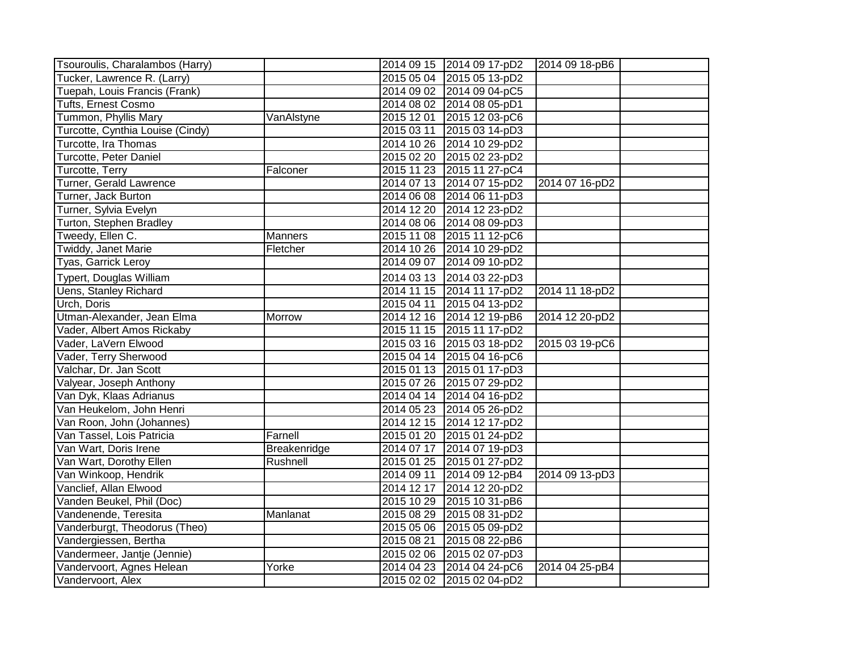| Tsouroulis, Charalambos (Harry)  |              |            | 2014 09 15 2014 09 17-pD2 | 2014 09 18-pB6 |  |
|----------------------------------|--------------|------------|---------------------------|----------------|--|
| Tucker, Lawrence R. (Larry)      |              | 2015 05 04 | 2015 05 13-pD2            |                |  |
| Tuepah, Louis Francis (Frank)    |              |            | 2014 09 02 2014 09 04-pC5 |                |  |
| <b>Tufts, Ernest Cosmo</b>       |              |            | 2014 08 02 2014 08 05-pD1 |                |  |
| Tummon, Phyllis Mary             | VanAlstyne   | 2015 12 01 | 2015 12 03-pC6            |                |  |
| Turcotte, Cynthia Louise (Cindy) |              | 2015 03 11 | 2015 03 14-pD3            |                |  |
| Turcotte, Ira Thomas             |              | 2014 10 26 | 2014 10 29-pD2            |                |  |
| Turcotte, Peter Daniel           |              | 2015 02 20 | 2015 02 23-pD2            |                |  |
| Turcotte, Terry                  | Falconer     | 2015 11 23 | 2015 11 27-pC4            |                |  |
| Turner, Gerald Lawrence          |              |            | 2014 07 13 2014 07 15-pD2 | 2014 07 16-pD2 |  |
| Turner, Jack Burton              |              | 2014 06 08 | 2014 06 11-pD3            |                |  |
| Turner, Sylvia Evelyn            |              | 2014 12 20 | 2014 12 23-pD2            |                |  |
| Turton, Stephen Bradley          |              | 2014 08 06 | 2014 08 09-pD3            |                |  |
| Tweedy, Ellen C.                 | Manners      | 2015 11 08 | 2015 11 12-pC6            |                |  |
| Twiddy, Janet Marie              | Fletcher     | 2014 10 26 | 2014 10 29-pD2            |                |  |
| Tyas, Garrick Leroy              |              | 2014 09 07 | 2014 09 10-pD2            |                |  |
| Typert, Douglas William          |              | 2014 03 13 | 2014 03 22-pD3            |                |  |
| <b>Uens, Stanley Richard</b>     |              |            | 2014 11 15 2014 11 17-pD2 | 2014 11 18-pD2 |  |
| Urch, Doris                      |              | 2015 04 11 | 2015 04 13-pD2            |                |  |
| Utman-Alexander, Jean Elma       | Morrow       | 2014 12 16 | 2014 12 19-pB6            | 2014 12 20-pD2 |  |
| Vader, Albert Amos Rickaby       |              | 2015 11 15 | 2015 11 17-pD2            |                |  |
| Vader, LaVern Elwood             |              |            | 2015 03 16 2015 03 18-pD2 | 2015 03 19-pC6 |  |
| Vader, Terry Sherwood            |              | 2015 04 14 | 2015 04 16-pC6            |                |  |
| Valchar, Dr. Jan Scott           |              |            | 2015 01 13 2015 01 17-pD3 |                |  |
| Valyear, Joseph Anthony          |              |            | 2015 07 26 2015 07 29-pD2 |                |  |
| Van Dyk, Klaas Adrianus          |              | 2014 04 14 | 2014 04 16-pD2            |                |  |
| Van Heukelom, John Henri         |              | 2014 05 23 | 2014 05 26-pD2            |                |  |
| Van Roon, John (Johannes)        |              | 2014 12 15 | 2014 12 17-pD2            |                |  |
| Van Tassel, Lois Patricia        | Farnell      | 2015 01 20 | 2015 01 24-pD2            |                |  |
| Van Wart, Doris Irene            | Breakenridge | 2014 07 17 | 2014 07 19-pD3            |                |  |
| Van Wart, Dorothy Ellen          | Rushnell     | 2015 01 25 | 2015 01 27-pD2            |                |  |
| Van Winkoop, Hendrik             |              | 2014 09 11 | 2014 09 12-pB4            | 2014 09 13-pD3 |  |
| Vanclief, Allan Elwood           |              | 2014 12 17 | 2014 12 20-pD2            |                |  |
| Vanden Beukel, Phil (Doc)        |              | 2015 10 29 | 2015 10 31-pB6            |                |  |
| Vandenende, Teresita             | Manlanat     | 2015 08 29 | 2015 08 31-pD2            |                |  |
| Vanderburgt, Theodorus (Theo)    |              | 2015 05 06 | 2015 05 09-pD2            |                |  |
| Vandergiessen, Bertha            |              | 2015 08 21 | 2015 08 22-pB6            |                |  |
| Vandermeer, Jantje (Jennie)      |              | 2015 02 06 | 2015 02 07-pD3            |                |  |
| Vandervoort, Agnes Helean        | Yorke        | 2014 04 23 | 2014 04 24-pC6            | 2014 04 25-pB4 |  |
| Vandervoort, Alex                |              |            | 2015 02 02 2015 02 04-pD2 |                |  |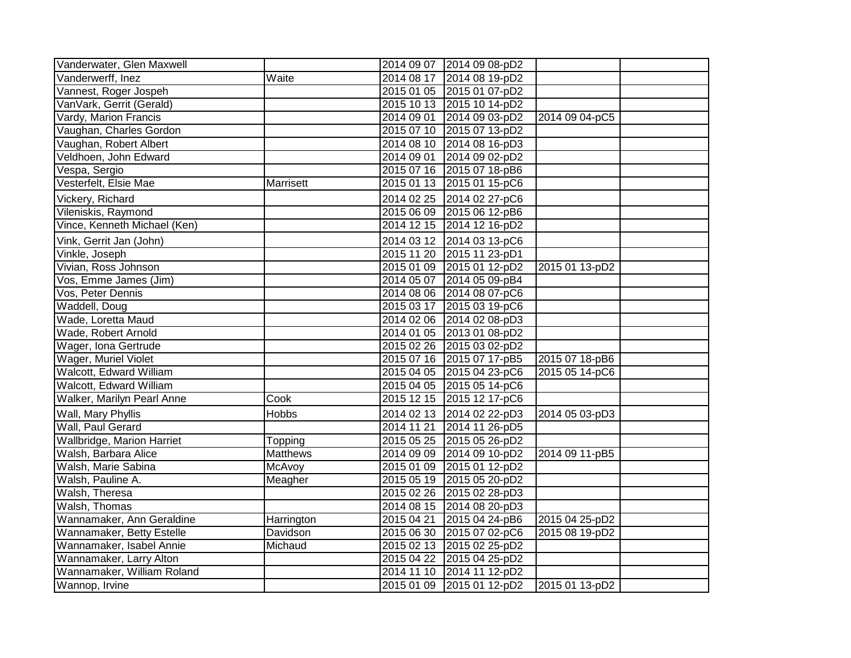| Vanderwater, Glen Maxwell    |                 |            | 2014 09 07 2014 09 08-pD2 |                |  |
|------------------------------|-----------------|------------|---------------------------|----------------|--|
| Vanderwerff, Inez            | Waite           | 2014 08 17 | 2014 08 19-pD2            |                |  |
| Vannest, Roger Jospeh        |                 |            | 2015 01 05 2015 01 07-pD2 |                |  |
| VanVark, Gerrit (Gerald)     |                 |            | 2015 10 13 2015 10 14-pD2 |                |  |
| Vardy, Marion Francis        |                 | 2014 09 01 | 2014 09 03-pD2            | 2014 09 04-pC5 |  |
| Vaughan, Charles Gordon      |                 |            | 2015 07 10 2015 07 13-pD2 |                |  |
| Vaughan, Robert Albert       |                 |            | 2014 08 10 2014 08 16-pD3 |                |  |
| Veldhoen, John Edward        |                 | 2014 09 01 | 2014 09 02-pD2            |                |  |
| Vespa, Sergio                |                 |            | 2015 07 16 2015 07 18-pB6 |                |  |
| Vesterfelt, Elsie Mae        | Marrisett       | 2015 01 13 | 2015 01 15-pC6            |                |  |
| Vickery, Richard             |                 | 2014 02 25 | 2014 02 27-pC6            |                |  |
| Vileniskis, Raymond          |                 |            | 2015 06 09 2015 06 12-pB6 |                |  |
| Vince, Kenneth Michael (Ken) |                 | 2014 12 15 | 2014 12 16-pD2            |                |  |
| Vink, Gerrit Jan (John)      |                 | 2014 03 12 | 2014 03 13-pC6            |                |  |
| Vinkle, Joseph               |                 | 2015 11 20 | 2015 11 23-pD1            |                |  |
| Vivian, Ross Johnson         |                 |            | 2015 01 09 2015 01 12-pD2 | 2015 01 13-pD2 |  |
| Vos, Emme James (Jim)        |                 | 2014 05 07 | 2014 05 09-pB4            |                |  |
| Vos, Peter Dennis            |                 |            | 2014 08 06 2014 08 07-pC6 |                |  |
| Waddell, Doug                |                 |            | 2015 03 17 2015 03 19-pC6 |                |  |
| Wade, Loretta Maud           |                 |            | 2014 02 06 2014 02 08-pD3 |                |  |
| Wade, Robert Arnold          |                 |            | 2014 01 05 2013 01 08-pD2 |                |  |
| Wager, Iona Gertrude         |                 |            | 2015 02 26 2015 03 02-pD2 |                |  |
| Wager, Muriel Violet         |                 |            | 2015 07 16 2015 07 17-pB5 | 2015 07 18-pB6 |  |
| Walcott, Edward William      |                 |            | 2015 04 05 2015 04 23-pC6 | 2015 05 14-pC6 |  |
| Walcott, Edward William      |                 | 2015 04 05 | 2015 05 14-pC6            |                |  |
| Walker, Marilyn Pearl Anne   | Cook            | 2015 12 15 | 2015 12 17-pC6            |                |  |
| Wall, Mary Phyllis           | Hobbs           | 2014 02 13 | 2014 02 22-pD3            | 2014 05 03-pD3 |  |
| Wall, Paul Gerard            |                 | 2014 11 21 | 2014 11 26-pD5            |                |  |
| Wallbridge, Marion Harriet   | Topping         | 2015 05 25 | 2015 05 26-pD2            |                |  |
| Walsh, Barbara Alice         | <b>Matthews</b> |            | 2014 09 09 2014 09 10-pD2 | 2014 09 11-pB5 |  |
| Walsh, Marie Sabina          | McAvoy          |            | 2015 01 09 2015 01 12-pD2 |                |  |
| Walsh, Pauline A.            | Meagher         | 2015 05 19 | 2015 05 20-pD2            |                |  |
| Walsh, Theresa               |                 | 2015 02 26 | 2015 02 28-pD3            |                |  |
| Walsh, Thomas                |                 | 2014 08 15 | 2014 08 20-pD3            |                |  |
| Wannamaker, Ann Geraldine    | Harrington      | 2015 04 21 | 2015 04 24-pB6            | 2015 04 25-pD2 |  |
| Wannamaker, Betty Estelle    | Davidson        | 2015 06 30 | 2015 07 02-pC6            | 2015 08 19-pD2 |  |
| Wannamaker, Isabel Annie     | Michaud         | 2015 02 13 | 2015 02 25-pD2            |                |  |
| Wannamaker, Larry Alton      |                 | 2015 04 22 | 2015 04 25-pD2            |                |  |
| Wannamaker, William Roland   |                 |            | 2014 11 10 2014 11 12-pD2 |                |  |
| Wannop, Irvine               |                 |            | 2015 01 09 2015 01 12-pD2 | 2015 01 13-pD2 |  |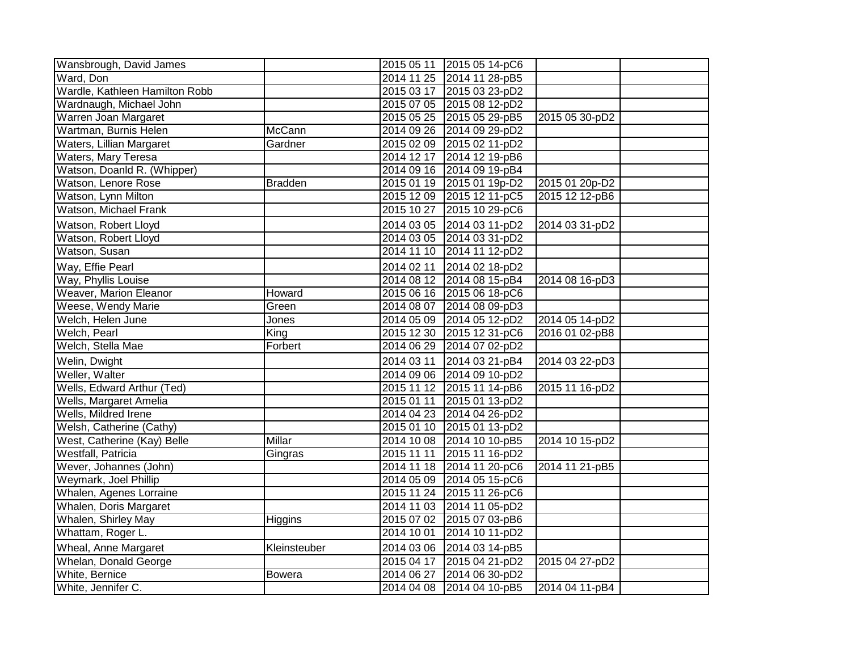| Wansbrough, David James        |                |            | 2015 05 11 2015 05 14-pC6 |                |  |
|--------------------------------|----------------|------------|---------------------------|----------------|--|
| Ward, Don                      |                |            | 2014 11 25 2014 11 28-pB5 |                |  |
| Wardle, Kathleen Hamilton Robb |                |            | 2015 03 17 2015 03 23-pD2 |                |  |
| Wardnaugh, Michael John        |                |            | 2015 07 05 2015 08 12-pD2 |                |  |
| Warren Joan Margaret           |                |            | 2015 05 25 2015 05 29-pB5 | 2015 05 30-pD2 |  |
| Wartman, Burnis Helen          | <b>McCann</b>  |            | 2014 09 26 2014 09 29-pD2 |                |  |
| Waters, Lillian Margaret       | Gardner        |            | 2015 02 09 2015 02 11-pD2 |                |  |
| Waters, Mary Teresa            |                |            | 2014 12 17 2014 12 19-pB6 |                |  |
| Watson, Doanld R. (Whipper)    |                |            | 2014 09 16 2014 09 19-pB4 |                |  |
| Watson, Lenore Rose            | <b>Bradden</b> |            | 2015 01 19 2015 01 19p-D2 | 2015 01 20p-D2 |  |
| Watson, Lynn Milton            |                | 2015 12 09 | 2015 12 11-pC5            | 2015 12 12-pB6 |  |
| Watson, Michael Frank          |                | 2015 10 27 | 2015 10 29-pC6            |                |  |
| Watson, Robert Lloyd           |                | 2014 03 05 | 2014 03 11-pD2            | 2014 03 31-pD2 |  |
| Watson, Robert Lloyd           |                |            | 2014 03 05 2014 03 31-pD2 |                |  |
| Watson, Susan                  |                | 2014 11 10 | 2014 11 12-pD2            |                |  |
| Way, Effie Pearl               |                | 2014 02 11 | 2014 02 18-pD2            |                |  |
| Way, Phyllis Louise            |                |            | 2014 08 12 2014 08 15-pB4 | 2014 08 16-pD3 |  |
| Weaver, Marion Eleanor         | Howard         |            | 2015 06 16 2015 06 18-pC6 |                |  |
| Weese, Wendy Marie             | Green          | 2014 08 07 | 2014 08 09-pD3            |                |  |
| Welch, Helen June              | Jones          |            | 2014 05 09 2014 05 12-pD2 | 2014 05 14-pD2 |  |
| Welch, Pearl                   | King           | 2015 12 30 | 2015 12 31-pC6            | 2016 01 02-pB8 |  |
| Welch, Stella Mae              | Forbert        |            | 2014 06 29 2014 07 02-pD2 |                |  |
| Welin, Dwight                  |                | 2014 03 11 | 2014 03 21-pB4            | 2014 03 22-pD3 |  |
| Weller, Walter                 |                |            | 2014 09 06 2014 09 10-pD2 |                |  |
| Wells, Edward Arthur (Ted)     |                |            | 2015 11 12 2015 11 14-pB6 | 2015 11 16-pD2 |  |
| Wells, Margaret Amelia         |                | 2015 01 11 | 2015 01 13-pD2            |                |  |
| Wells, Mildred Irene           |                |            | 2014 04 23 2014 04 26-pD2 |                |  |
| Welsh, Catherine (Cathy)       |                |            | 2015 01 10 2015 01 13-pD2 |                |  |
| West, Catherine (Kay) Belle    | <b>Millar</b>  |            | 2014 10 08 2014 10 10-pB5 | 2014 10 15-pD2 |  |
| <b>Westfall, Patricia</b>      | Gingras        | 2015 11 11 | 2015 11 16-pD2            |                |  |
| Wever, Johannes (John)         |                | 2014 11 18 | 2014 11 20-pC6            | 2014 11 21-pB5 |  |
| Weymark, Joel Phillip          |                |            | 2014 05 09 2014 05 15-pC6 |                |  |
| Whalen, Agenes Lorraine        |                | 2015 11 24 | 2015 11 26-pC6            |                |  |
| Whalen, Doris Margaret         |                |            | 2014 11 03 2014 11 05-pD2 |                |  |
| Whalen, Shirley May            | Higgins        | 2015 07 02 | 2015 07 03-pB6            |                |  |
| Whattam, Roger L.              |                | 2014 10 01 | 2014 10 11-pD2            |                |  |
| Wheal, Anne Margaret           | Kleinsteuber   | 2014 03 06 | 2014 03 14-pB5            |                |  |
| <b>Whelan, Donald George</b>   |                | 2015 04 17 | 2015 04 21-pD2            | 2015 04 27-pD2 |  |
| White, Bernice                 | <b>Bowera</b>  | 2014 06 27 | 2014 06 30-pD2            |                |  |
| White, Jennifer C.             |                |            | 2014 04 08 2014 04 10-pB5 | 2014 04 11-pB4 |  |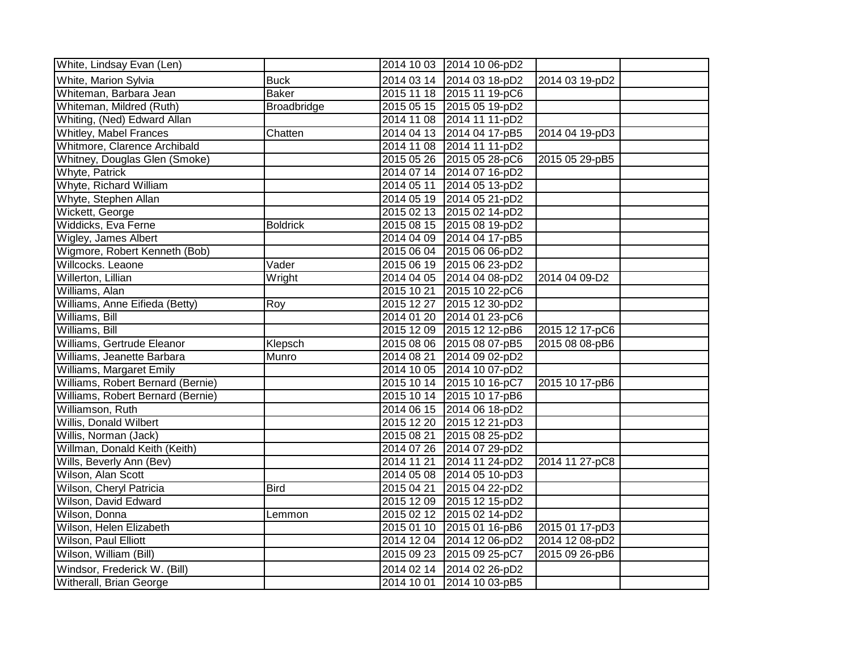| White, Lindsay Evan (Len)         |                    |            | 2014 10 03 2014 10 06-pD2 |                |  |
|-----------------------------------|--------------------|------------|---------------------------|----------------|--|
| White, Marion Sylvia              | <b>Buck</b>        | 2014 03 14 | 2014 03 18-pD2            | 2014 03 19-pD2 |  |
| Whiteman, Barbara Jean            | <b>Baker</b>       | 2015 11 18 | 2015 11 19-pC6            |                |  |
| Whiteman, Mildred (Ruth)          | <b>Broadbridge</b> | 2015 05 15 | 2015 05 19-pD2            |                |  |
| Whiting, (Ned) Edward Allan       |                    | 2014 11 08 | 2014 11 11-pD2            |                |  |
| Whitley, Mabel Frances            | Chatten            | 2014 04 13 | 2014 04 17-pB5            | 2014 04 19-pD3 |  |
| Whitmore, Clarence Archibald      |                    |            | 2014 11 08 2014 11 11-pD2 |                |  |
| Whitney, Douglas Glen (Smoke)     |                    |            | 2015 05 26 2015 05 28-pC6 | 2015 05 29-pB5 |  |
| Whyte, Patrick                    |                    | 2014 07 14 | 2014 07 16-pD2            |                |  |
| Whyte, Richard William            |                    | 2014 05 11 | 2014 05 13-pD2            |                |  |
| Whyte, Stephen Allan              |                    |            | 2014 05 19 2014 05 21-pD2 |                |  |
| Wickett, George                   |                    |            | 2015 02 13 2015 02 14-pD2 |                |  |
| Widdicks, Eva Ferne               | <b>Boldrick</b>    | 2015 08 15 | 2015 08 19-pD2            |                |  |
| Wigley, James Albert              |                    | 2014 04 09 | 2014 04 17-pB5            |                |  |
| Wigmore, Robert Kenneth (Bob)     |                    | 2015 06 04 | 2015 06 06-pD2            |                |  |
| Willcocks. Leaone                 | Vader              |            | 2015 06 19 2015 06 23-pD2 |                |  |
| Willerton, Lillian                | Wright             |            | 2014 04 05 2014 04 08-pD2 | 2014 04 09-D2  |  |
| Williams, Alan                    |                    | 2015 10 21 | 2015 10 22-pC6            |                |  |
| Williams, Anne Eifieda (Betty)    | Roy                | 2015 12 27 | 2015 12 30-pD2            |                |  |
| Williams, Bill                    |                    | 2014 01 20 | 2014 01 23-pC6            |                |  |
| Williams, Bill                    |                    | 2015 12 09 | 2015 12 12-pB6            | 2015 12 17-pC6 |  |
| Williams, Gertrude Eleanor        | Klepsch            | 2015 08 06 | 2015 08 07-pB5            | 2015 08 08-pB6 |  |
| Williams, Jeanette Barbara        | Munro              | 2014 08 21 | 2014 09 02-pD2            |                |  |
| <b>Williams, Margaret Emily</b>   |                    | 2014 10 05 | 2014 10 07-pD2            |                |  |
| Williams, Robert Bernard (Bernie) |                    | 2015 10 14 | 2015 10 16-pC7            | 2015 10 17-pB6 |  |
| Williams, Robert Bernard (Bernie) |                    | 2015 10 14 | 2015 10 17-pB6            |                |  |
| Williamson, Ruth                  |                    |            | 2014 06 15 2014 06 18-pD2 |                |  |
| Willis, Donald Wilbert            |                    | 2015 12 20 | 2015 12 21-pD3            |                |  |
| Willis, Norman (Jack)             |                    | 2015 08 21 | 2015 08 25-pD2            |                |  |
| Willman, Donald Keith (Keith)     |                    | 2014 07 26 | 2014 07 29-pD2            |                |  |
| Wills, Beverly Ann (Bev)          |                    | 2014 11 21 | 2014 11 24-pD2            | 2014 11 27-pC8 |  |
| Wilson, Alan Scott                |                    | 2014 05 08 | 2014 05 10-pD3            |                |  |
| Wilson, Cheryl Patricia           | <b>Bird</b>        | 2015 04 21 | 2015 04 22-pD2            |                |  |
| Wilson, David Edward              |                    | 2015 12 09 | 2015 12 15-pD2            |                |  |
| Wilson, Donna                     | Lemmon             | 2015 02 12 | 2015 02 14-pD2            |                |  |
| Wilson, Helen Elizabeth           |                    | 2015 01 10 | 2015 01 16-pB6            | 2015 01 17-pD3 |  |
| Wilson, Paul Elliott              |                    | 2014 12 04 | 2014 12 06-pD2            | 2014 12 08-pD2 |  |
| Wilson, William (Bill)            |                    |            | 2015 09 23 2015 09 25-pC7 | 2015 09 26-pB6 |  |
| Windsor, Frederick W. (Bill)      |                    | 2014 02 14 | 2014 02 26-pD2            |                |  |
| Witherall, Brian George           |                    | 2014 10 01 | 2014 10 03-pB5            |                |  |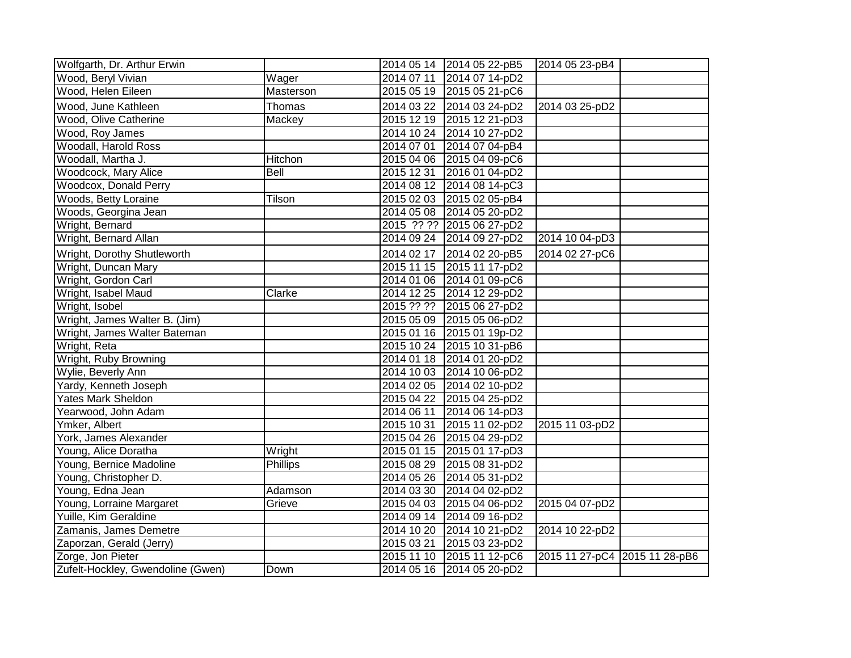| Wolfgarth, Dr. Arthur Erwin       |           |            | 2014 05 14 2014 05 22-pB5 | 2014 05 23-pB4                |  |
|-----------------------------------|-----------|------------|---------------------------|-------------------------------|--|
| Wood, Beryl Vivian                | Wager     | 2014 07 11 | 2014 07 14-pD2            |                               |  |
| Wood, Helen Eileen                | Masterson |            | 2015 05 19 2015 05 21-pC6 |                               |  |
| Wood, June Kathleen               | Thomas    |            | 2014 03 22 2014 03 24-pD2 | 2014 03 25-pD2                |  |
| Wood, Olive Catherine             | Mackey    |            | 2015 12 19 2015 12 21-pD3 |                               |  |
| Wood, Roy James                   |           |            | 2014 10 24 2014 10 27-pD2 |                               |  |
| <b>Woodall, Harold Ross</b>       |           |            | 2014 07 01 2014 07 04-pB4 |                               |  |
| Woodall, Martha J.                | Hitchon   |            | 2015 04 06 2015 04 09-pC6 |                               |  |
| Woodcock, Mary Alice              | Bell      | 2015 12 31 | 2016 01 04-pD2            |                               |  |
| Woodcox, Donald Perry             |           |            | 2014 08 12 2014 08 14-pC3 |                               |  |
| Woods, Betty Loraine              | Tilson    |            | 2015 02 03 2015 02 05-pB4 |                               |  |
| Woods, Georgina Jean              |           |            | 2014 05 08 2014 05 20-pD2 |                               |  |
| Wright, Bernard                   |           |            | 2015 ?? ?? 2015 06 27-pD2 |                               |  |
| Wright, Bernard Allan             |           |            | 2014 09 24 2014 09 27-pD2 | 2014 10 04-pD3                |  |
| Wright, Dorothy Shutleworth       |           |            | 2014 02 17 2014 02 20-pB5 | 2014 02 27-pC6                |  |
| Wright, Duncan Mary               |           |            | 2015 11 15 2015 11 17-pD2 |                               |  |
| Wright, Gordon Carl               |           |            | 2014 01 06 2014 01 09-pC6 |                               |  |
| Wright, Isabel Maud               | Clarke    |            | 2014 12 25 2014 12 29-pD2 |                               |  |
| Wright, Isobel                    |           |            | 2015 ?? ?? 2015 06 27-pD2 |                               |  |
| Wright, James Walter B. (Jim)     |           |            | 2015 05 09 2015 05 06-pD2 |                               |  |
| Wright, James Walter Bateman      |           | 2015 01 16 | 2015 01 19p-D2            |                               |  |
| Wright, Reta                      |           |            | 2015 10 24 2015 10 31-pB6 |                               |  |
| Wright, Ruby Browning             |           |            | 2014 01 18 2014 01 20-pD2 |                               |  |
| Wylie, Beverly Ann                |           |            | 2014 10 03 2014 10 06-pD2 |                               |  |
| Yardy, Kenneth Joseph             |           |            | 2014 02 05 2014 02 10-pD2 |                               |  |
| Yates Mark Sheldon                |           |            | 2015 04 22 2015 04 25-pD2 |                               |  |
| Yearwood, John Adam               |           |            | 2014 06 11 2014 06 14-pD3 |                               |  |
| Ymker, Albert                     |           | 2015 10 31 | 2015 11 02-pD2            | 2015 11 03-pD2                |  |
| York, James Alexander             |           |            | 2015 04 26 2015 04 29-pD2 |                               |  |
| Young, Alice Doratha              | Wright    |            | 2015 01 15 2015 01 17-pD3 |                               |  |
| Young, Bernice Madoline           | Phillips  |            | 2015 08 29 2015 08 31-pD2 |                               |  |
| Young, Christopher D.             |           |            | 2014 05 26 2014 05 31-pD2 |                               |  |
| Young, Edna Jean                  | Adamson   |            | 2014 03 30 2014 04 02-pD2 |                               |  |
| Young, Lorraine Margaret          | Grieve    | 2015 04 03 | 2015 04 06-pD2            | 2015 04 07-pD2                |  |
| <b>Yuille, Kim Geraldine</b>      |           |            | 2014 09 14 2014 09 16-pD2 |                               |  |
| Zamanis, James Demetre            |           |            | 2014 10 20 2014 10 21-pD2 | 2014 10 22-pD2                |  |
| Zaporzan, Gerald (Jerry)          |           | 2015 03 21 | 2015 03 23-pD2            |                               |  |
| Zorge, Jon Pieter                 |           | 2015 11 10 | 2015 11 12-pC6            | 2015 11 27-pC4 2015 11 28-pB6 |  |
| Zufelt-Hockley, Gwendoline (Gwen) | Down      | 2014 05 16 | $20140520-pD2$            |                               |  |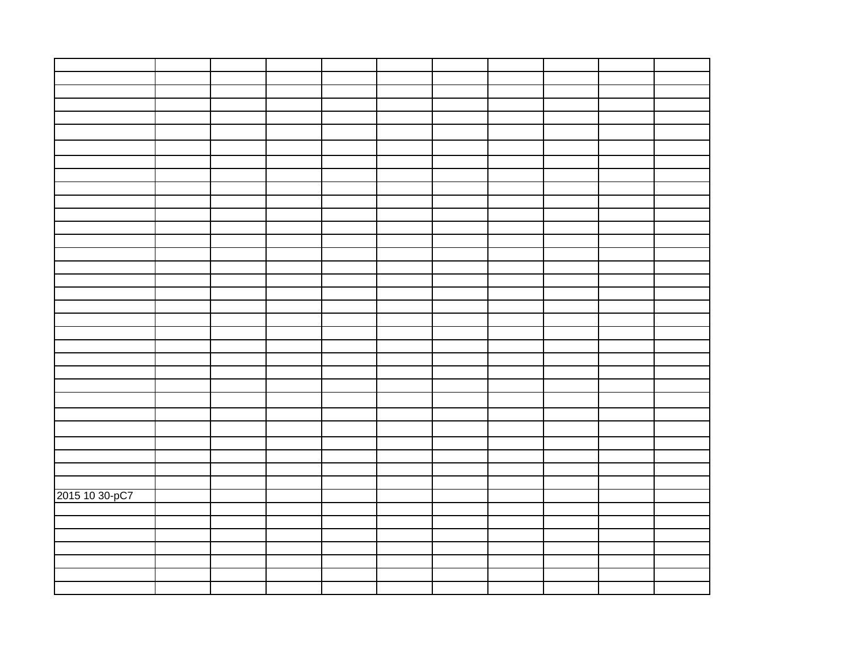| 2015 10 30-pC7 |  |  |  |  |  |
|----------------|--|--|--|--|--|
|                |  |  |  |  |  |
|                |  |  |  |  |  |
|                |  |  |  |  |  |
|                |  |  |  |  |  |
|                |  |  |  |  |  |
|                |  |  |  |  |  |
|                |  |  |  |  |  |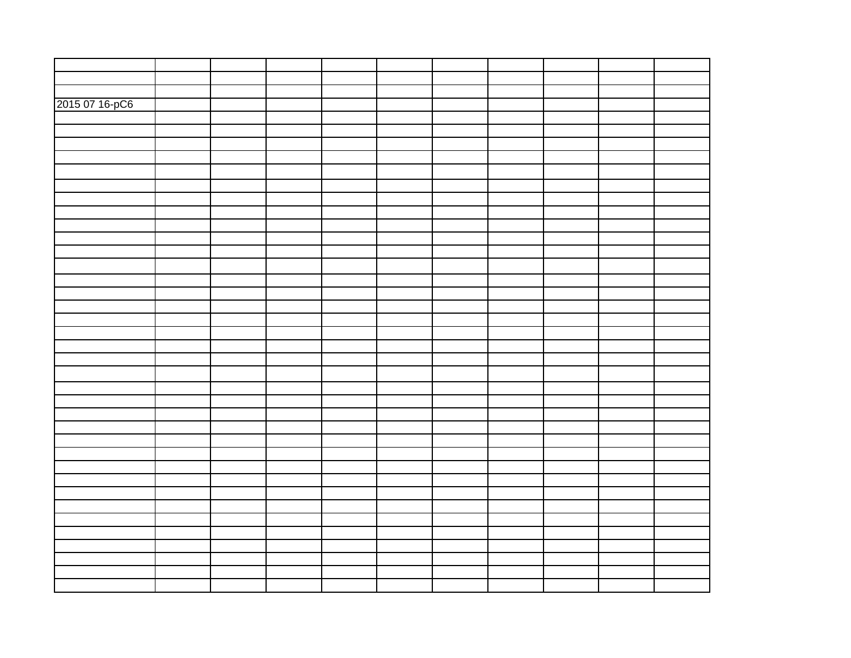| 2015 07 16-pC6 |  |  |  |  |  |
|----------------|--|--|--|--|--|
|                |  |  |  |  |  |
|                |  |  |  |  |  |
|                |  |  |  |  |  |
|                |  |  |  |  |  |
|                |  |  |  |  |  |
|                |  |  |  |  |  |
|                |  |  |  |  |  |
|                |  |  |  |  |  |
|                |  |  |  |  |  |
|                |  |  |  |  |  |
|                |  |  |  |  |  |
|                |  |  |  |  |  |
|                |  |  |  |  |  |
|                |  |  |  |  |  |
|                |  |  |  |  |  |
|                |  |  |  |  |  |
|                |  |  |  |  |  |
|                |  |  |  |  |  |
|                |  |  |  |  |  |
|                |  |  |  |  |  |
|                |  |  |  |  |  |
|                |  |  |  |  |  |
|                |  |  |  |  |  |
|                |  |  |  |  |  |
|                |  |  |  |  |  |
|                |  |  |  |  |  |
|                |  |  |  |  |  |
|                |  |  |  |  |  |
|                |  |  |  |  |  |
|                |  |  |  |  |  |
|                |  |  |  |  |  |
|                |  |  |  |  |  |
|                |  |  |  |  |  |
|                |  |  |  |  |  |
|                |  |  |  |  |  |
|                |  |  |  |  |  |